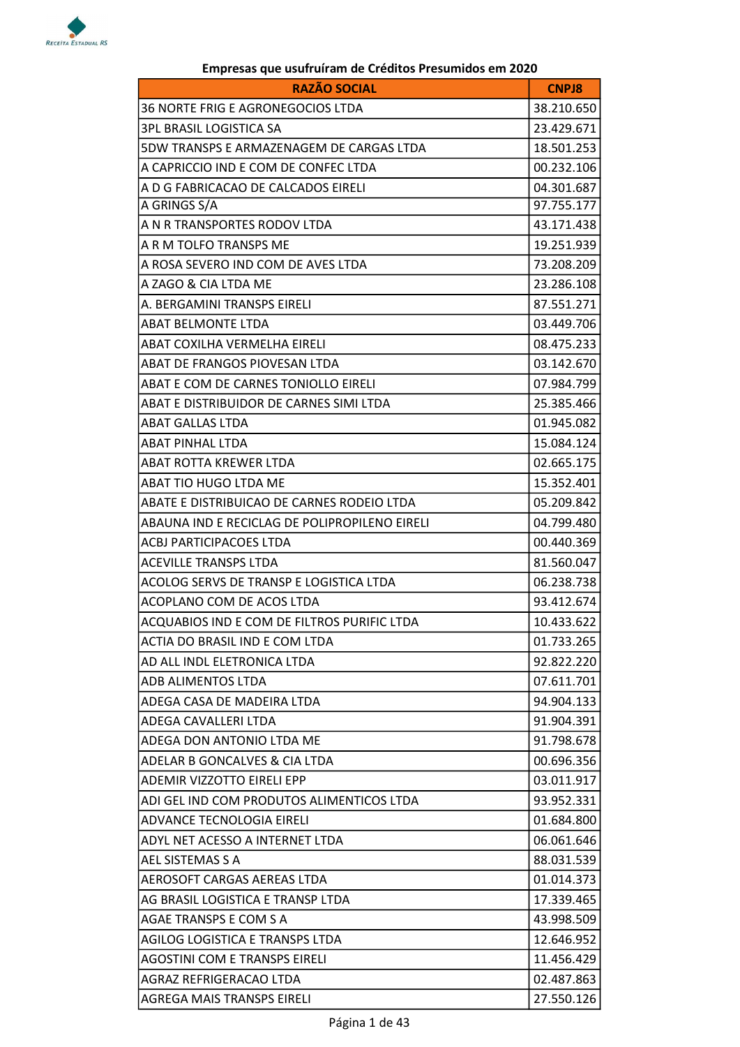

## RAZÃO SOCIAL CONTRACTER EN ENTRE EN ENTRE EN ENTRE EN ENTRE EN ENTRE EN ENTRE EN ENTRE EN ENTRE EN ENTRE EN EN 36 NORTE FRIG E AGRONEGOCIOS LTDA 36.210.650 3PL BRASIL LOGISTICA SA 23.429.671 5DW TRANSPS E ARMAZENAGEM DE CARGAS LTDA 18.501.253 A CAPRICCIO IND E COM DE CONFEC LTDA  $\vert$  00.232.106 A D G FABRICACAO DE CALCADOS EIRELI  $|04.301.687$ A GRINGS S/A 97.755.177 A N R TRANSPORTES RODOV LTDA 43.171.438 A R M TOLFO TRANSPS ME 19.251.939 A ROSA SEVERO IND COM DE AVES LTDA 73.208.209 A ZAGO & CIA LTDA ME 23.286.108 A. BERGAMINI TRANSPS EIRELI 87.551.271 ABAT BELMONTE LTDA 03.449.706 ABAT COXILHA VERMELHA EIRELI 08.475.233 ABAT DE FRANGOS PIOVESAN LTDA 03.142.670 ABAT E COM DE CARNES TONIOLLO EIRELI 07.984.799 ABAT E DISTRIBUIDOR DE CARNES SIMI LTDA 25.385.466 ABAT GALLAS LTDA 01.945.082 ABAT PINHAL LTDA 15.084.124 ABAT ROTTA KREWER LTDA 02.665.175 ABAT TIO HUGO LTDA ME 15.352.401 ABATE E DISTRIBUICAO DE CARNES RODEIO LTDA  $105.209.842$ ABAUNA IND E RECICLAG DE POLIPROPILENO EIRELI 04.799.480 ACBJ PARTICIPACOES LTDA 100.440.369 ACEVILLE TRANSPS LTDA 81.560.047 ACOLOG SERVS DE TRANSP E LOGISTICA LTDA 06.238.738 ACOPLANO COM DE ACOS LTDA 93.412.674 ACQUABIOS IND E COM DE FILTROS PURIFIC LTDA 10.433.622 ACTIA DO BRASIL IND E COM LTDA 01.733.265 AD ALL INDL ELETRONICA LTDA 92.822.220 ADB ALIMENTOS LTDA  $(0.611.701)$ ADEGA CASA DE MADEIRA LTDA 94.904.133 ADEGA CAVALLERI LTDA 91.904.391 ADEGA DON ANTONIO LTDA ME 91.798.678 ADELAR B GONCALVES & CIA LTDA 00.696.356 ADEMIR VIZZOTTO EIRELI EPP  $\vert$  03.011.917 ADI GEL IND COM PRODUTOS ALIMENTICOS LTDA 93.952.331 ADVANCE TECNOLOGIA EIRELI CHECHOLOGIA (01.684.800 ADYL NET ACESSO A INTERNET LTDA 06.061.646 AEL SISTEMAS S A 88.031.539 AEROSOFT CARGAS AEREAS LTDA 01.014.373 AG BRASIL LOGISTICA E TRANSP LTDA 17.339.465 AGAE TRANSPS E COM S A 43.998.509 AGILOG LOGISTICA E TRANSPS LTDA 12.646.952 AGOSTINI COM E TRANSPS EIRELI 11.456.429 AGRAZ REFRIGERACAO LTDA 02.487.863

## Empresas que usufruíram de Créditos Presumidos em 2020

AGREGA MAIS TRANSPS EIRELI 27.550.126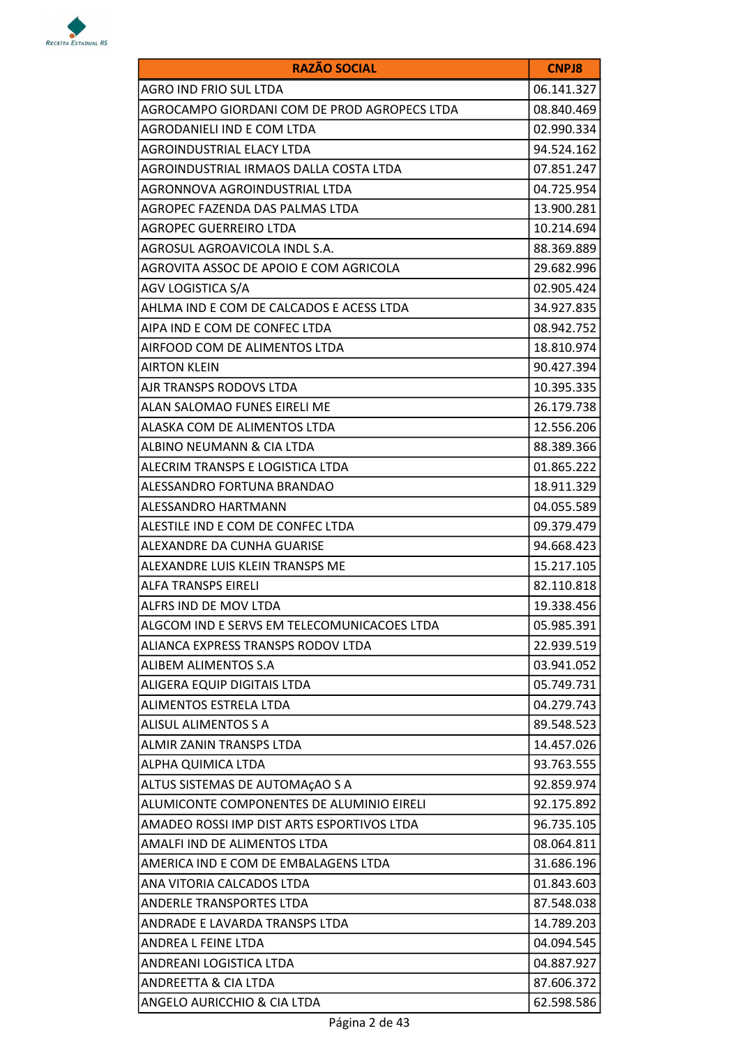

| <b>RAZÃO SOCIAL</b>                          | <b>CNPJ8</b> |
|----------------------------------------------|--------------|
| AGRO IND FRIO SUL LTDA                       | 06.141.327   |
| AGROCAMPO GIORDANI COM DE PROD AGROPECS LTDA | 08.840.469   |
| AGRODANIELI IND E COM LTDA                   | 02.990.334   |
| AGROINDUSTRIAL ELACY LTDA                    | 94.524.162   |
| AGROINDUSTRIAL IRMAOS DALLA COSTA LTDA       | 07.851.247   |
| AGRONNOVA AGROINDUSTRIAL LTDA                | 04.725.954   |
| AGROPEC FAZENDA DAS PALMAS LTDA              | 13.900.281   |
| <b>AGROPEC GUERREIRO LTDA</b>                | 10.214.694   |
| AGROSUL AGROAVICOLA INDL S.A.                | 88.369.889   |
| AGROVITA ASSOC DE APOIO E COM AGRICOLA       | 29.682.996   |
| AGV LOGISTICA S/A                            | 02.905.424   |
| AHLMA IND E COM DE CALCADOS E ACESS LTDA     | 34.927.835   |
| AIPA IND E COM DE CONFEC LTDA                | 08.942.752   |
| AIRFOOD COM DE ALIMENTOS LTDA                | 18.810.974   |
| <b>AIRTON KLEIN</b>                          | 90.427.394   |
| AJR TRANSPS RODOVS LTDA                      | 10.395.335   |
| ALAN SALOMAO FUNES EIRELI ME                 | 26.179.738   |
| ALASKA COM DE ALIMENTOS LTDA                 | 12.556.206   |
| ALBINO NEUMANN & CIA LTDA                    | 88.389.366   |
| ALECRIM TRANSPS E LOGISTICA LTDA             | 01.865.222   |
| ALESSANDRO FORTUNA BRANDAO                   | 18.911.329   |
| ALESSANDRO HARTMANN                          | 04.055.589   |
| ALESTILE IND E COM DE CONFEC LTDA            | 09.379.479   |
| ALEXANDRE DA CUNHA GUARISE                   | 94.668.423   |
| ALEXANDRE LUIS KLEIN TRANSPS ME              | 15.217.105   |
| <b>ALFA TRANSPS EIRELI</b>                   | 82.110.818   |
| ALFRS IND DE MOV LTDA                        | 19.338.456   |
| ALGCOM IND E SERVS EM TELECOMUNICACOES LTDA  | 05.985.391   |
| ALIANCA EXPRESS TRANSPS RODOV LTDA           | 22.939.519   |
| ALIBEM ALIMENTOS S.A                         | 03.941.052   |
| ALIGERA EQUIP DIGITAIS LTDA                  | 05.749.731   |
| ALIMENTOS ESTRELA LTDA                       | 04.279.743   |
| <b>ALISUL ALIMENTOS S A</b>                  | 89.548.523   |
| ALMIR ZANIN TRANSPS LTDA                     | 14.457.026   |
| ALPHA QUIMICA LTDA                           | 93.763.555   |
| ALTUS SISTEMAS DE AUTOMAÇÃO S A              | 92.859.974   |
| ALUMICONTE COMPONENTES DE ALUMINIO EIRELI    | 92.175.892   |
| AMADEO ROSSI IMP DIST ARTS ESPORTIVOS LTDA   | 96.735.105   |
| AMALFI IND DE ALIMENTOS LTDA                 | 08.064.811   |
| AMERICA IND E COM DE EMBALAGENS LTDA         | 31.686.196   |
| ANA VITORIA CALCADOS LTDA                    | 01.843.603   |
| ANDERLE TRANSPORTES LTDA                     | 87.548.038   |
| ANDRADE E LAVARDA TRANSPS LTDA               | 14.789.203   |
| ANDREA L FEINE LTDA                          | 04.094.545   |
| ANDREANI LOGISTICA LTDA                      | 04.887.927   |
| ANDREETTA & CIA LTDA                         | 87.606.372   |
| ANGELO AURICCHIO & CIA LTDA                  | 62.598.586   |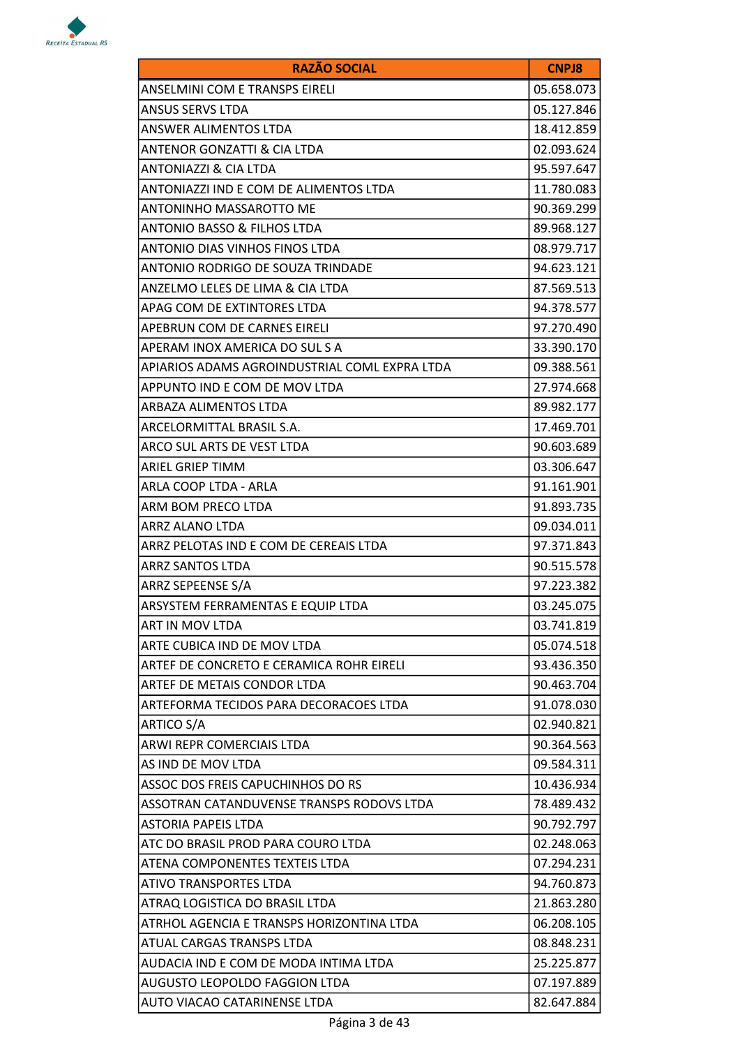

| <b>RAZÃO SOCIAL</b>                           | <b>CNPJ8</b> |
|-----------------------------------------------|--------------|
| <b>ANSELMINI COM E TRANSPS EIRELI</b>         | 05.658.073   |
| <b>ANSUS SERVS LTDA</b>                       | 05.127.846   |
| ANSWER ALIMENTOS LTDA                         | 18.412.859   |
| ANTENOR GONZATTI & CIA LTDA                   | 02.093.624   |
| <b>ANTONIAZZI &amp; CIA LTDA</b>              | 95.597.647   |
| ANTONIAZZI IND E COM DE ALIMENTOS LTDA        | 11.780.083   |
| ANTONINHO MASSAROTTO ME                       | 90.369.299   |
| <b>ANTONIO BASSO &amp; FILHOS LTDA</b>        | 89.968.127   |
| ANTONIO DIAS VINHOS FINOS LTDA                | 08.979.717   |
| ANTONIO RODRIGO DE SOUZA TRINDADE             | 94.623.121   |
| ANZELMO LELES DE LIMA & CIA LTDA              | 87.569.513   |
| APAG COM DE EXTINTORES LTDA                   | 94.378.577   |
| APEBRUN COM DE CARNES EIRELI                  | 97.270.490   |
| APERAM INOX AMERICA DO SUL S A                | 33.390.170   |
| APIARIOS ADAMS AGROINDUSTRIAL COML EXPRA LTDA | 09.388.561   |
| APPUNTO IND E COM DE MOV LTDA                 | 27.974.668   |
| ARBAZA ALIMENTOS LTDA                         | 89.982.177   |
| ARCELORMITTAL BRASIL S.A.                     | 17.469.701   |
| ARCO SUL ARTS DE VEST LTDA                    | 90.603.689   |
| <b>ARIEL GRIEP TIMM</b>                       | 03.306.647   |
| ARLA COOP LTDA - ARLA                         | 91.161.901   |
| ARM BOM PRECO LTDA                            | 91.893.735   |
| ARRZ ALANO LTDA                               | 09.034.011   |
| ARRZ PELOTAS IND E COM DE CEREAIS LTDA        | 97.371.843   |
| <b>ARRZ SANTOS LTDA</b>                       | 90.515.578   |
| ARRZ SEPEENSE S/A                             | 97.223.382   |
| ARSYSTEM FERRAMENTAS E EQUIP LTDA             | 03.245.075   |
| <b>ART IN MOV LTDA</b>                        | 03.741.819   |
| ARTE CUBICA IND DE MOV LTDA                   | 05.074.518   |
| ARTEF DE CONCRETO E CERAMICA ROHR EIRELI      | 93.436.350   |
| ARTEF DE METAIS CONDOR LTDA                   | 90.463.704   |
| ARTEFORMA TECIDOS PARA DECORACOES LTDA        | 91.078.030   |
| <b>ARTICO S/A</b>                             | 02.940.821   |
| <b>ARWI REPR COMERCIAIS LTDA</b>              | 90.364.563   |
| AS IND DE MOV LTDA                            | 09.584.311   |
| ASSOC DOS FREIS CAPUCHINHOS DO RS             | 10.436.934   |
| ASSOTRAN CATANDUVENSE TRANSPS RODOVS LTDA     | 78.489.432   |
| ASTORIA PAPEIS LTDA                           | 90.792.797   |
| ATC DO BRASIL PROD PARA COURO LTDA            | 02.248.063   |
| ATENA COMPONENTES TEXTEIS LTDA                | 07.294.231   |
| ATIVO TRANSPORTES LTDA                        | 94.760.873   |
| ATRAQ LOGISTICA DO BRASIL LTDA                | 21.863.280   |
| ATRHOL AGENCIA E TRANSPS HORIZONTINA LTDA     | 06.208.105   |
| ATUAL CARGAS TRANSPS LTDA                     | 08.848.231   |
| AUDACIA IND E COM DE MODA INTIMA LTDA         | 25.225.877   |
| AUGUSTO LEOPOLDO FAGGION LTDA                 | 07.197.889   |
| AUTO VIACAO CATARINENSE LTDA                  | 82.647.884   |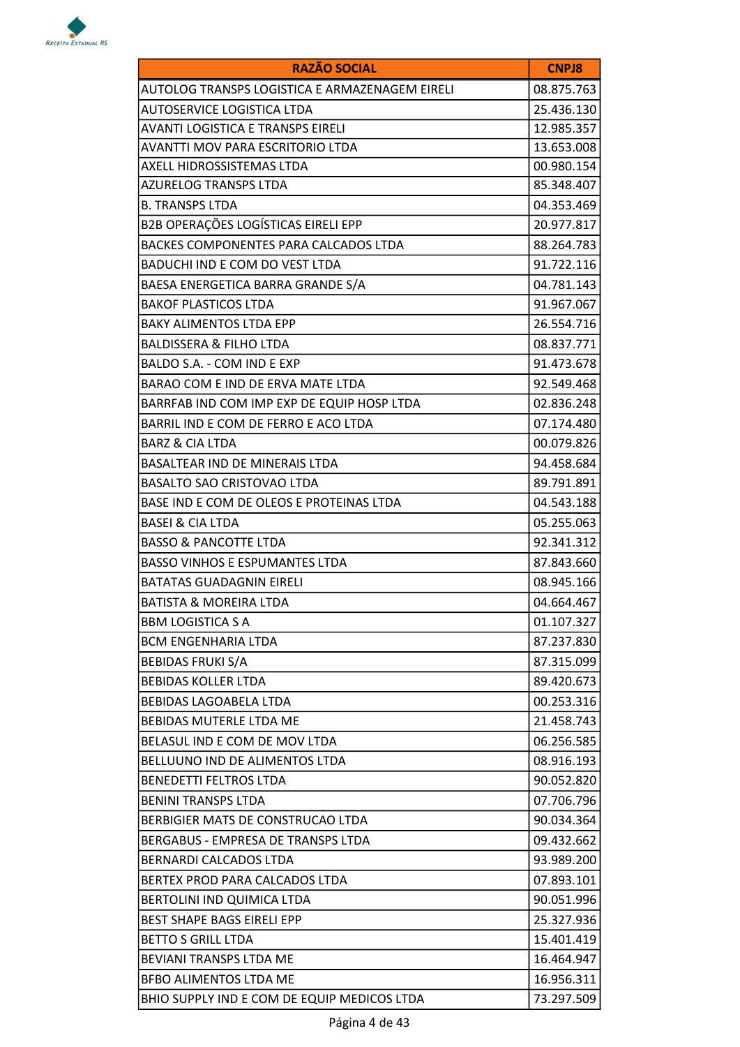

| <b>RAZÃO SOCIAL</b>                            | <b>CNPJ8</b> |
|------------------------------------------------|--------------|
| AUTOLOG TRANSPS LOGISTICA E ARMAZENAGEM EIRELI | 08.875.763   |
| AUTOSERVICE LOGISTICA LTDA                     | 25.436.130   |
| <b>AVANTI LOGISTICA E TRANSPS EIRELI</b>       | 12.985.357   |
| <b>AVANTTI MOV PARA ESCRITORIO LTDA</b>        | 13.653.008   |
| AXELL HIDROSSISTEMAS LTDA                      | 00.980.154   |
| AZURELOG TRANSPS LTDA                          | 85.348.407   |
| <b>B. TRANSPS LTDA</b>                         | 04.353.469   |
| B2B OPERAÇÕES LOGÍSTICAS EIRELI EPP            | 20.977.817   |
| BACKES COMPONENTES PARA CALCADOS LTDA          | 88.264.783   |
| BADUCHI IND E COM DO VEST LTDA                 | 91.722.116   |
| BAESA ENERGETICA BARRA GRANDE S/A              | 04.781.143   |
| <b>BAKOF PLASTICOS LTDA</b>                    | 91.967.067   |
| <b>BAKY ALIMENTOS LTDA EPP</b>                 | 26.554.716   |
| <b>BALDISSERA &amp; FILHO LTDA</b>             | 08.837.771   |
| BALDO S.A. - COM IND E EXP                     | 91.473.678   |
| BARAO COM E IND DE ERVA MATE LTDA              | 92.549.468   |
| BARRFAB IND COM IMP EXP DE EQUIP HOSP LTDA     | 02.836.248   |
| BARRIL IND E COM DE FERRO E ACO LTDA           | 07.174.480   |
| <b>BARZ &amp; CIA LTDA</b>                     | 00.079.826   |
| BASALTEAR IND DE MINERAIS LTDA                 | 94.458.684   |
| <b>BASALTO SAO CRISTOVAO LTDA</b>              | 89.791.891   |
| BASE IND E COM DE OLEOS E PROTEINAS LTDA       | 04.543.188   |
| <b>BASEI &amp; CIA LTDA</b>                    | 05.255.063   |
| <b>BASSO &amp; PANCOTTE LTDA</b>               | 92.341.312   |
| <b>BASSO VINHOS E ESPUMANTES LTDA</b>          | 87.843.660   |
| <b>BATATAS GUADAGNIN EIRELI</b>                | 08.945.166   |
| BATISTA & MOREIRA LTDA                         | 04.664.467   |
| <b>BBM LOGISTICA S A</b>                       | 01.107.327   |
| <b>BCM ENGENHARIA LTDA</b>                     | 87.237.830   |
| <b>BEBIDAS FRUKI S/A</b>                       | 87.315.099   |
| <b>BEBIDAS KOLLER LTDA</b>                     | 89.420.673   |
| <b>BEBIDAS LAGOABELA LTDA</b>                  | 00.253.316   |
| <b>BEBIDAS MUTERLE LTDA ME</b>                 | 21.458.743   |
| BELASUL IND E COM DE MOV LTDA                  | 06.256.585   |
| BELLUUNO IND DE ALIMENTOS LTDA                 | 08.916.193   |
| <b>BENEDETTI FELTROS LTDA</b>                  | 90.052.820   |
| <b>BENINI TRANSPS LTDA</b>                     | 07.706.796   |
| BERBIGIER MATS DE CONSTRUCAO LTDA              | 90.034.364   |
| BERGABUS - EMPRESA DE TRANSPS LTDA             | 09.432.662   |
| <b>BERNARDI CALCADOS LTDA</b>                  | 93.989.200   |
| BERTEX PROD PARA CALCADOS LTDA                 | 07.893.101   |
| BERTOLINI IND QUIMICA LTDA                     | 90.051.996   |
| <b>BEST SHAPE BAGS EIRELI EPP</b>              | 25.327.936   |
| <b>BETTO S GRILL LTDA</b>                      | 15.401.419   |
| <b>BEVIANI TRANSPS LTDA ME</b>                 | 16.464.947   |
| <b>BFBO ALIMENTOS LTDA ME</b>                  | 16.956.311   |
| BHIO SUPPLY IND E COM DE EQUIP MEDICOS LTDA    | 73.297.509   |
|                                                |              |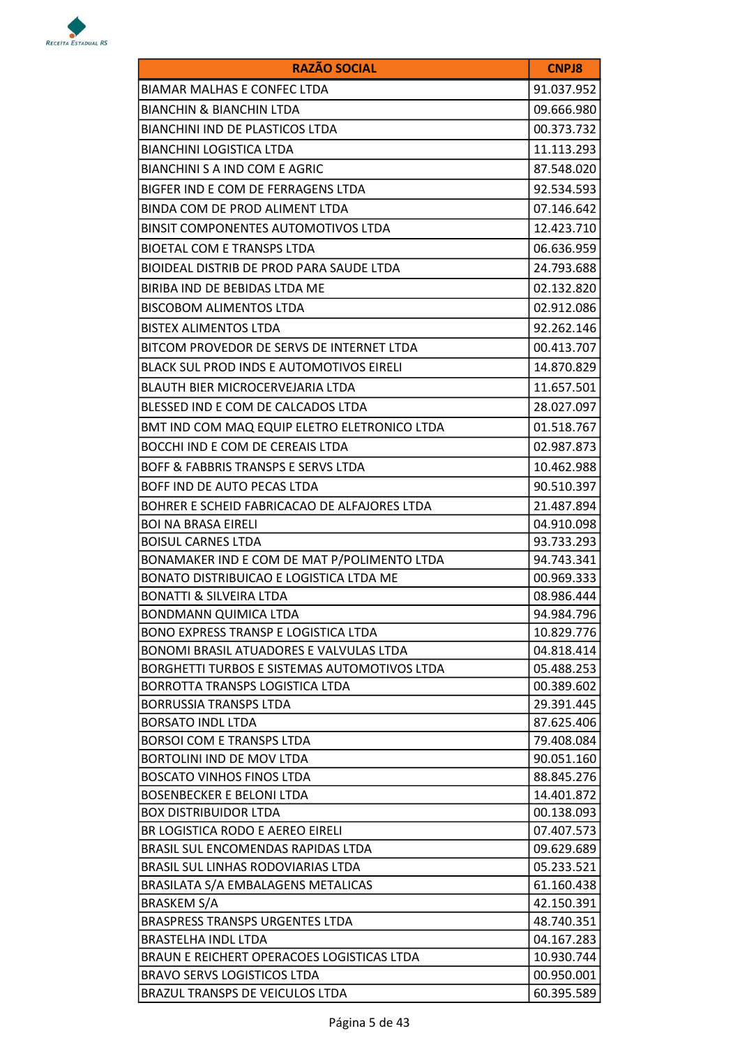

| <b>RAZÃO SOCIAL</b>                                           | <b>CNPJ8</b>             |
|---------------------------------------------------------------|--------------------------|
| BIAMAR MALHAS E CONFEC LTDA                                   | 91.037.952               |
| BIANCHIN & BIANCHIN LTDA                                      | 09.666.980               |
| BIANCHINI IND DE PLASTICOS LTDA                               | 00.373.732               |
| <b>BIANCHINI LOGISTICA LTDA</b>                               | 11.113.293               |
| BIANCHINI S A IND COM E AGRIC                                 | 87.548.020               |
| BIGFER IND E COM DE FERRAGENS LTDA                            | 92.534.593               |
| BINDA COM DE PROD ALIMENT LTDA                                | 07.146.642               |
| BINSIT COMPONENTES AUTOMOTIVOS LTDA                           | 12.423.710               |
| BIOETAL COM E TRANSPS LTDA                                    | 06.636.959               |
| BIOIDEAL DISTRIB DE PROD PARA SAUDE LTDA                      | 24.793.688               |
| BIRIBA IND DE BEBIDAS LTDA ME                                 | 02.132.820               |
|                                                               | 02.912.086               |
| <b>BISCOBOM ALIMENTOS LTDA</b>                                |                          |
| <b>BISTEX ALIMENTOS LTDA</b>                                  | 92.262.146               |
| BITCOM PROVEDOR DE SERVS DE INTERNET LTDA                     | 00.413.707               |
| <b>BLACK SUL PROD INDS E AUTOMOTIVOS EIRELI</b>               | 14.870.829               |
| BLAUTH BIER MICROCERVEJARIA LTDA                              | 11.657.501               |
| BLESSED IND E COM DE CALCADOS LTDA                            | 28.027.097               |
| BMT IND COM MAQ EQUIP ELETRO ELETRONICO LTDA                  | 01.518.767               |
| BOCCHI IND E COM DE CEREAIS LTDA                              | 02.987.873               |
| BOFF & FABBRIS TRANSPS E SERVS LTDA                           | 10.462.988               |
| BOFF IND DE AUTO PECAS LTDA                                   | 90.510.397               |
| BOHRER E SCHEID FABRICACAO DE ALFAJORES LTDA                  | 21.487.894               |
| <b>BOI NA BRASA EIRELI</b>                                    | 04.910.098               |
| <b>BOISUL CARNES LTDA</b>                                     | 93.733.293               |
| BONAMAKER IND E COM DE MAT P/POLIMENTO LTDA                   | 94.743.341               |
| BONATO DISTRIBUICAO E LOGISTICA LTDA ME                       | 00.969.333               |
| <b>BONATTI &amp; SILVEIRA LTDA</b>                            | 08.986.444               |
| BONDMANN QUIMICA LTDA                                         | 94.984.796               |
| <b>BONO EXPRESS TRANSP E LOGISTICA LTDA</b>                   | 10.829.776               |
| BONOMI BRASIL ATUADORES E VALVULAS LTDA                       | 04.818.414               |
| BORGHETTI TURBOS E SISTEMAS AUTOMOTIVOS LTDA                  | 05.488.253               |
| BORROTTA TRANSPS LOGISTICA LTDA                               | 00.389.602               |
| <b>BORRUSSIA TRANSPS LTDA</b>                                 | 29.391.445               |
| <b>BORSATO INDL LTDA</b>                                      | 87.625.406               |
| <b>BORSOI COM E TRANSPS LTDA</b>                              | 79.408.084               |
| BORTOLINI IND DE MOV LTDA<br><b>BOSCATO VINHOS FINOS LTDA</b> | 90.051.160               |
| BOSENBECKER E BELONI LTDA                                     | 88.845.276<br>14.401.872 |
| BOX DISTRIBUIDOR LTDA                                         | 00.138.093               |
| BR LOGISTICA RODO E AEREO EIRELI                              | 07.407.573               |
| BRASIL SUL ENCOMENDAS RAPIDAS LTDA                            | 09.629.689               |
| BRASIL SUL LINHAS RODOVIARIAS LTDA                            | 05.233.521               |
| BRASILATA S/A EMBALAGENS METALICAS                            | 61.160.438               |
| <b>BRASKEM S/A</b>                                            | 42.150.391               |
| BRASPRESS TRANSPS URGENTES LTDA                               | 48.740.351               |
| BRASTELHA INDL LTDA                                           | 04.167.283               |
| BRAUN E REICHERT OPERACOES LOGISTICAS LTDA                    | 10.930.744               |
| <b>BRAVO SERVS LOGISTICOS LTDA</b>                            | 00.950.001               |
| BRAZUL TRANSPS DE VEICULOS LTDA                               | 60.395.589               |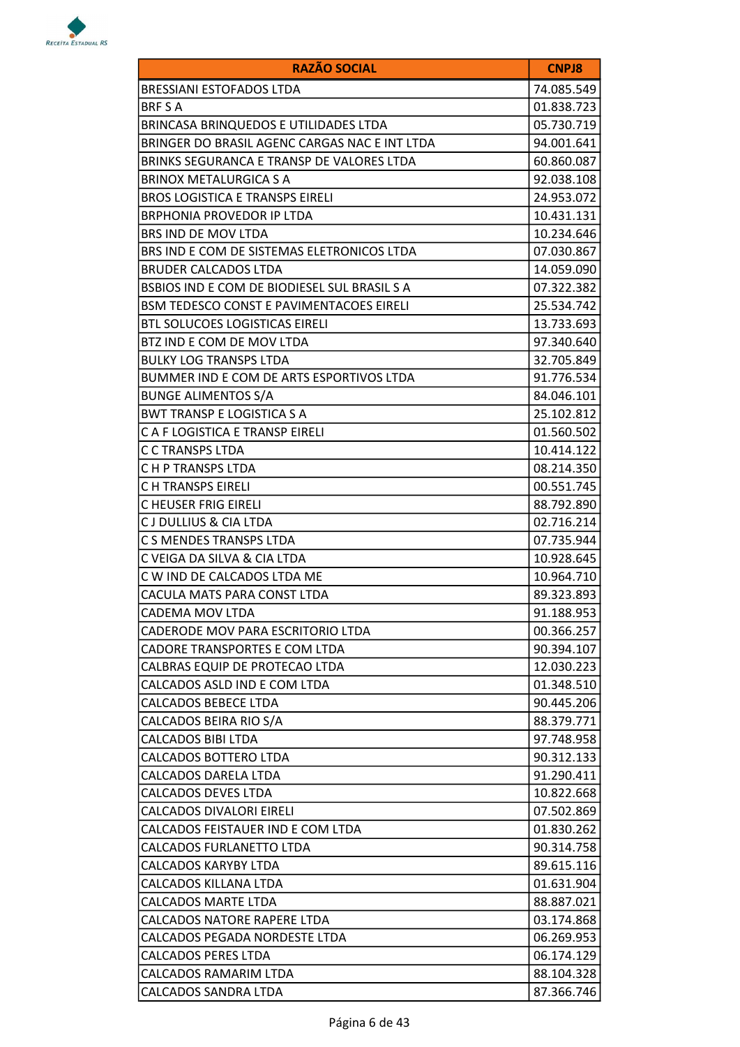

| <b>RAZÃO SOCIAL</b>                           | <b>CNPJ8</b> |
|-----------------------------------------------|--------------|
| BRESSIANI ESTOFADOS LTDA                      | 74.085.549   |
| <b>BRF S A</b>                                | 01.838.723   |
| BRINCASA BRINQUEDOS E UTILIDADES LTDA         | 05.730.719   |
| BRINGER DO BRASIL AGENC CARGAS NAC E INT LTDA | 94.001.641   |
| BRINKS SEGURANCA E TRANSP DE VALORES LTDA     | 60.860.087   |
| BRINOX METALURGICA S A                        | 92.038.108   |
| <b>BROS LOGISTICA E TRANSPS EIRELI</b>        | 24.953.072   |
| <b>BRPHONIA PROVEDOR IP LTDA</b>              | 10.431.131   |
| BRS IND DE MOV LTDA                           | 10.234.646   |
| BRS IND E COM DE SISTEMAS ELETRONICOS LTDA    | 07.030.867   |
| <b>BRUDER CALCADOS LTDA</b>                   | 14.059.090   |
| BSBIOS IND E COM DE BIODIESEL SUL BRASIL S A  | 07.322.382   |
| BSM TEDESCO CONST E PAVIMENTACOES EIRELI      | 25.534.742   |
| BTL SOLUCOES LOGISTICAS EIRELI                | 13.733.693   |
| BTZ IND E COM DE MOV LTDA                     | 97.340.640   |
| <b>BULKY LOG TRANSPS LTDA</b>                 | 32.705.849   |
| BUMMER IND E COM DE ARTS ESPORTIVOS LTDA      | 91.776.534   |
| <b>BUNGE ALIMENTOS S/A</b>                    | 84.046.101   |
| <b>BWT TRANSP E LOGISTICA S A</b>             | 25.102.812   |
| C A F LOGISTICA E TRANSP EIRELI               | 01.560.502   |
| C C TRANSPS LTDA                              | 10.414.122   |
| C H P TRANSPS LTDA                            | 08.214.350   |
| C H TRANSPS EIRELI                            | 00.551.745   |
| C HEUSER FRIG EIRELI                          | 88.792.890   |
| C J DULLIUS & CIA LTDA                        | 02.716.214   |
| C S MENDES TRANSPS LTDA                       | 07.735.944   |
| C VEIGA DA SILVA & CIA LTDA                   | 10.928.645   |
| C W IND DE CALCADOS LTDA ME                   | 10.964.710   |
| CACULA MATS PARA CONST LTDA                   | 89.323.893   |
| CADEMA MOV LTDA                               | 91.188.953   |
| CADERODE MOV PARA ESCRITORIO LTDA             | 00.366.257   |
| CADORE TRANSPORTES E COM LTDA                 | 90.394.107   |
| CALBRAS EQUIP DE PROTECAO LTDA                | 12.030.223   |
| CALCADOS ASLD IND E COM LTDA                  | 01.348.510   |
| <b>CALCADOS BEBECE LTDA</b>                   | 90.445.206   |
| CALCADOS BEIRA RIO S/A                        | 88.379.771   |
| CALCADOS BIBI LTDA                            | 97.748.958   |
| CALCADOS BOTTERO LTDA                         | 90.312.133   |
| <b>CALCADOS DARELA LTDA</b>                   | 91.290.411   |
| CALCADOS DEVES LTDA                           | 10.822.668   |
| CALCADOS DIVALORI EIRELI                      | 07.502.869   |
| CALCADOS FEISTAUER IND E COM LTDA             | 01.830.262   |
| CALCADOS FURLANETTO LTDA                      | 90.314.758   |
| CALCADOS KARYBY LTDA                          | 89.615.116   |
| CALCADOS KILLANA LTDA                         | 01.631.904   |
| CALCADOS MARTE LTDA                           | 88.887.021   |
| CALCADOS NATORE RAPERE LTDA                   | 03.174.868   |
| CALCADOS PEGADA NORDESTE LTDA                 | 06.269.953   |
| <b>CALCADOS PERES LTDA</b>                    | 06.174.129   |
| CALCADOS RAMARIM LTDA                         | 88.104.328   |
| CALCADOS SANDRA LTDA                          | 87.366.746   |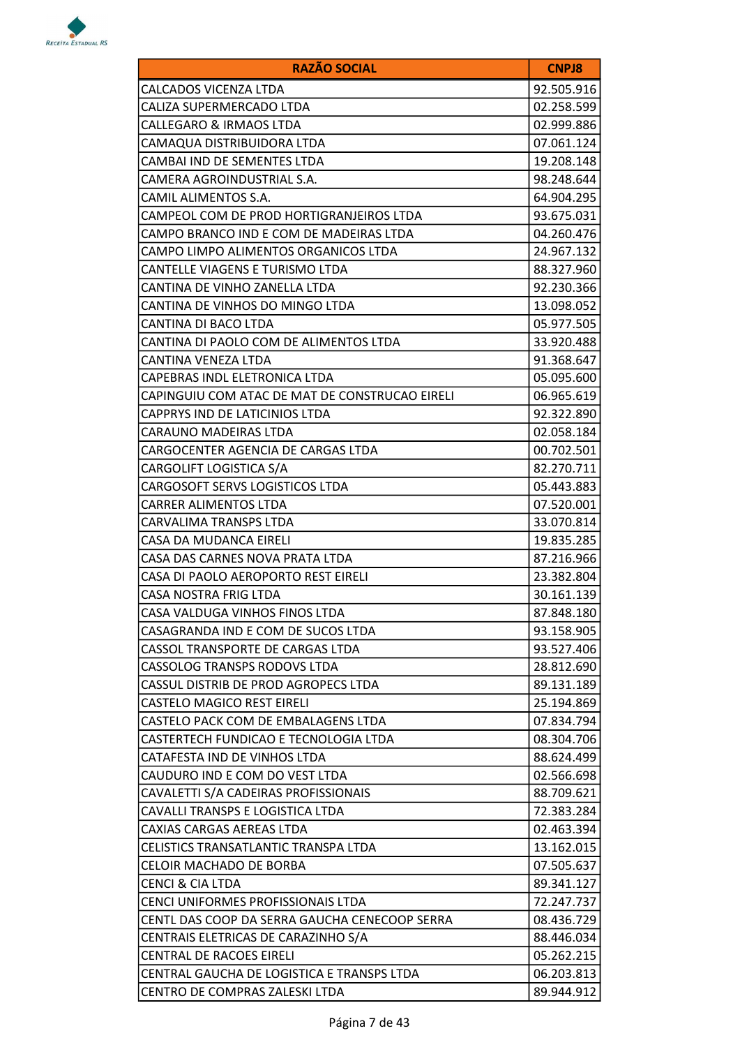

| <b>RAZÃO SOCIAL</b>                            | <b>CNPJ8</b> |
|------------------------------------------------|--------------|
| CALCADOS VICENZA LTDA                          | 92.505.916   |
| CALIZA SUPERMERCADO LTDA                       | 02.258.599   |
| CALLEGARO & IRMAOS LTDA                        | 02.999.886   |
| CAMAQUA DISTRIBUIDORA LTDA                     | 07.061.124   |
| CAMBAI IND DE SEMENTES LTDA                    | 19.208.148   |
| CAMERA AGROINDUSTRIAL S.A.                     | 98.248.644   |
| CAMIL ALIMENTOS S.A.                           | 64.904.295   |
| CAMPEOL COM DE PROD HORTIGRANJEIROS LTDA       | 93.675.031   |
| CAMPO BRANCO IND E COM DE MADEIRAS LTDA        | 04.260.476   |
| CAMPO LIMPO ALIMENTOS ORGANICOS LTDA           | 24.967.132   |
| CANTELLE VIAGENS E TURISMO LTDA                | 88.327.960   |
| CANTINA DE VINHO ZANELLA LTDA                  | 92.230.366   |
| CANTINA DE VINHOS DO MINGO LTDA                | 13.098.052   |
| CANTINA DI BACO LTDA                           | 05.977.505   |
| CANTINA DI PAOLO COM DE ALIMENTOS LTDA         | 33.920.488   |
| CANTINA VENEZA LTDA                            | 91.368.647   |
| CAPEBRAS INDL ELETRONICA LTDA                  | 05.095.600   |
| CAPINGUIU COM ATAC DE MAT DE CONSTRUCAO EIRELI | 06.965.619   |
| CAPPRYS IND DE LATICINIOS LTDA                 | 92.322.890   |
| CARAUNO MADEIRAS LTDA                          | 02.058.184   |
| CARGOCENTER AGENCIA DE CARGAS LTDA             | 00.702.501   |
| CARGOLIFT LOGISTICA S/A                        | 82.270.711   |
| CARGOSOFT SERVS LOGISTICOS LTDA                | 05.443.883   |
| CARRER ALIMENTOS LTDA                          | 07.520.001   |
| CARVALIMA TRANSPS LTDA                         | 33.070.814   |
| CASA DA MUDANCA EIRELI                         | 19.835.285   |
| CASA DAS CARNES NOVA PRATA LTDA                | 87.216.966   |
| CASA DI PAOLO AEROPORTO REST EIRELI            | 23.382.804   |
| CASA NOSTRA FRIG LTDA                          | 30.161.139   |
| CASA VALDUGA VINHOS FINOS LTDA                 | 87.848.180   |
| CASAGRANDA IND E COM DE SUCOS LTDA             | 93.158.905   |
| CASSOL TRANSPORTE DE CARGAS LTDA               | 93.527.406   |
| CASSOLOG TRANSPS RODOVS LTDA                   | 28.812.690   |
| CASSUL DISTRIB DE PROD AGROPECS LTDA           | 89.131.189   |
| <b>CASTELO MAGICO REST EIRELI</b>              | 25.194.869   |
| CASTELO PACK COM DE EMBALAGENS LTDA            | 07.834.794   |
| CASTERTECH FUNDICAO E TECNOLOGIA LTDA          | 08.304.706   |
| CATAFESTA IND DE VINHOS LTDA                   | 88.624.499   |
| CAUDURO IND E COM DO VEST LTDA                 | 02.566.698   |
| CAVALETTI S/A CADEIRAS PROFISSIONAIS           | 88.709.621   |
| CAVALLI TRANSPS E LOGISTICA LTDA               | 72.383.284   |
| CAXIAS CARGAS AEREAS LTDA                      | 02.463.394   |
| CELISTICS TRANSATLANTIC TRANSPA LTDA           | 13.162.015   |
| CELOIR MACHADO DE BORBA                        | 07.505.637   |
| CENCI & CIA LTDA                               | 89.341.127   |
| CENCI UNIFORMES PROFISSIONAIS LTDA             | 72.247.737   |
| CENTL DAS COOP DA SERRA GAUCHA CENECOOP SERRA  | 08.436.729   |
| CENTRAIS ELETRICAS DE CARAZINHO S/A            | 88.446.034   |
| <b>CENTRAL DE RACOES EIRELI</b>                | 05.262.215   |
| CENTRAL GAUCHA DE LOGISTICA E TRANSPS LTDA     | 06.203.813   |
| CENTRO DE COMPRAS ZALESKI LTDA                 | 89.944.912   |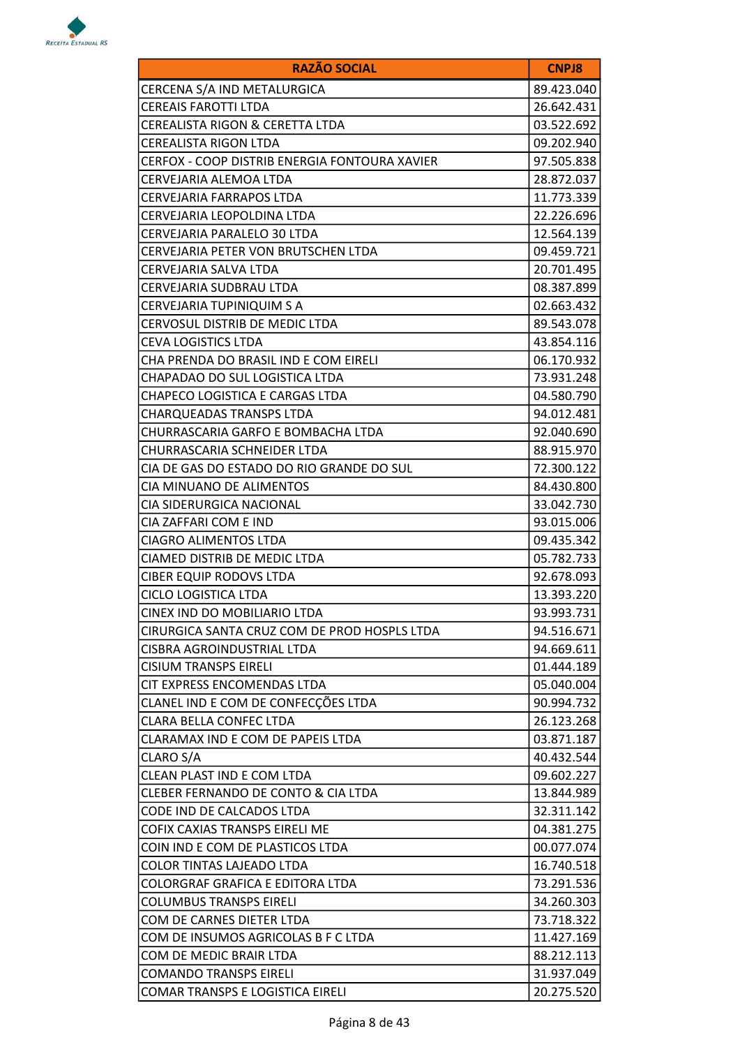

| <b>RAZÃO SOCIAL</b>                           | <b>CNPJ8</b> |
|-----------------------------------------------|--------------|
| CERCENA S/A IND METALURGICA                   | 89.423.040   |
| <b>CEREAIS FAROTTI LTDA</b>                   | 26.642.431   |
| CEREALISTA RIGON & CERETTA LTDA               | 03.522.692   |
| <b>CEREALISTA RIGON LTDA</b>                  | 09.202.940   |
| CERFOX - COOP DISTRIB ENERGIA FONTOURA XAVIER | 97.505.838   |
| CERVEJARIA ALEMOA LTDA                        | 28.872.037   |
| CERVEJARIA FARRAPOS LTDA                      | 11.773.339   |
| CERVEJARIA LEOPOLDINA LTDA                    | 22.226.696   |
| CERVEJARIA PARALELO 30 LTDA                   | 12.564.139   |
| CERVEJARIA PETER VON BRUTSCHEN LTDA           | 09.459.721   |
| CERVEJARIA SALVA LTDA                         | 20.701.495   |
| CERVEJARIA SUDBRAU LTDA                       | 08.387.899   |
| CERVEJARIA TUPINIQUIM S A                     | 02.663.432   |
| CERVOSUL DISTRIB DE MEDIC LTDA                | 89.543.078   |
| <b>CEVA LOGISTICS LTDA</b>                    | 43.854.116   |
| CHA PRENDA DO BRASIL IND E COM EIRELI         | 06.170.932   |
| CHAPADAO DO SUL LOGISTICA LTDA                | 73.931.248   |
| CHAPECO LOGISTICA E CARGAS LTDA               | 04.580.790   |
| <b>CHARQUEADAS TRANSPS LTDA</b>               | 94.012.481   |
| CHURRASCARIA GARFO E BOMBACHA LTDA            | 92.040.690   |
| CHURRASCARIA SCHNEIDER LTDA                   | 88.915.970   |
| CIA DE GAS DO ESTADO DO RIO GRANDE DO SUL     | 72.300.122   |
| CIA MINUANO DE ALIMENTOS                      | 84.430.800   |
| CIA SIDERURGICA NACIONAL                      | 33.042.730   |
| CIA ZAFFARI COM E IND                         | 93.015.006   |
| <b>CIAGRO ALIMENTOS LTDA</b>                  | 09.435.342   |
| CIAMED DISTRIB DE MEDIC LTDA                  | 05.782.733   |
| <b>CIBER EQUIP RODOVS LTDA</b>                | 92.678.093   |
| CICLO LOGISTICA LTDA                          | 13.393.220   |
| CINEX IND DO MOBILIARIO LTDA                  | 93.993.731   |
| CIRURGICA SANTA CRUZ COM DE PROD HOSPLS LTDA  | 94.516.671   |
| CISBRA AGROINDUSTRIAL LTDA                    | 94.669.611   |
| <b>CISIUM TRANSPS EIRELI</b>                  | 01.444.189   |
| CIT EXPRESS ENCOMENDAS LTDA                   | 05.040.004   |
| CLANEL IND E COM DE CONFECÇÕES LTDA           | 90.994.732   |
| CLARA BELLA CONFEC LTDA                       | 26.123.268   |
| CLARAMAX IND E COM DE PAPEIS LTDA             | 03.871.187   |
| CLARO S/A                                     | 40.432.544   |
| CLEAN PLAST IND E COM LTDA                    | 09.602.227   |
| CLEBER FERNANDO DE CONTO & CIA LTDA           | 13.844.989   |
| CODE IND DE CALCADOS LTDA                     | 32.311.142   |
| COFIX CAXIAS TRANSPS EIRELI ME                | 04.381.275   |
| COIN IND E COM DE PLASTICOS LTDA              | 00.077.074   |
| COLOR TINTAS LAJEADO LTDA                     | 16.740.518   |
| COLORGRAF GRAFICA E EDITORA LTDA              | 73.291.536   |
| <b>COLUMBUS TRANSPS EIRELI</b>                | 34.260.303   |
| COM DE CARNES DIETER LTDA                     | 73.718.322   |
| COM DE INSUMOS AGRICOLAS B F C LTDA           | 11.427.169   |
| COM DE MEDIC BRAIR LTDA                       | 88.212.113   |
| <b>COMANDO TRANSPS EIRELI</b>                 | 31.937.049   |
| COMAR TRANSPS E LOGISTICA EIRELI              | 20.275.520   |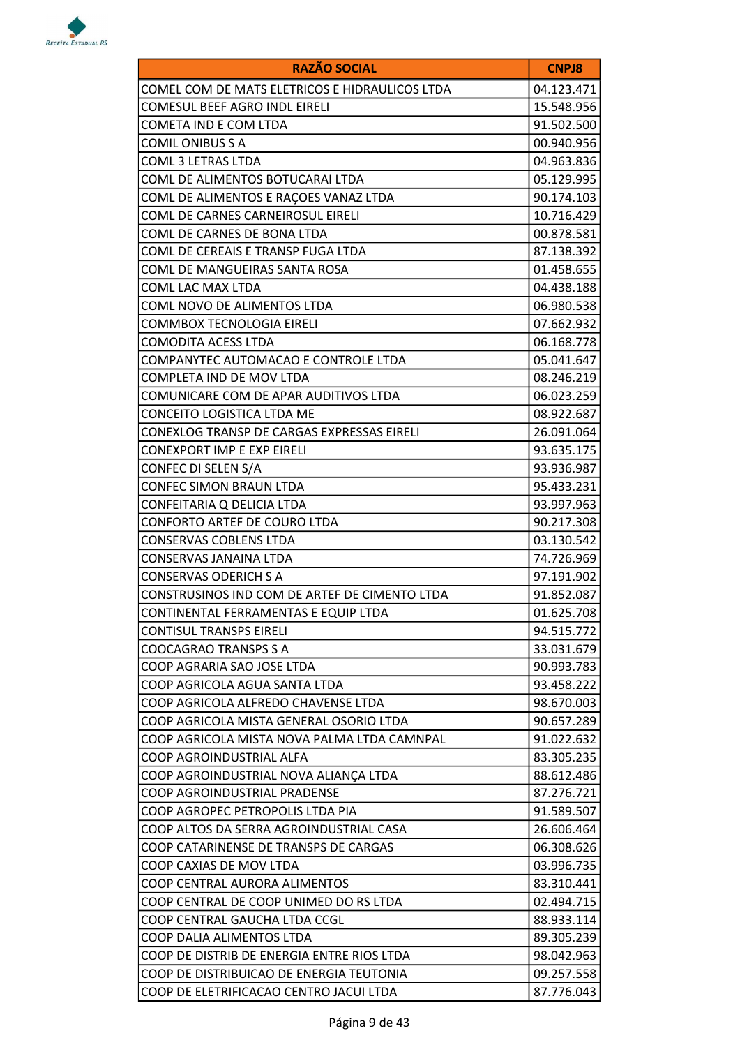

| <b>RAZÃO SOCIAL</b>                            | <b>CNPJ8</b> |
|------------------------------------------------|--------------|
| COMEL COM DE MATS ELETRICOS E HIDRAULICOS LTDA | 04.123.471   |
| COMESUL BEEF AGRO INDL EIRELI                  | 15.548.956   |
| COMETA IND E COM LTDA                          | 91.502.500   |
| <b>COMIL ONIBUS S A</b>                        | 00.940.956   |
| COML 3 LETRAS LTDA                             | 04.963.836   |
| COML DE ALIMENTOS BOTUCARAI LTDA               | 05.129.995   |
| COML DE ALIMENTOS E RAÇOES VANAZ LTDA          | 90.174.103   |
| COML DE CARNES CARNEIROSUL EIRELI              | 10.716.429   |
| COML DE CARNES DE BONA LTDA                    | 00.878.581   |
| COML DE CEREAIS E TRANSP FUGA LTDA             | 87.138.392   |
| COML DE MANGUEIRAS SANTA ROSA                  | 01.458.655   |
| COML LAC MAX LTDA                              | 04.438.188   |
| COML NOVO DE ALIMENTOS LTDA                    | 06.980.538   |
| COMMBOX TECNOLOGIA EIRELI                      | 07.662.932   |
| <b>COMODITA ACESS LTDA</b>                     | 06.168.778   |
| COMPANYTEC AUTOMACAO E CONTROLE LTDA           | 05.041.647   |
| COMPLETA IND DE MOV LTDA                       | 08.246.219   |
| COMUNICARE COM DE APAR AUDITIVOS LTDA          | 06.023.259   |
| CONCEITO LOGISTICA LTDA ME                     | 08.922.687   |
| CONEXLOG TRANSP DE CARGAS EXPRESSAS EIRELI     | 26.091.064   |
| <b>CONEXPORT IMP E EXP EIRELI</b>              | 93.635.175   |
| CONFEC DI SELEN S/A                            | 93.936.987   |
| <b>CONFEC SIMON BRAUN LTDA</b>                 | 95.433.231   |
| CONFEITARIA Q DELICIA LTDA                     | 93.997.963   |
| CONFORTO ARTEF DE COURO LTDA                   | 90.217.308   |
| <b>CONSERVAS COBLENS LTDA</b>                  | 03.130.542   |
| CONSERVAS JANAINA LTDA                         | 74.726.969   |
| <b>CONSERVAS ODERICH S A</b>                   | 97.191.902   |
| CONSTRUSINOS IND COM DE ARTEF DE CIMENTO LTDA  | 91.852.087   |
| CONTINENTAL FERRAMENTAS E EQUIP LTDA           | 01.625.708   |
| <b>CONTISUL TRANSPS EIRELI</b>                 | 94.515.772   |
| <b>COOCAGRAO TRANSPS S A</b>                   | 33.031.679   |
| COOP AGRARIA SAO JOSE LTDA                     | 90.993.783   |
| COOP AGRICOLA AGUA SANTA LTDA                  | 93.458.222   |
| COOP AGRICOLA ALFREDO CHAVENSE LTDA            | 98.670.003   |
| COOP AGRICOLA MISTA GENERAL OSORIO LTDA        | 90.657.289   |
| COOP AGRICOLA MISTA NOVA PALMA LTDA CAMNPAL    | 91.022.632   |
| COOP AGROINDUSTRIAL ALFA                       | 83.305.235   |
| COOP AGROINDUSTRIAL NOVA ALIANÇA LTDA          | 88.612.486   |
| COOP AGROINDUSTRIAL PRADENSE                   | 87.276.721   |
| COOP AGROPEC PETROPOLIS LTDA PIA               | 91.589.507   |
| COOP ALTOS DA SERRA AGROINDUSTRIAL CASA        | 26.606.464   |
| COOP CATARINENSE DE TRANSPS DE CARGAS          | 06.308.626   |
| COOP CAXIAS DE MOV LTDA                        | 03.996.735   |
| COOP CENTRAL AURORA ALIMENTOS                  | 83.310.441   |
| COOP CENTRAL DE COOP UNIMED DO RS LTDA         | 02.494.715   |
| COOP CENTRAL GAUCHA LTDA CCGL                  | 88.933.114   |
| COOP DALIA ALIMENTOS LTDA                      | 89.305.239   |
| COOP DE DISTRIB DE ENERGIA ENTRE RIOS LTDA     | 98.042.963   |
| COOP DE DISTRIBUICAO DE ENERGIA TEUTONIA       | 09.257.558   |
| COOP DE ELETRIFICACAO CENTRO JACUI LTDA        | 87.776.043   |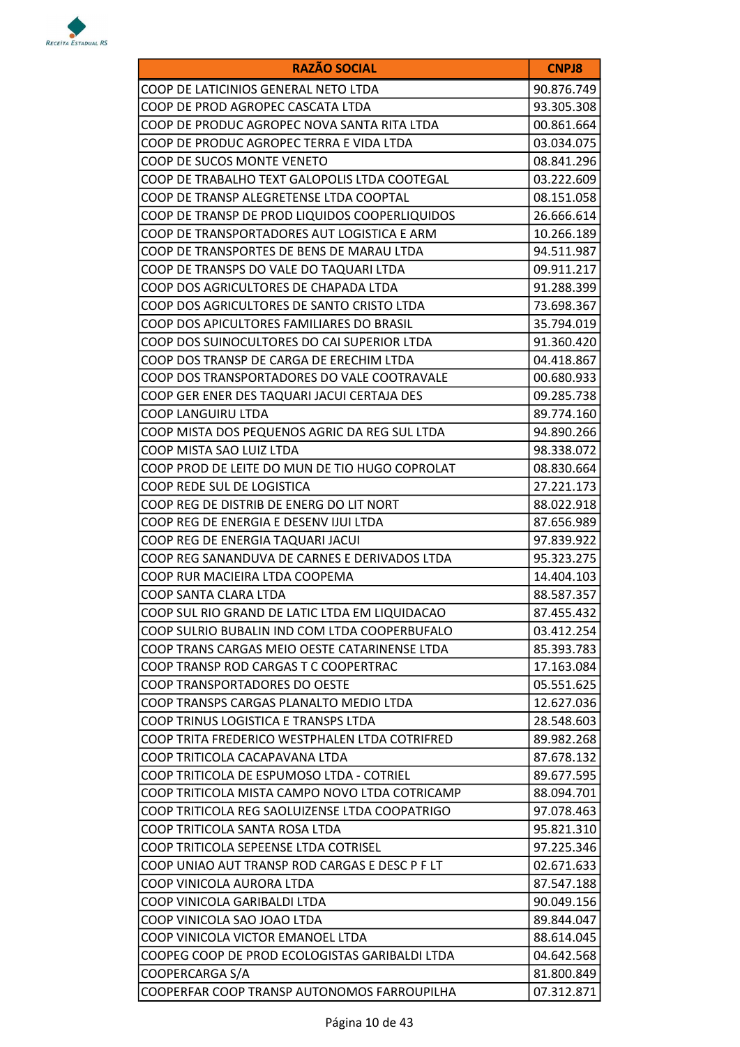

| <b>RAZÃO SOCIAL</b>                            | <b>CNPJ8</b> |
|------------------------------------------------|--------------|
| COOP DE LATICINIOS GENERAL NETO LTDA           | 90.876.749   |
| COOP DE PROD AGROPEC CASCATA LTDA              | 93.305.308   |
| COOP DE PRODUC AGROPEC NOVA SANTA RITA LTDA    | 00.861.664   |
| COOP DE PRODUC AGROPEC TERRA E VIDA LTDA       | 03.034.075   |
| COOP DE SUCOS MONTE VENETO                     | 08.841.296   |
| COOP DE TRABALHO TEXT GALOPOLIS LTDA COOTEGAL  | 03.222.609   |
| COOP DE TRANSP ALEGRETENSE LTDA COOPTAL        | 08.151.058   |
| COOP DE TRANSP DE PROD LIQUIDOS COOPERLIQUIDOS | 26.666.614   |
| COOP DE TRANSPORTADORES AUT LOGISTICA E ARM    | 10.266.189   |
| COOP DE TRANSPORTES DE BENS DE MARAU LTDA      | 94.511.987   |
| COOP DE TRANSPS DO VALE DO TAQUARI LTDA        | 09.911.217   |
| COOP DOS AGRICULTORES DE CHAPADA LTDA          | 91.288.399   |
| COOP DOS AGRICULTORES DE SANTO CRISTO LTDA     | 73.698.367   |
| COOP DOS APICULTORES FAMILIARES DO BRASIL      | 35.794.019   |
| COOP DOS SUINOCULTORES DO CAI SUPERIOR LTDA    | 91.360.420   |
| COOP DOS TRANSP DE CARGA DE ERECHIM LTDA       | 04.418.867   |
| COOP DOS TRANSPORTADORES DO VALE COOTRAVALE    | 00.680.933   |
| COOP GER ENER DES TAQUARI JACUI CERTAJA DES    | 09.285.738   |
| COOP LANGUIRU LTDA                             | 89.774.160   |
| COOP MISTA DOS PEQUENOS AGRIC DA REG SUL LTDA  | 94.890.266   |
| COOP MISTA SAO LUIZ LTDA                       | 98.338.072   |
| COOP PROD DE LEITE DO MUN DE TIO HUGO COPROLAT | 08.830.664   |
| COOP REDE SUL DE LOGISTICA                     | 27.221.173   |
| COOP REG DE DISTRIB DE ENERG DO LIT NORT       | 88.022.918   |
| COOP REG DE ENERGIA E DESENV IJUI LTDA         | 87.656.989   |
| COOP REG DE ENERGIA TAQUARI JACUI              | 97.839.922   |
| COOP REG SANANDUVA DE CARNES E DERIVADOS LTDA  | 95.323.275   |
| COOP RUR MACIEIRA LTDA COOPEMA                 | 14.404.103   |
| COOP SANTA CLARA LTDA                          | 88.587.357   |
| COOP SUL RIO GRAND DE LATIC LTDA EM LIQUIDACAO | 87.455.432   |
| COOP SULRIO BUBALIN IND COM LTDA COOPERBUFALO  | 03.412.254   |
| COOP TRANS CARGAS MEIO OESTE CATARINENSE LTDA  | 85.393.783   |
| COOP TRANSP ROD CARGAS T C COOPERTRAC          | 17.163.084   |
| COOP TRANSPORTADORES DO OESTE                  | 05.551.625   |
| COOP TRANSPS CARGAS PLANALTO MEDIO LTDA        | 12.627.036   |
| COOP TRINUS LOGISTICA E TRANSPS LTDA           | 28.548.603   |
| COOP TRITA FREDERICO WESTPHALEN LTDA COTRIFRED | 89.982.268   |
| COOP TRITICOLA CACAPAVANA LTDA                 | 87.678.132   |
| COOP TRITICOLA DE ESPUMOSO LTDA - COTRIEL      | 89.677.595   |
| COOP TRITICOLA MISTA CAMPO NOVO LTDA COTRICAMP | 88.094.701   |
| COOP TRITICOLA REG SAOLUIZENSE LTDA COOPATRIGO | 97.078.463   |
| COOP TRITICOLA SANTA ROSA LTDA                 | 95.821.310   |
| COOP TRITICOLA SEPEENSE LTDA COTRISEL          | 97.225.346   |
| COOP UNIAO AUT TRANSP ROD CARGAS E DESC P F LT | 02.671.633   |
| COOP VINICOLA AURORA LTDA                      | 87.547.188   |
| COOP VINICOLA GARIBALDI LTDA                   | 90.049.156   |
| COOP VINICOLA SAO JOAO LTDA                    | 89.844.047   |
| COOP VINICOLA VICTOR EMANOEL LTDA              | 88.614.045   |
| COOPEG COOP DE PROD ECOLOGISTAS GARIBALDI LTDA | 04.642.568   |
| COOPERCARGA S/A                                | 81.800.849   |
| COOPERFAR COOP TRANSP AUTONOMOS FARROUPILHA    | 07.312.871   |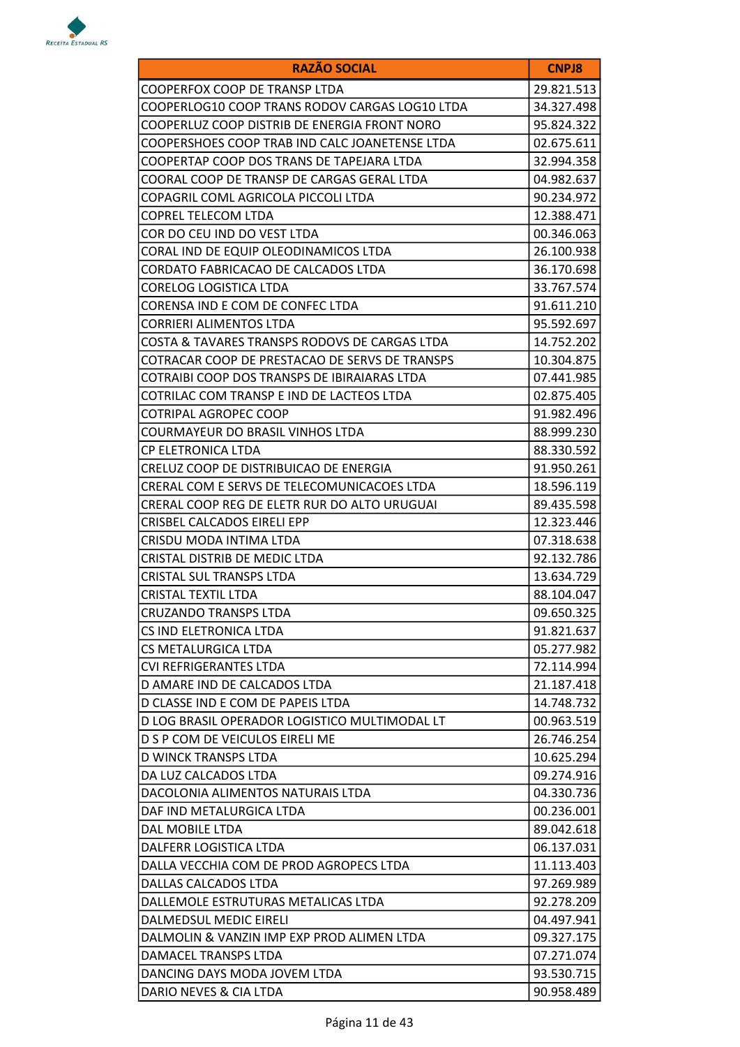

| <b>RAZÃO SOCIAL</b>                            | <b>CNPJ8</b> |
|------------------------------------------------|--------------|
| COOPERFOX COOP DE TRANSP LTDA                  | 29.821.513   |
| COOPERLOG10 COOP TRANS RODOV CARGAS LOG10 LTDA | 34.327.498   |
| COOPERLUZ COOP DISTRIB DE ENERGIA FRONT NORO   | 95.824.322   |
| COOPERSHOES COOP TRAB IND CALC JOANETENSE LTDA | 02.675.611   |
| COOPERTAP COOP DOS TRANS DE TAPEJARA LTDA      | 32.994.358   |
| COORAL COOP DE TRANSP DE CARGAS GERAL LTDA     | 04.982.637   |
| COPAGRIL COML AGRICOLA PICCOLI LTDA            | 90.234.972   |
| COPREL TELECOM LTDA                            | 12.388.471   |
| COR DO CEU IND DO VEST LTDA                    | 00.346.063   |
| CORAL IND DE EQUIP OLEODINAMICOS LTDA          | 26.100.938   |
| CORDATO FABRICACAO DE CALCADOS LTDA            | 36.170.698   |
| CORELOG LOGISTICA LTDA                         | 33.767.574   |
| CORENSA IND E COM DE CONFEC LTDA               | 91.611.210   |
| CORRIERI ALIMENTOS LTDA                        | 95.592.697   |
| COSTA & TAVARES TRANSPS RODOVS DE CARGAS LTDA  | 14.752.202   |
| COTRACAR COOP DE PRESTACAO DE SERVS DE TRANSPS | 10.304.875   |
| COTRAIBI COOP DOS TRANSPS DE IBIRAIARAS LTDA   | 07.441.985   |
| COTRILAC COM TRANSP E IND DE LACTEOS LTDA      | 02.875.405   |
| COTRIPAL AGROPEC COOP                          | 91.982.496   |
| COURMAYEUR DO BRASIL VINHOS LTDA               | 88.999.230   |
| CP ELETRONICA LTDA                             | 88.330.592   |
| CRELUZ COOP DE DISTRIBUICAO DE ENERGIA         | 91.950.261   |
| CRERAL COM E SERVS DE TELECOMUNICACOES LTDA    | 18.596.119   |
| CRERAL COOP REG DE ELETR RUR DO ALTO URUGUAI   | 89.435.598   |
| CRISBEL CALCADOS EIRELI EPP                    | 12.323.446   |
| CRISDU MODA INTIMA LTDA                        | 07.318.638   |
| CRISTAL DISTRIB DE MEDIC LTDA                  | 92.132.786   |
| <b>CRISTAL SUL TRANSPS LTDA</b>                | 13.634.729   |
| CRISTAL TEXTIL LTDA                            | 88.104.047   |
| CRUZANDO TRANSPS LTDA                          | 09.650.325   |
| CS IND ELETRONICA LTDA                         | 91.821.637   |
| CS METALURGICA LTDA                            | 05.277.982   |
| CVI REFRIGERANTES LTDA                         | 72.114.994   |
| D AMARE IND DE CALCADOS LTDA                   | 21.187.418   |
| D CLASSE IND E COM DE PAPEIS LTDA              | 14.748.732   |
| D LOG BRASIL OPERADOR LOGISTICO MULTIMODAL LT  | 00.963.519   |
| D S P COM DE VEICULOS EIRELI ME                | 26.746.254   |
| D WINCK TRANSPS LTDA                           | 10.625.294   |
| DA LUZ CALCADOS LTDA                           | 09.274.916   |
| DACOLONIA ALIMENTOS NATURAIS LTDA              | 04.330.736   |
| DAF IND METALURGICA LTDA                       | 00.236.001   |
| DAL MOBILE LTDA                                | 89.042.618   |
| DALFERR LOGISTICA LTDA                         | 06.137.031   |
| DALLA VECCHIA COM DE PROD AGROPECS LTDA        | 11.113.403   |
| DALLAS CALCADOS LTDA                           | 97.269.989   |
| DALLEMOLE ESTRUTURAS METALICAS LTDA            | 92.278.209   |
| DALMEDSUL MEDIC EIRELI                         | 04.497.941   |
| DALMOLIN & VANZIN IMP EXP PROD ALIMEN LTDA     | 09.327.175   |
| DAMACEL TRANSPS LTDA                           | 07.271.074   |
| DANCING DAYS MODA JOVEM LTDA                   | 93.530.715   |
| DARIO NEVES & CIA LTDA                         | 90.958.489   |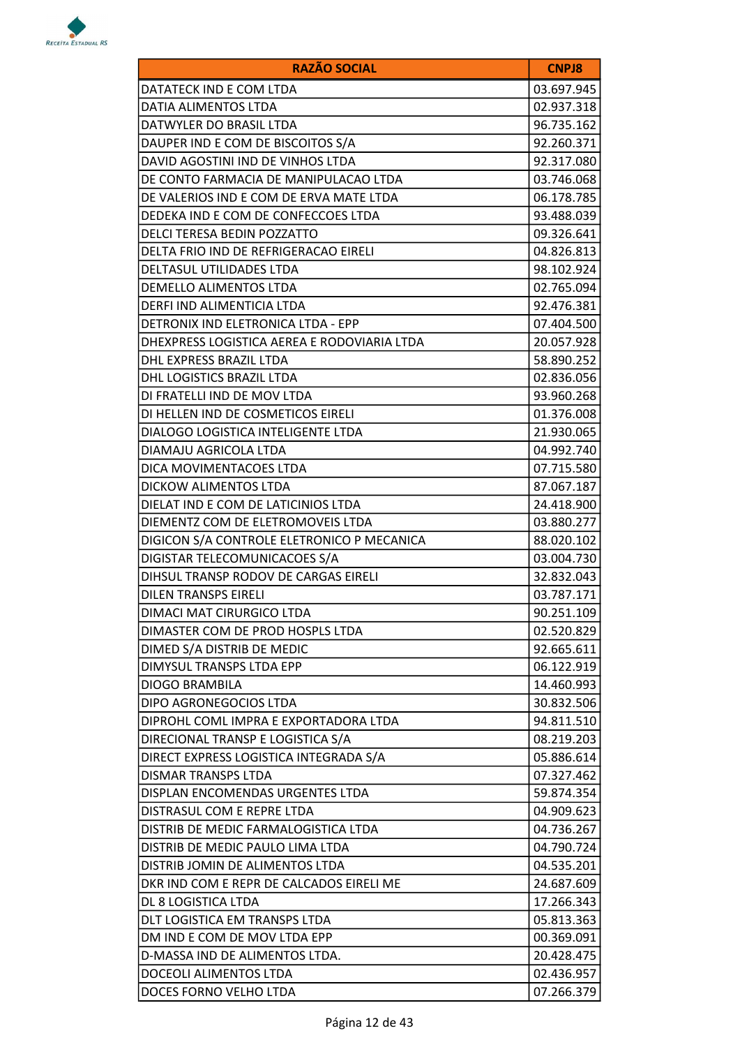

| <b>RAZÃO SOCIAL</b>                         | <b>CNPJ8</b> |
|---------------------------------------------|--------------|
| DATATECK IND E COM LTDA                     | 03.697.945   |
| DATIA ALIMENTOS LTDA                        | 02.937.318   |
| DATWYLER DO BRASIL LTDA                     | 96.735.162   |
| DAUPER IND E COM DE BISCOITOS S/A           | 92.260.371   |
| DAVID AGOSTINI IND DE VINHOS LTDA           | 92.317.080   |
| DE CONTO FARMACIA DE MANIPULACAO LTDA       | 03.746.068   |
| DE VALERIOS IND E COM DE ERVA MATE LTDA     | 06.178.785   |
| DEDEKA IND E COM DE CONFECCOES LTDA         | 93.488.039   |
| DELCI TERESA BEDIN POZZATTO                 | 09.326.641   |
| DELTA FRIO IND DE REFRIGERACAO EIRELI       | 04.826.813   |
| DELTASUL UTILIDADES LTDA                    | 98.102.924   |
| DEMELLO ALIMENTOS LTDA                      | 02.765.094   |
| DERFI IND ALIMENTICIA LTDA                  | 92.476.381   |
| DETRONIX IND ELETRONICA LTDA - EPP          | 07.404.500   |
| DHEXPRESS LOGISTICA AEREA E RODOVIARIA LTDA | 20.057.928   |
| <b>DHL EXPRESS BRAZIL LTDA</b>              | 58.890.252   |
| <b>DHL LOGISTICS BRAZIL LTDA</b>            | 02.836.056   |
| DI FRATELLI IND DE MOV LTDA                 | 93.960.268   |
| DI HELLEN IND DE COSMETICOS EIRELI          | 01.376.008   |
| DIALOGO LOGISTICA INTELIGENTE LTDA          | 21.930.065   |
| DIAMAJU AGRICOLA LTDA                       | 04.992.740   |
| DICA MOVIMENTACOES LTDA                     | 07.715.580   |
| DICKOW ALIMENTOS LTDA                       | 87.067.187   |
| DIELAT IND E COM DE LATICINIOS LTDA         | 24.418.900   |
| DIEMENTZ COM DE ELETROMOVEIS LTDA           | 03.880.277   |
| DIGICON S/A CONTROLE ELETRONICO P MECANICA  | 88.020.102   |
| DIGISTAR TELECOMUNICACOES S/A               | 03.004.730   |
| DIHSUL TRANSP RODOV DE CARGAS EIRELI        | 32.832.043   |
| <b>DILEN TRANSPS EIRELI</b>                 | 03.787.171   |
| DIMACI MAT CIRURGICO LTDA                   | 90.251.109   |
| DIMASTER COM DE PROD HOSPLS LTDA            | 02.520.829   |
| DIMED S/A DISTRIB DE MEDIC                  | 92.665.611   |
| DIMYSUL TRANSPS LTDA EPP                    | 06.122.919   |
| DIOGO BRAMBILA                              | 14.460.993   |
| DIPO AGRONEGOCIOS LTDA                      | 30.832.506   |
| DIPROHL COML IMPRA E EXPORTADORA LTDA       | 94.811.510   |
| DIRECIONAL TRANSP E LOGISTICA S/A           | 08.219.203   |
| DIRECT EXPRESS LOGISTICA INTEGRADA S/A      | 05.886.614   |
| DISMAR TRANSPS LTDA                         | 07.327.462   |
| DISPLAN ENCOMENDAS URGENTES LTDA            | 59.874.354   |
| DISTRASUL COM E REPRE LTDA                  | 04.909.623   |
| DISTRIB DE MEDIC FARMALOGISTICA LTDA        | 04.736.267   |
| DISTRIB DE MEDIC PAULO LIMA LTDA            | 04.790.724   |
| DISTRIB JOMIN DE ALIMENTOS LTDA             | 04.535.201   |
| DKR IND COM E REPR DE CALCADOS EIRELI ME    | 24.687.609   |
| DL 8 LOGISTICA LTDA                         | 17.266.343   |
| DLT LOGISTICA EM TRANSPS LTDA               | 05.813.363   |
| DM IND E COM DE MOV LTDA EPP                | 00.369.091   |
| D-MASSA IND DE ALIMENTOS LTDA.              | 20.428.475   |
| DOCEOLI ALIMENTOS LTDA                      | 02.436.957   |
| DOCES FORNO VELHO LTDA                      | 07.266.379   |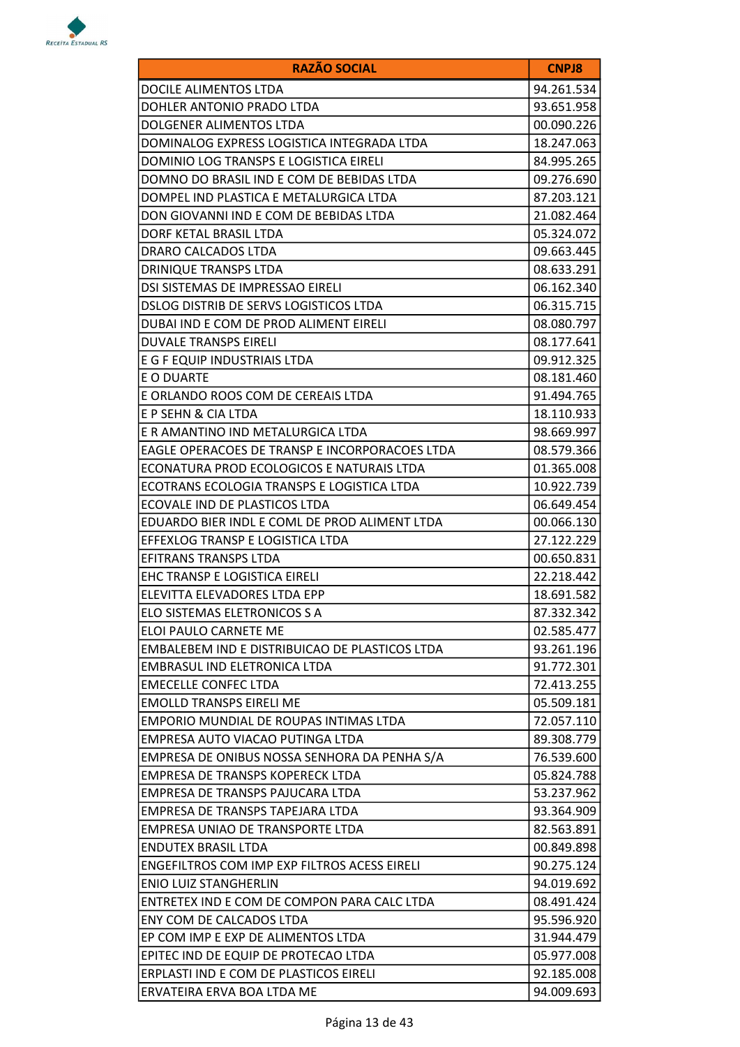

| <b>RAZÃO SOCIAL</b>                                 | <b>CNPJ8</b> |
|-----------------------------------------------------|--------------|
| DOCILE ALIMENTOS LTDA                               | 94.261.534   |
| DOHLER ANTONIO PRADO LTDA                           | 93.651.958   |
| DOLGENER ALIMENTOS LTDA                             | 00.090.226   |
| DOMINALOG EXPRESS LOGISTICA INTEGRADA LTDA          | 18.247.063   |
| DOMINIO LOG TRANSPS E LOGISTICA EIRELI              | 84.995.265   |
| DOMNO DO BRASIL IND E COM DE BEBIDAS LTDA           | 09.276.690   |
| DOMPEL IND PLASTICA E METALURGICA LTDA              | 87.203.121   |
| DON GIOVANNI IND E COM DE BEBIDAS LTDA              | 21.082.464   |
| DORF KETAL BRASIL LTDA                              | 05.324.072   |
| DRARO CALCADOS LTDA                                 | 09.663.445   |
| DRINIQUE TRANSPS LTDA                               | 08.633.291   |
| DSI SISTEMAS DE IMPRESSAO EIRELI                    | 06.162.340   |
| DSLOG DISTRIB DE SERVS LOGISTICOS LTDA              | 06.315.715   |
| DUBAI IND E COM DE PROD ALIMENT EIRELI              | 08.080.797   |
| <b>DUVALE TRANSPS EIRELI</b>                        | 08.177.641   |
| E G F EQUIP INDUSTRIAIS LTDA                        | 09.912.325   |
| E O DUARTE                                          | 08.181.460   |
| E ORLANDO ROOS COM DE CEREAIS LTDA                  | 91.494.765   |
| E P SEHN & CIA LTDA                                 | 18.110.933   |
| E R AMANTINO IND METALURGICA LTDA                   | 98.669.997   |
| EAGLE OPERACOES DE TRANSP E INCORPORACOES LTDA      | 08.579.366   |
| ECONATURA PROD ECOLOGICOS E NATURAIS LTDA           | 01.365.008   |
| ECOTRANS ECOLOGIA TRANSPS E LOGISTICA LTDA          | 10.922.739   |
| ECOVALE IND DE PLASTICOS LTDA                       | 06.649.454   |
| EDUARDO BIER INDL E COML DE PROD ALIMENT LTDA       | 00.066.130   |
| EFFEXLOG TRANSP E LOGISTICA LTDA                    | 27.122.229   |
| EFITRANS TRANSPS LTDA                               | 00.650.831   |
| EHC TRANSP E LOGISTICA EIRELI                       | 22.218.442   |
| ELEVITTA ELEVADORES LTDA EPP                        | 18.691.582   |
| ELO SISTEMAS ELETRONICOS S A                        | 87.332.342   |
| ELOI PAULO CARNETE ME                               | 02.585.477   |
| EMBALEBEM IND E DISTRIBUICAO DE PLASTICOS LTDA      | 93.261.196   |
| EMBRASUL IND ELETRONICA LTDA                        | 91.772.301   |
| <b>EMECELLE CONFEC LTDA</b>                         | 72.413.255   |
| <b>EMOLLD TRANSPS EIRELI ME</b>                     | 05.509.181   |
| EMPORIO MUNDIAL DE ROUPAS INTIMAS LTDA              | 72.057.110   |
| EMPRESA AUTO VIACAO PUTINGA LTDA                    | 89.308.779   |
| EMPRESA DE ONIBUS NOSSA SENHORA DA PENHA S/A        | 76.539.600   |
| EMPRESA DE TRANSPS KOPERECK LTDA                    | 05.824.788   |
| EMPRESA DE TRANSPS PAJUCARA LTDA                    | 53.237.962   |
| EMPRESA DE TRANSPS TAPEJARA LTDA                    | 93.364.909   |
| EMPRESA UNIAO DE TRANSPORTE LTDA                    | 82.563.891   |
| <b>ENDUTEX BRASIL LTDA</b>                          | 00.849.898   |
| <b>ENGEFILTROS COM IMP EXP FILTROS ACESS EIRELI</b> | 90.275.124   |
| <b>ENIO LUIZ STANGHERLIN</b>                        | 94.019.692   |
| ENTRETEX IND E COM DE COMPON PARA CALC LTDA         | 08.491.424   |
| ENY COM DE CALCADOS LTDA                            | 95.596.920   |
| EP COM IMP E EXP DE ALIMENTOS LTDA                  | 31.944.479   |
| EPITEC IND DE EQUIP DE PROTECAO LTDA                | 05.977.008   |
| ERPLASTI IND E COM DE PLASTICOS EIRELI              | 92.185.008   |
| ERVATEIRA ERVA BOA LTDA ME                          | 94.009.693   |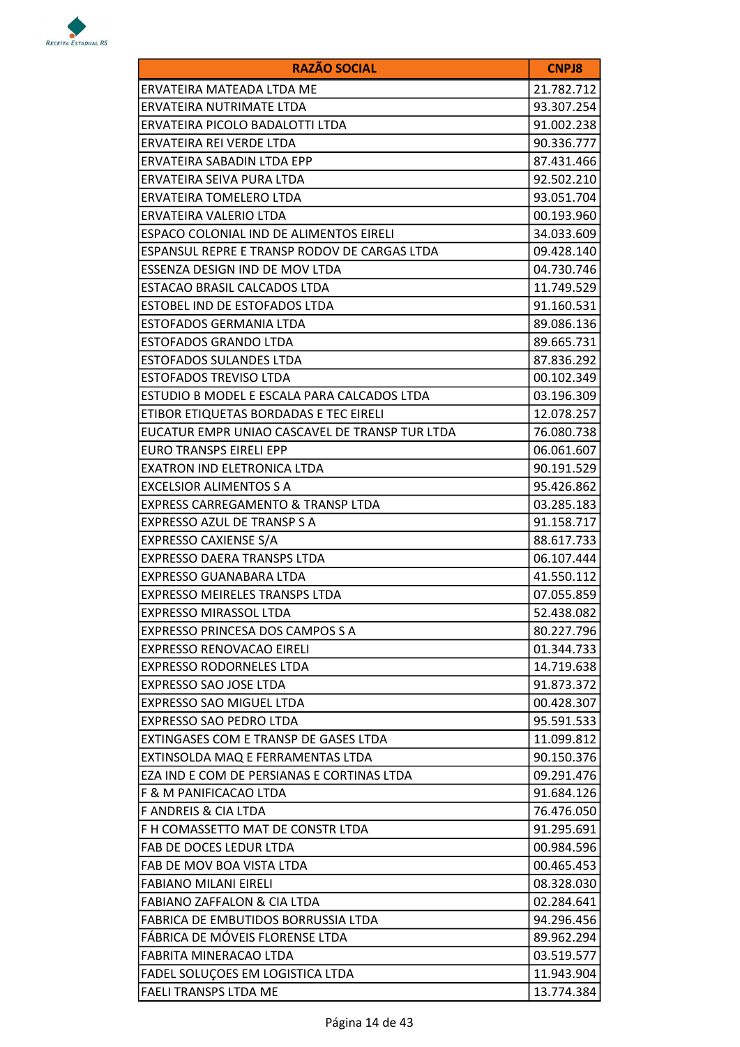

| <b>RAZÃO SOCIAL</b>                            | <b>CNPJ8</b> |
|------------------------------------------------|--------------|
| ERVATEIRA MATEADA LTDA ME                      | 21.782.712   |
| ERVATEIRA NUTRIMATE LTDA                       | 93.307.254   |
| ERVATEIRA PICOLO BADALOTTI LTDA                | 91.002.238   |
| ERVATEIRA REI VERDE LTDA                       | 90.336.777   |
| ERVATEIRA SABADIN LTDA EPP                     | 87.431.466   |
| ERVATEIRA SEIVA PURA LTDA                      | 92.502.210   |
| ERVATEIRA TOMELERO LTDA                        | 93.051.704   |
| ERVATEIRA VALERIO LTDA                         | 00.193.960   |
| ESPACO COLONIAL IND DE ALIMENTOS EIRELI        | 34.033.609   |
| ESPANSUL REPRE E TRANSP RODOV DE CARGAS LTDA   | 09.428.140   |
| ESSENZA DESIGN IND DE MOV LTDA                 | 04.730.746   |
| ESTACAO BRASIL CALCADOS LTDA                   | 11.749.529   |
| <b>ESTOBEL IND DE ESTOFADOS LTDA</b>           | 91.160.531   |
| ESTOFADOS GERMANIA LTDA                        | 89.086.136   |
| ESTOFADOS GRANDO LTDA                          | 89.665.731   |
| <b>ESTOFADOS SULANDES LTDA</b>                 | 87.836.292   |
| <b>ESTOFADOS TREVISO LTDA</b>                  | 00.102.349   |
| ESTUDIO B MODEL E ESCALA PARA CALCADOS LTDA    | 03.196.309   |
| ETIBOR ETIQUETAS BORDADAS E TEC EIRELI         | 12.078.257   |
| EUCATUR EMPR UNIAO CASCAVEL DE TRANSP TUR LTDA | 76.080.738   |
| EURO TRANSPS EIRELI EPP                        | 06.061.607   |
| EXATRON IND ELETRONICA LTDA                    | 90.191.529   |
| <b>EXCELSIOR ALIMENTOS S A</b>                 | 95.426.862   |
| <b>EXPRESS CARREGAMENTO &amp; TRANSP LTDA</b>  | 03.285.183   |
| EXPRESSO AZUL DE TRANSP S A                    | 91.158.717   |
| <b>EXPRESSO CAXIENSE S/A</b>                   | 88.617.733   |
| EXPRESSO DAERA TRANSPS LTDA                    | 06.107.444   |
| EXPRESSO GUANABARA LTDA                        | 41.550.112   |
| <b>EXPRESSO MEIRELES TRANSPS LTDA</b>          | 07.055.859   |
| EXPRESSO MIRASSOL LTDA                         | 52.438.082   |
| EXPRESSO PRINCESA DOS CAMPOS S A               | 80.227.796   |
| EXPRESSO RENOVACAO EIRELI                      | 01.344.733   |
| <b>EXPRESSO RODORNELES LTDA</b>                | 14.719.638   |
| <b>EXPRESSO SAO JOSE LTDA</b>                  | 91.873.372   |
| EXPRESSO SAO MIGUEL LTDA                       | 00.428.307   |
| <b>EXPRESSO SAO PEDRO LTDA</b>                 | 95.591.533   |
| EXTINGASES COM E TRANSP DE GASES LTDA          | 11.099.812   |
| EXTINSOLDA MAQ E FERRAMENTAS LTDA              | 90.150.376   |
| EZA IND E COM DE PERSIANAS E CORTINAS LTDA     | 09.291.476   |
| F & M PANIFICACAO LTDA                         | 91.684.126   |
| <b>F ANDREIS &amp; CIA LTDA</b>                | 76.476.050   |
| F H COMASSETTO MAT DE CONSTR LTDA              | 91.295.691   |
| FAB DE DOCES LEDUR LTDA                        | 00.984.596   |
| FAB DE MOV BOA VISTA LTDA                      | 00.465.453   |
| <b>FABIANO MILANI EIRELI</b>                   | 08.328.030   |
| <b>FABIANO ZAFFALON &amp; CIA LTDA</b>         | 02.284.641   |
| FABRICA DE EMBUTIDOS BORRUSSIA LTDA            | 94.296.456   |
| FÁBRICA DE MÓVEIS FLORENSE LTDA                | 89.962.294   |
| FABRITA MINERACAO LTDA                         | 03.519.577   |
| FADEL SOLUÇOES EM LOGISTICA LTDA               | 11.943.904   |
| <b>FAELI TRANSPS LTDA ME</b>                   | 13.774.384   |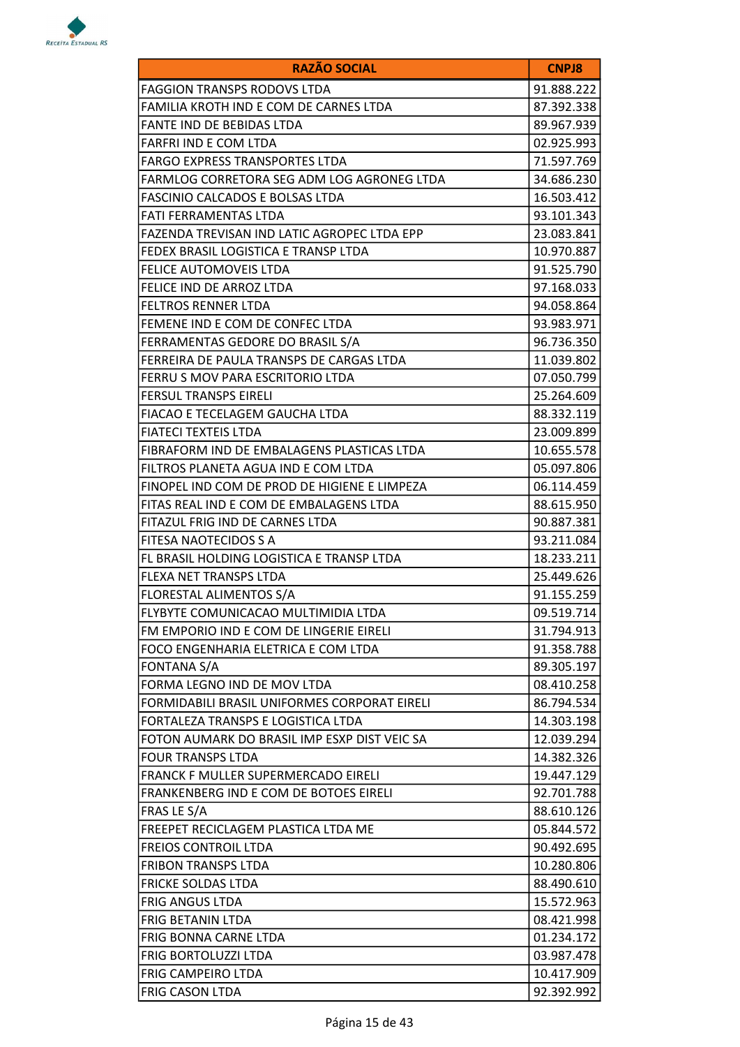

| <b>RAZÃO SOCIAL</b>                          | <b>CNPJ8</b> |
|----------------------------------------------|--------------|
| <b>FAGGION TRANSPS RODOVS LTDA</b>           | 91.888.222   |
| FAMILIA KROTH IND E COM DE CARNES LTDA       | 87.392.338   |
| FANTE IND DE BEBIDAS LTDA                    | 89.967.939   |
| FARFRI IND E COM LTDA                        | 02.925.993   |
| <b>FARGO EXPRESS TRANSPORTES LTDA</b>        | 71.597.769   |
| FARMLOG CORRETORA SEG ADM LOG AGRONEG LTDA   | 34.686.230   |
| FASCINIO CALCADOS E BOLSAS LTDA              | 16.503.412   |
| FATI FERRAMENTAS LTDA                        | 93.101.343   |
| FAZENDA TREVISAN IND LATIC AGROPEC LTDA EPP  | 23.083.841   |
| FEDEX BRASIL LOGISTICA E TRANSP LTDA         | 10.970.887   |
| FELICE AUTOMOVEIS LTDA                       | 91.525.790   |
| FELICE IND DE ARROZ LTDA                     | 97.168.033   |
| <b>FELTROS RENNER LTDA</b>                   | 94.058.864   |
| FEMENE IND E COM DE CONFEC LTDA              | 93.983.971   |
| FERRAMENTAS GEDORE DO BRASIL S/A             | 96.736.350   |
| FERREIRA DE PAULA TRANSPS DE CARGAS LTDA     | 11.039.802   |
| FERRU S MOV PARA ESCRITORIO LTDA             | 07.050.799   |
| <b>FERSUL TRANSPS EIRELI</b>                 | 25.264.609   |
| FIACAO E TECELAGEM GAUCHA LTDA               | 88.332.119   |
| <b>FIATECI TEXTEIS LTDA</b>                  | 23.009.899   |
| FIBRAFORM IND DE EMBALAGENS PLASTICAS LTDA   | 10.655.578   |
| FILTROS PLANETA AGUA IND E COM LTDA          | 05.097.806   |
| FINOPEL IND COM DE PROD DE HIGIENE E LIMPEZA | 06.114.459   |
| FITAS REAL IND E COM DE EMBALAGENS LTDA      | 88.615.950   |
| FITAZUL FRIG IND DE CARNES LTDA              | 90.887.381   |
| FITESA NAOTECIDOS S A                        | 93.211.084   |
| FL BRASIL HOLDING LOGISTICA E TRANSP LTDA    | 18.233.211   |
| <b>FLEXA NET TRANSPS LTDA</b>                | 25.449.626   |
| FLORESTAL ALIMENTOS S/A                      | 91.155.259   |
| FLYBYTE COMUNICACAO MULTIMIDIA LTDA          | 09.519.714   |
| FM EMPORIO IND E COM DE LINGERIE EIRELI      | 31.794.913   |
| FOCO ENGENHARIA ELETRICA E COM LTDA          | 91.358.788   |
| <b>FONTANA S/A</b>                           | 89.305.197   |
| FORMA LEGNO IND DE MOV LTDA                  | 08.410.258   |
| FORMIDABILI BRASIL UNIFORMES CORPORAT EIRELI | 86.794.534   |
| FORTALEZA TRANSPS E LOGISTICA LTDA           | 14.303.198   |
| FOTON AUMARK DO BRASIL IMP ESXP DIST VEIC SA | 12.039.294   |
| <b>FOUR TRANSPS LTDA</b>                     | 14.382.326   |
| <b>FRANCK F MULLER SUPERMERCADO EIRELI</b>   | 19.447.129   |
| FRANKENBERG IND E COM DE BOTOES EIRELI       | 92.701.788   |
| FRAS LE S/A                                  | 88.610.126   |
| FREEPET RECICLAGEM PLASTICA LTDA ME          | 05.844.572   |
| <b>FREIOS CONTROIL LTDA</b>                  | 90.492.695   |
| <b>FRIBON TRANSPS LTDA</b>                   | 10.280.806   |
| <b>FRICKE SOLDAS LTDA</b>                    | 88.490.610   |
| <b>FRIG ANGUS LTDA</b>                       | 15.572.963   |
| <b>FRIG BETANIN LTDA</b>                     | 08.421.998   |
| FRIG BONNA CARNE LTDA                        | 01.234.172   |
| <b>FRIG BORTOLUZZI LTDA</b>                  | 03.987.478   |
| FRIG CAMPEIRO LTDA                           | 10.417.909   |
| <b>FRIG CASON LTDA</b>                       | 92.392.992   |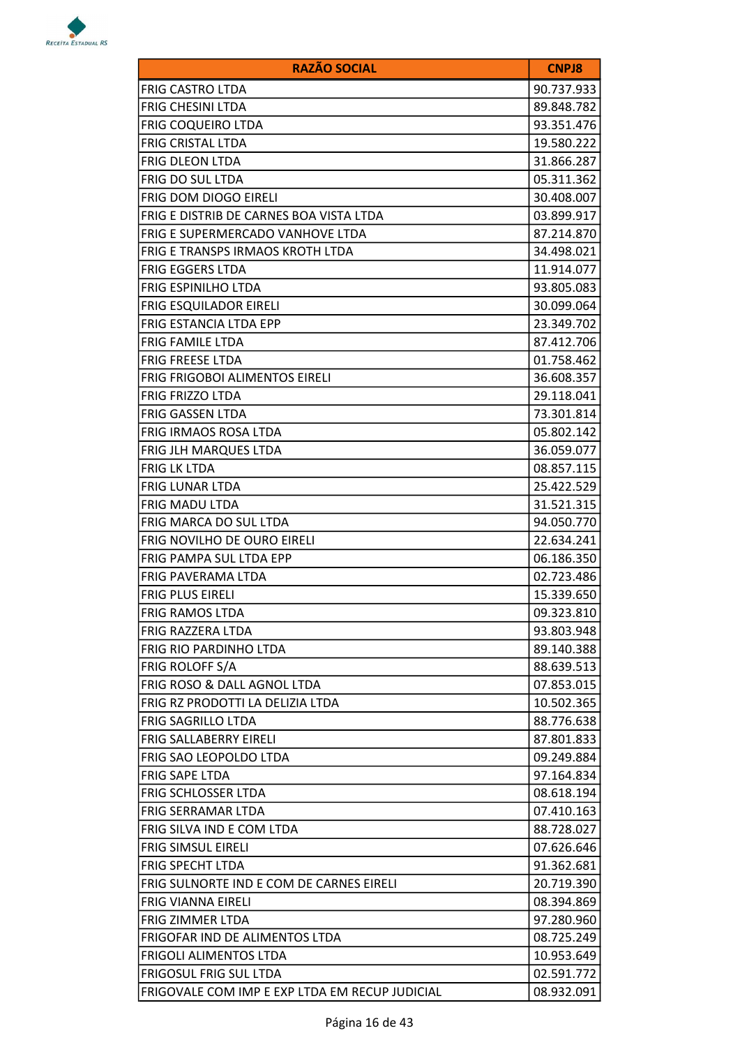

| <b>RAZÃO SOCIAL</b>                            | <b>CNPJ8</b> |
|------------------------------------------------|--------------|
| <b>FRIG CASTRO LTDA</b>                        | 90.737.933   |
| <b>FRIG CHESINI LTDA</b>                       | 89.848.782   |
| <b>FRIG COQUEIRO LTDA</b>                      | 93.351.476   |
| <b>FRIG CRISTAL LTDA</b>                       | 19.580.222   |
| <b>FRIG DLEON LTDA</b>                         | 31.866.287   |
| <b>FRIG DO SUL LTDA</b>                        | 05.311.362   |
| <b>FRIG DOM DIOGO EIRELI</b>                   | 30.408.007   |
| FRIG E DISTRIB DE CARNES BOA VISTA LTDA        | 03.899.917   |
| FRIG E SUPERMERCADO VANHOVE LTDA               | 87.214.870   |
| FRIG E TRANSPS IRMAOS KROTH LTDA               | 34.498.021   |
| <b>FRIG EGGERS LTDA</b>                        | 11.914.077   |
| <b>FRIG ESPINILHO LTDA</b>                     | 93.805.083   |
| <b>FRIG ESQUILADOR EIRELI</b>                  | 30.099.064   |
| <b>FRIG ESTANCIA LTDA EPP</b>                  | 23.349.702   |
| <b>FRIG FAMILE LTDA</b>                        | 87.412.706   |
| <b>FRIG FREESE LTDA</b>                        | 01.758.462   |
| <b>FRIG FRIGOBOI ALIMENTOS EIRELI</b>          | 36.608.357   |
| <b>FRIG FRIZZO LTDA</b>                        | 29.118.041   |
| <b>FRIG GASSEN LTDA</b>                        | 73.301.814   |
| FRIG IRMAOS ROSA LTDA                          | 05.802.142   |
| <b>FRIG JLH MARQUES LTDA</b>                   | 36.059.077   |
| <b>FRIG LK LTDA</b>                            | 08.857.115   |
| <b>FRIG LUNAR LTDA</b>                         | 25.422.529   |
| <b>FRIG MADU LTDA</b>                          | 31.521.315   |
| FRIG MARCA DO SUL LTDA                         | 94.050.770   |
| FRIG NOVILHO DE OURO EIRELI                    | 22.634.241   |
| FRIG PAMPA SUL LTDA EPP                        | 06.186.350   |
| FRIG PAVERAMA LTDA                             | 02.723.486   |
| <b>FRIG PLUS EIRELI</b>                        | 15.339.650   |
| FRIG RAMOS LTDA                                | 09.323.810   |
| lFRIG RAZZERA LTDA                             | 93.803.948   |
| FRIG RIO PARDINHO LTDA                         | 89.140.388   |
| <b>FRIG ROLOFF S/A</b>                         | 88.639.513   |
| FRIG ROSO & DALL AGNOL LTDA                    | 07.853.015   |
| FRIG RZ PRODOTTI LA DELIZIA LTDA               | 10.502.365   |
| FRIG SAGRILLO LTDA                             | 88.776.638   |
| FRIG SALLABERRY EIRELI                         | 87.801.833   |
| FRIG SAO LEOPOLDO LTDA                         | 09.249.884   |
| FRIG SAPE LTDA                                 | 97.164.834   |
| FRIG SCHLOSSER LTDA                            | 08.618.194   |
| <b>FRIG SERRAMAR LTDA</b>                      | 07.410.163   |
| <b>FRIG SILVA IND E COM LTDA</b>               | 88.728.027   |
| FRIG SIMSUL EIRELI                             | 07.626.646   |
| FRIG SPECHT LTDA                               | 91.362.681   |
| FRIG SULNORTE IND E COM DE CARNES EIRELI       | 20.719.390   |
| <b>FRIG VIANNA EIRELI</b>                      | 08.394.869   |
| FRIG ZIMMER LTDA                               | 97.280.960   |
| FRIGOFAR IND DE ALIMENTOS LTDA                 | 08.725.249   |
| FRIGOLI ALIMENTOS LTDA                         | 10.953.649   |
| FRIGOSUL FRIG SUL LTDA                         | 02.591.772   |
| FRIGOVALE COM IMP E EXP LTDA EM RECUP JUDICIAL | 08.932.091   |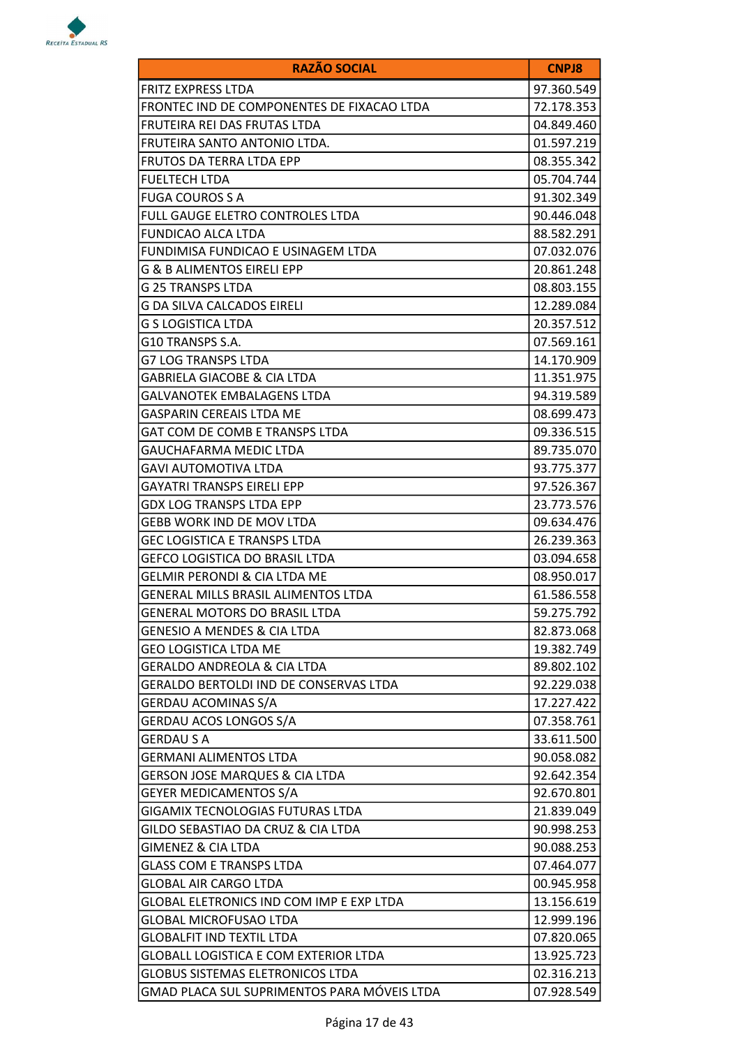

| <b>RAZÃO SOCIAL</b>                          | <b>CNPJ8</b> |
|----------------------------------------------|--------------|
| FRITZ EXPRESS LTDA                           | 97.360.549   |
| FRONTEC IND DE COMPONENTES DE FIXACAO LTDA   | 72.178.353   |
| FRUTEIRA REI DAS FRUTAS LTDA                 | 04.849.460   |
| FRUTEIRA SANTO ANTONIO LTDA.                 | 01.597.219   |
| <b>FRUTOS DA TERRA LTDA EPP</b>              | 08.355.342   |
| FUELTECH LTDA                                | 05.704.744   |
| <b>FUGA COUROS S A</b>                       | 91.302.349   |
| FULL GAUGE ELETRO CONTROLES LTDA             | 90.446.048   |
| FUNDICAO ALCA LTDA                           | 88.582.291   |
| FUNDIMISA FUNDICAO E USINAGEM LTDA           | 07.032.076   |
| <b>G &amp; B ALIMENTOS EIRELI EPP</b>        | 20.861.248   |
| G 25 TRANSPS LTDA                            | 08.803.155   |
| G DA SILVA CALCADOS EIRELI                   | 12.289.084   |
| <b>G S LOGISTICA LTDA</b>                    | 20.357.512   |
| G10 TRANSPS S.A.                             | 07.569.161   |
| G7 LOG TRANSPS LTDA                          | 14.170.909   |
| GABRIELA GIACOBE & CIA LTDA                  | 11.351.975   |
| GALVANOTEK EMBALAGENS LTDA                   | 94.319.589   |
| <b>GASPARIN CEREAIS LTDA ME</b>              | 08.699.473   |
| GAT COM DE COMB E TRANSPS LTDA               | 09.336.515   |
| GAUCHAFARMA MEDIC LTDA                       | 89.735.070   |
| GAVI AUTOMOTIVA LTDA                         | 93.775.377   |
| GAYATRI TRANSPS EIRELI EPP                   | 97.526.367   |
| GDX LOG TRANSPS LTDA EPP                     | 23.773.576   |
| GEBB WORK IND DE MOV LTDA                    | 09.634.476   |
| <b>GEC LOGISTICA E TRANSPS LTDA</b>          | 26.239.363   |
| GEFCO LOGISTICA DO BRASIL LTDA               | 03.094.658   |
| <b>GELMIR PERONDI &amp; CIA LTDA ME</b>      | 08.950.017   |
| GENERAL MILLS BRASIL ALIMENTOS LTDA          | 61.586.558   |
| <b>GENERAL MOTORS DO BRASIL LTDA</b>         | 59.275.792   |
| <b>GENESIO A MENDES &amp; CIA LTDA</b>       | 82.873.068   |
| <b>GEO LOGISTICA LTDA ME</b>                 | 19.382.749   |
| <b>GERALDO ANDREOLA &amp; CIA LTDA</b>       | 89.802.102   |
| GERALDO BERTOLDI IND DE CONSERVAS LTDA       | 92.229.038   |
| <b>GERDAU ACOMINAS S/A</b>                   | 17.227.422   |
| <b>GERDAU ACOS LONGOS S/A</b>                | 07.358.761   |
| <b>GERDAU S A</b>                            | 33.611.500   |
| <b>GERMANI ALIMENTOS LTDA</b>                | 90.058.082   |
| <b>GERSON JOSE MARQUES &amp; CIA LTDA</b>    | 92.642.354   |
| <b>GEYER MEDICAMENTOS S/A</b>                | 92.670.801   |
| GIGAMIX TECNOLOGIAS FUTURAS LTDA             | 21.839.049   |
| GILDO SEBASTIAO DA CRUZ & CIA LTDA           | 90.998.253   |
| <b>GIMENEZ &amp; CIA LTDA</b>                | 90.088.253   |
| <b>GLASS COM E TRANSPS LTDA</b>              | 07.464.077   |
| <b>GLOBAL AIR CARGO LTDA</b>                 | 00.945.958   |
| GLOBAL ELETRONICS IND COM IMP E EXP LTDA     | 13.156.619   |
| <b>GLOBAL MICROFUSAO LTDA</b>                | 12.999.196   |
| <b>GLOBALFIT IND TEXTIL LTDA</b>             | 07.820.065   |
| <b>GLOBALL LOGISTICA E COM EXTERIOR LTDA</b> | 13.925.723   |
| <b>GLOBUS SISTEMAS ELETRONICOS LTDA</b>      | 02.316.213   |
| GMAD PLACA SUL SUPRIMENTOS PARA MÓVEIS LTDA  | 07.928.549   |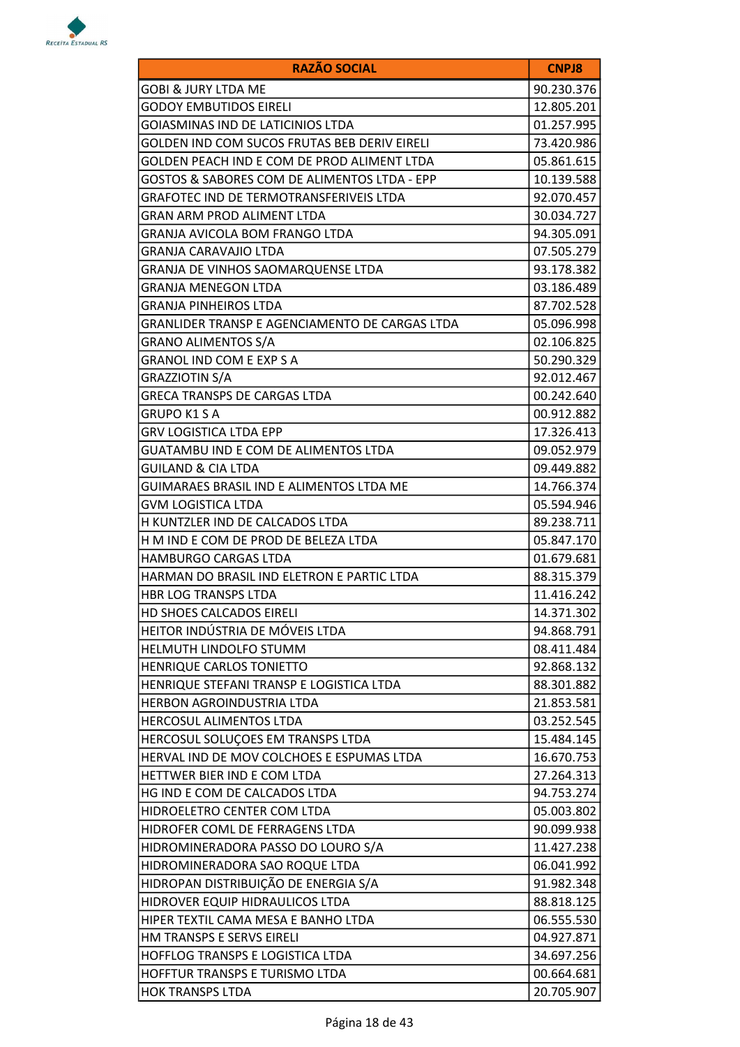

| <b>RAZÃO SOCIAL</b>                            | <b>CNPJ8</b> |
|------------------------------------------------|--------------|
| <b>GOBI &amp; JURY LTDA ME</b>                 | 90.230.376   |
| <b>GODOY EMBUTIDOS EIRELI</b>                  | 12.805.201   |
| <b>GOIASMINAS IND DE LATICINIOS LTDA</b>       | 01.257.995   |
| GOLDEN IND COM SUCOS FRUTAS BEB DERIV EIRELI   | 73.420.986   |
| GOLDEN PEACH IND E COM DE PROD ALIMENT LTDA    | 05.861.615   |
| GOSTOS & SABORES COM DE ALIMENTOS LTDA - EPP   | 10.139.588   |
| <b>GRAFOTEC IND DE TERMOTRANSFERIVEIS LTDA</b> | 92.070.457   |
| <b>GRAN ARM PROD ALIMENT LTDA</b>              | 30.034.727   |
| <b>GRANJA AVICOLA BOM FRANGO LTDA</b>          | 94.305.091   |
| GRANJA CARAVAJIO LTDA                          | 07.505.279   |
| GRANJA DE VINHOS SAOMARQUENSE LTDA             | 93.178.382   |
| <b>GRANJA MENEGON LTDA</b>                     | 03.186.489   |
| <b>GRANJA PINHEIROS LTDA</b>                   | 87.702.528   |
| GRANLIDER TRANSP E AGENCIAMENTO DE CARGAS LTDA | 05.096.998   |
| <b>GRANO ALIMENTOS S/A</b>                     | 02.106.825   |
| <b>GRANOL IND COM E EXP S A</b>                | 50.290.329   |
| <b>GRAZZIOTIN S/A</b>                          | 92.012.467   |
| <b>GRECA TRANSPS DE CARGAS LTDA</b>            | 00.242.640   |
| <b>GRUPO K1 S A</b>                            | 00.912.882   |
| GRV LOGISTICA LTDA EPP                         | 17.326.413   |
| GUATAMBU IND E COM DE ALIMENTOS LTDA           | 09.052.979   |
| <b>GUILAND &amp; CIA LTDA</b>                  | 09.449.882   |
| GUIMARAES BRASIL IND E ALIMENTOS LTDA ME       | 14.766.374   |
| <b>GVM LOGISTICA LTDA</b>                      | 05.594.946   |
| H KUNTZLER IND DE CALCADOS LTDA                | 89.238.711   |
| H M IND E COM DE PROD DE BELEZA LTDA           | 05.847.170   |
| HAMBURGO CARGAS LTDA                           | 01.679.681   |
| HARMAN DO BRASIL IND ELETRON E PARTIC LTDA     | 88.315.379   |
| <b>HBR LOG TRANSPS LTDA</b>                    | 11.416.242   |
| HD SHOES CALCADOS EIRELI                       | 14.371.302   |
| HEITOR INDÚSTRIA DE MÓVEIS LTDA                | 94.868.791   |
| HELMUTH LINDOLFO STUMM                         | 08.411.484   |
| HENRIQUE CARLOS TONIETTO                       | 92.868.132   |
| HENRIQUE STEFANI TRANSP E LOGISTICA LTDA       | 88.301.882   |
| HERBON AGROINDUSTRIA LTDA                      | 21.853.581   |
| HERCOSUL ALIMENTOS LTDA                        | 03.252.545   |
| HERCOSUL SOLUÇOES EM TRANSPS LTDA              | 15.484.145   |
| HERVAL IND DE MOV COLCHOES E ESPUMAS LTDA      | 16.670.753   |
| HETTWER BIER IND E COM LTDA                    | 27.264.313   |
| HG IND E COM DE CALCADOS LTDA                  | 94.753.274   |
| HIDROELETRO CENTER COM LTDA                    | 05.003.802   |
| HIDROFER COML DE FERRAGENS LTDA                | 90.099.938   |
| HIDROMINERADORA PASSO DO LOURO S/A             | 11.427.238   |
| HIDROMINERADORA SAO ROQUE LTDA                 | 06.041.992   |
| HIDROPAN DISTRIBUIÇÃO DE ENERGIA S/A           | 91.982.348   |
| HIDROVER EQUIP HIDRAULICOS LTDA                | 88.818.125   |
| HIPER TEXTIL CAMA MESA E BANHO LTDA            | 06.555.530   |
| HM TRANSPS E SERVS EIRELI                      | 04.927.871   |
| HOFFLOG TRANSPS E LOGISTICA LTDA               | 34.697.256   |
| HOFFTUR TRANSPS E TURISMO LTDA                 | 00.664.681   |
| <b>HOK TRANSPS LTDA</b>                        | 20.705.907   |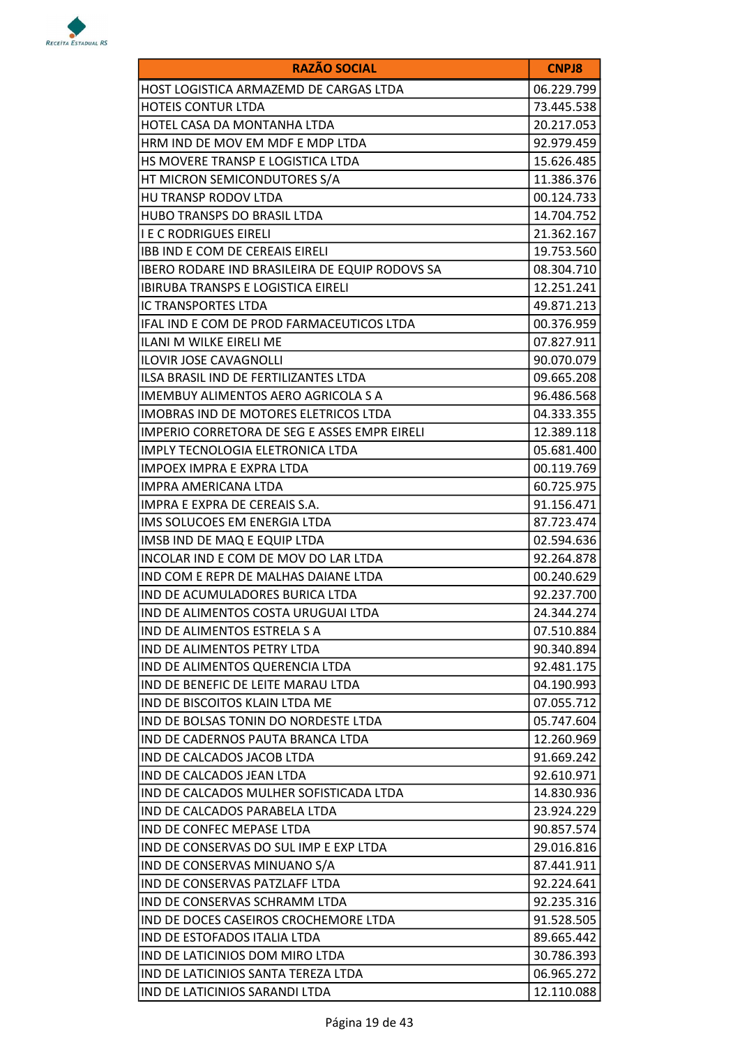

| <b>RAZÃO SOCIAL</b>                            | <b>CNPJ8</b> |
|------------------------------------------------|--------------|
| HOST LOGISTICA ARMAZEMD DE CARGAS LTDA         | 06.229.799   |
| <b>HOTEIS CONTUR LTDA</b>                      | 73.445.538   |
| HOTEL CASA DA MONTANHA LTDA                    | 20.217.053   |
| HRM IND DE MOV EM MDF E MDP LTDA               | 92.979.459   |
| HS MOVERE TRANSP E LOGISTICA LTDA              | 15.626.485   |
| HT MICRON SEMICONDUTORES S/A                   | 11.386.376   |
| HU TRANSP RODOV LTDA                           | 00.124.733   |
| HUBO TRANSPS DO BRASIL LTDA                    | 14.704.752   |
| <b>I E C RODRIGUES EIRELI</b>                  | 21.362.167   |
| <b>IBB IND E COM DE CEREAIS EIRELI</b>         | 19.753.560   |
| IBERO RODARE IND BRASILEIRA DE EQUIP RODOVS SA | 08.304.710   |
| <b>IBIRUBA TRANSPS E LOGISTICA EIRELI</b>      | 12.251.241   |
| <b>IC TRANSPORTES LTDA</b>                     | 49.871.213   |
| IFAL IND E COM DE PROD FARMACEUTICOS LTDA      | 00.376.959   |
| ILANI M WILKE EIRELI ME                        | 07.827.911   |
| <b>ILOVIR JOSE CAVAGNOLLI</b>                  | 90.070.079   |
| ILSA BRASIL IND DE FERTILIZANTES LTDA          | 09.665.208   |
| <b>IMEMBUY ALIMENTOS AERO AGRICOLA S A</b>     | 96.486.568   |
| IMOBRAS IND DE MOTORES ELETRICOS LTDA          | 04.333.355   |
| IMPERIO CORRETORA DE SEG E ASSES EMPR EIRELI   | 12.389.118   |
| IMPLY TECNOLOGIA ELETRONICA LTDA               | 05.681.400   |
| <b>IMPOEX IMPRA E EXPRA LTDA</b>               | 00.119.769   |
| IMPRA AMERICANA LTDA                           | 60.725.975   |
| IMPRA E EXPRA DE CEREAIS S.A.                  | 91.156.471   |
| IMS SOLUCOES EM ENERGIA LTDA                   | 87.723.474   |
| IMSB IND DE MAQ E EQUIP LTDA                   | 02.594.636   |
| INCOLAR IND E COM DE MOV DO LAR LTDA           | 92.264.878   |
| IND COM E REPR DE MALHAS DAIANE LTDA           | 00.240.629   |
| IND DE ACUMULADORES BURICA LTDA                | 92.237.700   |
| IND DE ALIMENTOS COSTA URUGUAI LTDA            | 24.344.274   |
| IND DE ALIMENTOS ESTRELA S A                   | 07.510.884   |
| <b>IND DE ALIMENTOS PETRY LTDA</b>             | 90.340.894   |
| IND DE ALIMENTOS QUERENCIA LTDA                | 92.481.175   |
| IND DE BENEFIC DE LEITE MARAU LTDA             | 04.190.993   |
| IND DE BISCOITOS KLAIN LTDA ME                 | 07.055.712   |
| IND DE BOLSAS TONIN DO NORDESTE LTDA           | 05.747.604   |
| IND DE CADERNOS PAUTA BRANCA LTDA              | 12.260.969   |
| IND DE CALCADOS JACOB LTDA                     | 91.669.242   |
| IND DE CALCADOS JEAN LTDA                      | 92.610.971   |
| IND DE CALCADOS MULHER SOFISTICADA LTDA        | 14.830.936   |
| IND DE CALCADOS PARABELA LTDA                  | 23.924.229   |
| IND DE CONFEC MEPASE LTDA                      | 90.857.574   |
| IND DE CONSERVAS DO SUL IMP E EXP LTDA         | 29.016.816   |
| IND DE CONSERVAS MINUANO S/A                   | 87.441.911   |
| IND DE CONSERVAS PATZLAFF LTDA                 | 92.224.641   |
| IND DE CONSERVAS SCHRAMM LTDA                  | 92.235.316   |
| IND DE DOCES CASEIROS CROCHEMORE LTDA          | 91.528.505   |
| IND DE ESTOFADOS ITALIA LTDA                   | 89.665.442   |
| IND DE LATICINIOS DOM MIRO LTDA                | 30.786.393   |
| IND DE LATICINIOS SANTA TEREZA LTDA            | 06.965.272   |
| IND DE LATICINIOS SARANDI LTDA                 | 12.110.088   |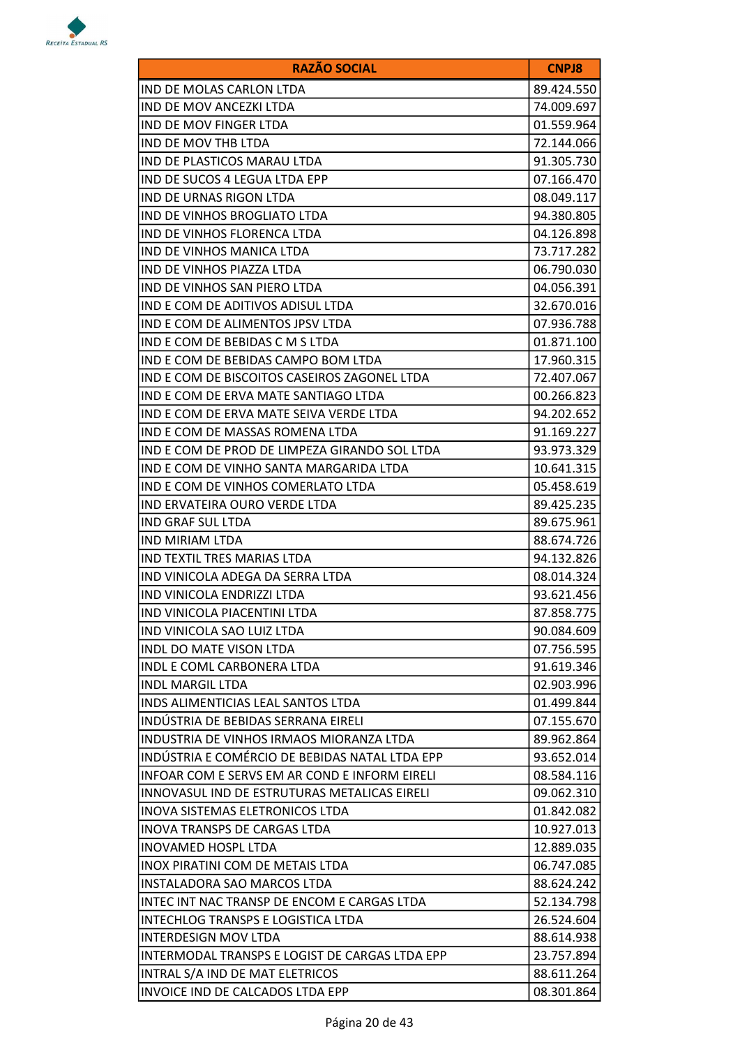

| <b>RAZÃO SOCIAL</b>                            | <b>CNPJ8</b> |
|------------------------------------------------|--------------|
| IND DE MOLAS CARLON LTDA                       | 89.424.550   |
| IND DE MOV ANCEZKI LTDA                        | 74.009.697   |
| IND DE MOV FINGER LTDA                         | 01.559.964   |
| IND DE MOV THB LTDA                            | 72.144.066   |
| IND DE PLASTICOS MARAU LTDA                    | 91.305.730   |
| IND DE SUCOS 4 LEGUA LTDA EPP                  | 07.166.470   |
| IND DE URNAS RIGON LTDA                        | 08.049.117   |
| IND DE VINHOS BROGLIATO LTDA                   | 94.380.805   |
| IND DE VINHOS FLORENCA LTDA                    | 04.126.898   |
| IND DE VINHOS MANICA LTDA                      | 73.717.282   |
| IND DE VINHOS PIAZZA LTDA                      | 06.790.030   |
| IND DE VINHOS SAN PIERO LTDA                   | 04.056.391   |
| IND E COM DE ADITIVOS ADISUL LTDA              | 32.670.016   |
| IND E COM DE ALIMENTOS JPSV LTDA               | 07.936.788   |
| IND E COM DE BEBIDAS C M S LTDA                | 01.871.100   |
| IND E COM DE BEBIDAS CAMPO BOM LTDA            | 17.960.315   |
| IND E COM DE BISCOITOS CASEIROS ZAGONEL LTDA   | 72.407.067   |
| IND E COM DE ERVA MATE SANTIAGO LTDA           | 00.266.823   |
| IND E COM DE ERVA MATE SEIVA VERDE LTDA        | 94.202.652   |
| IND E COM DE MASSAS ROMENA LTDA                | 91.169.227   |
| IND E COM DE PROD DE LIMPEZA GIRANDO SOL LTDA  | 93.973.329   |
| IND E COM DE VINHO SANTA MARGARIDA LTDA        | 10.641.315   |
| IND E COM DE VINHOS COMERLATO LTDA             | 05.458.619   |
| IND ERVATEIRA OURO VERDE LTDA                  | 89.425.235   |
| IND GRAF SUL LTDA                              | 89.675.961   |
| <b>IND MIRIAM LTDA</b>                         | 88.674.726   |
| IND TEXTIL TRES MARIAS LTDA                    | 94.132.826   |
| IND VINICOLA ADEGA DA SERRA LTDA               | 08.014.324   |
| IND VINICOLA ENDRIZZI LTDA                     | 93.621.456   |
| IND VINICOLA PIACENTINI LTDA                   | 87.858.775   |
| IND VINICOLA SAO LUIZ LTDA                     | 90.084.609   |
| <b>INDL DO MATE VISON LTDA</b>                 | 07.756.595   |
| INDL E COML CARBONERA LTDA                     | 91.619.346   |
| <b>INDL MARGIL LTDA</b>                        | 02.903.996   |
| <b>INDS ALIMENTICIAS LEAL SANTOS LTDA</b>      | 01.499.844   |
| INDÚSTRIA DE BEBIDAS SERRANA EIRELI            | 07.155.670   |
| INDUSTRIA DE VINHOS IRMAOS MIORANZA LTDA       | 89.962.864   |
| INDÚSTRIA E COMÉRCIO DE BEBIDAS NATAL LTDA EPP | 93.652.014   |
| INFOAR COM E SERVS EM AR COND E INFORM EIRELI  | 08.584.116   |
| INNOVASUL IND DE ESTRUTURAS METALICAS EIRELI   | 09.062.310   |
| INOVA SISTEMAS ELETRONICOS LTDA                | 01.842.082   |
| <b>INOVA TRANSPS DE CARGAS LTDA</b>            | 10.927.013   |
| <b>INOVAMED HOSPL LTDA</b>                     | 12.889.035   |
| INOX PIRATINI COM DE METAIS LTDA               | 06.747.085   |
| INSTALADORA SAO MARCOS LTDA                    | 88.624.242   |
| INTEC INT NAC TRANSP DE ENCOM E CARGAS LTDA    | 52.134.798   |
| INTECHLOG TRANSPS E LOGISTICA LTDA             | 26.524.604   |
| INTERDESIGN MOV LTDA                           | 88.614.938   |
| INTERMODAL TRANSPS E LOGIST DE CARGAS LTDA EPP | 23.757.894   |
| INTRAL S/A IND DE MAT ELETRICOS                | 88.611.264   |
| INVOICE IND DE CALCADOS LTDA EPP               | 08.301.864   |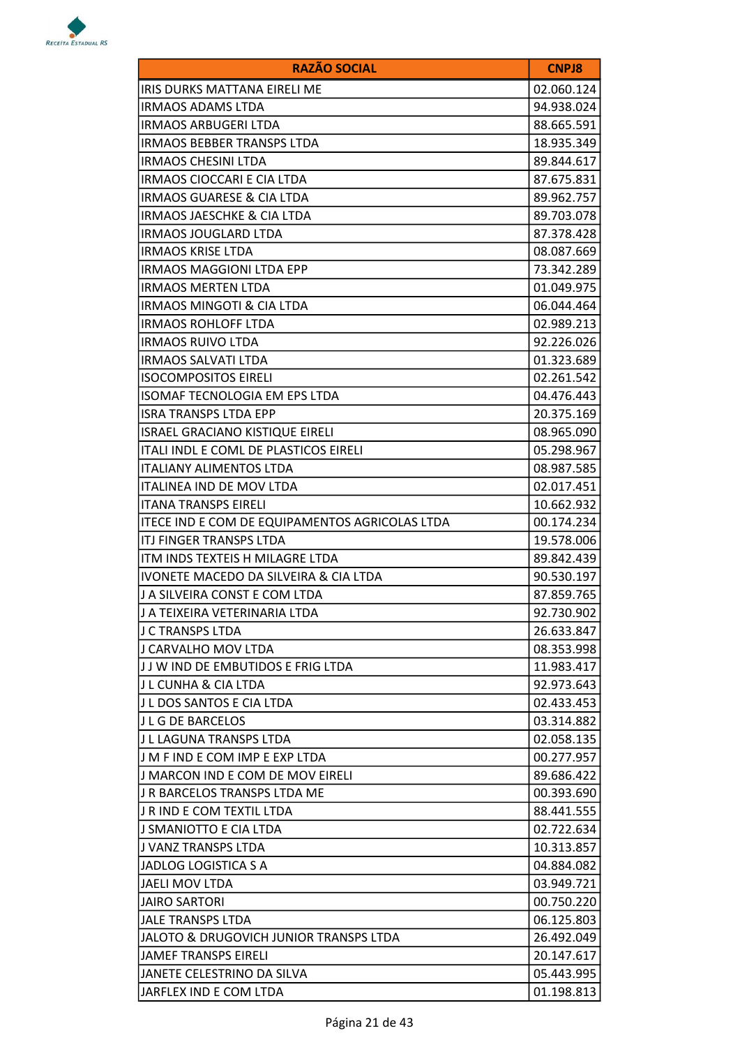

| <b>RAZÃO SOCIAL</b>                            | <b>CNPJ8</b> |
|------------------------------------------------|--------------|
| IRIS DURKS MATTANA EIRELI ME                   | 02.060.124   |
| <b>IRMAOS ADAMS LTDA</b>                       | 94.938.024   |
| <b>IRMAOS ARBUGERI LTDA</b>                    | 88.665.591   |
| <b>IRMAOS BEBBER TRANSPS LTDA</b>              | 18.935.349   |
| <b>IRMAOS CHESINI LTDA</b>                     | 89.844.617   |
| <b>IRMAOS CIOCCARI E CIA LTDA</b>              | 87.675.831   |
| <b>IRMAOS GUARESE &amp; CIA LTDA</b>           | 89.962.757   |
| <b>IRMAOS JAESCHKE &amp; CIA LTDA</b>          | 89.703.078   |
| <b>IRMAOS JOUGLARD LTDA</b>                    | 87.378.428   |
| <b>IRMAOS KRISE LTDA</b>                       | 08.087.669   |
| <b>IRMAOS MAGGIONI LTDA EPP</b>                | 73.342.289   |
| <b>IRMAOS MERTEN LTDA</b>                      | 01.049.975   |
| <b>IRMAOS MINGOTI &amp; CIA LTDA</b>           | 06.044.464   |
| <b>IRMAOS ROHLOFF LTDA</b>                     | 02.989.213   |
| <b>IRMAOS RUIVO LTDA</b>                       | 92.226.026   |
| <b>IRMAOS SALVATI LTDA</b>                     | 01.323.689   |
| <b>ISOCOMPOSITOS EIRELI</b>                    | 02.261.542   |
| ISOMAF TECNOLOGIA EM EPS LTDA                  | 04.476.443   |
| <b>ISRA TRANSPS LTDA EPP</b>                   | 20.375.169   |
| <b>ISRAEL GRACIANO KISTIQUE EIRELI</b>         | 08.965.090   |
| ITALI INDL E COML DE PLASTICOS EIRELI          | 05.298.967   |
| <b>ITALIANY ALIMENTOS LTDA</b>                 | 08.987.585   |
| <b>ITALINEA IND DE MOV LTDA</b>                | 02.017.451   |
| <b>ITANA TRANSPS EIRELI</b>                    | 10.662.932   |
| ITECE IND E COM DE EQUIPAMENTOS AGRICOLAS LTDA | 00.174.234   |
| ITJ FINGER TRANSPS LTDA                        | 19.578.006   |
| ITM INDS TEXTEIS H MILAGRE LTDA                | 89.842.439   |
| IVONETE MACEDO DA SILVEIRA & CIA LTDA          | 90.530.197   |
| J A SILVEIRA CONST E COM LTDA                  | 87.859.765   |
| J A TEIXEIRA VETERINARIA LTDA                  | 92.730.902   |
| J C TRANSPS LTDA                               | 26.633.847   |
| J CARVALHO MOV LTDA                            | 08.353.998   |
| JJ W IND DE EMBUTIDOS E FRIG LTDA              | 11.983.417   |
| J L CUNHA & CIA LTDA                           | 92.973.643   |
| IJ L DOS SANTOS E CIA LTDA                     | 02.433.453   |
| J L G DE BARCELOS                              | 03.314.882   |
| J L LAGUNA TRANSPS LTDA                        | 02.058.135   |
| IJ M F IND E COM IMP E EXP LTDA                | 00.277.957   |
| J MARCON IND E COM DE MOV EIRELI               | 89.686.422   |
| J R BARCELOS TRANSPS LTDA ME                   | 00.393.690   |
| J R IND E COM TEXTIL LTDA                      | 88.441.555   |
| J SMANIOTTO E CIA LTDA                         | 02.722.634   |
| J VANZ TRANSPS LTDA                            | 10.313.857   |
| JADLOG LOGISTICA S A                           | 04.884.082   |
| JAELI MOV LTDA                                 | 03.949.721   |
| <b>JAIRO SARTORI</b>                           | 00.750.220   |
| <b>JALE TRANSPS LTDA</b>                       | 06.125.803   |
| JALOTO & DRUGOVICH JUNIOR TRANSPS LTDA         | 26.492.049   |
| JAMEF TRANSPS EIRELI                           | 20.147.617   |
| JANETE CELESTRINO DA SILVA                     | 05.443.995   |
| JARFLEX IND E COM LTDA                         | 01.198.813   |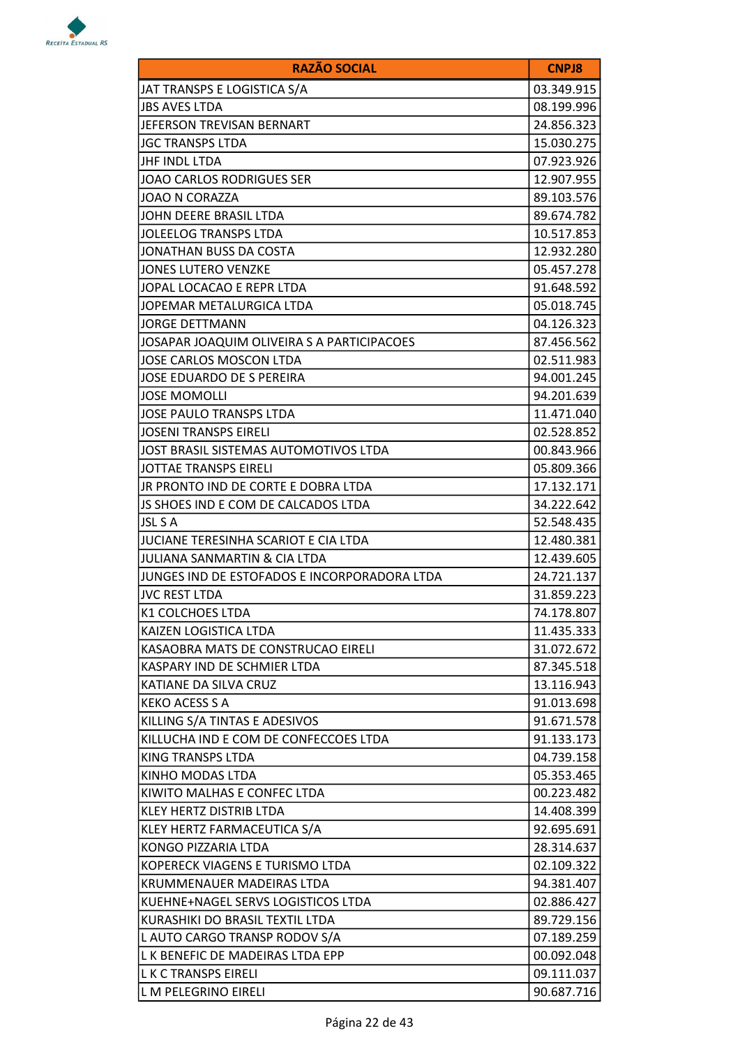

| <b>RAZÃO SOCIAL</b>                          | <b>CNPJ8</b> |
|----------------------------------------------|--------------|
| JAT TRANSPS E LOGISTICA S/A                  | 03.349.915   |
| <b>JBS AVES LTDA</b>                         | 08.199.996   |
| JEFERSON TREVISAN BERNART                    | 24.856.323   |
| <b>JGC TRANSPS LTDA</b>                      | 15.030.275   |
| JHF INDL LTDA                                | 07.923.926   |
| <b>JOAO CARLOS RODRIGUES SER</b>             | 12.907.955   |
| <b>JOAO N CORAZZA</b>                        | 89.103.576   |
| JOHN DEERE BRASIL LTDA                       | 89.674.782   |
| <b>JOLEELOG TRANSPS LTDA</b>                 | 10.517.853   |
| JONATHAN BUSS DA COSTA                       | 12.932.280   |
| <b>JONES LUTERO VENZKE</b>                   | 05.457.278   |
| JOPAL LOCACAO E REPR LTDA                    | 91.648.592   |
| JOPEMAR METALURGICA LTDA                     | 05.018.745   |
| <b>JORGE DETTMANN</b>                        | 04.126.323   |
| JOSAPAR JOAQUIM OLIVEIRA S A PARTICIPACOES   | 87.456.562   |
| JOSE CARLOS MOSCON LTDA                      | 02.511.983   |
| JOSE EDUARDO DE S PEREIRA                    | 94.001.245   |
| <b>JOSE MOMOLLI</b>                          | 94.201.639   |
| <b>JOSE PAULO TRANSPS LTDA</b>               | 11.471.040   |
| <b>JOSENI TRANSPS EIRELI</b>                 | 02.528.852   |
| JOST BRASIL SISTEMAS AUTOMOTIVOS LTDA        | 00.843.966   |
| JOTTAE TRANSPS EIRELI                        | 05.809.366   |
| JR PRONTO IND DE CORTE E DOBRA LTDA          | 17.132.171   |
| JS SHOES IND E COM DE CALCADOS LTDA          | 34.222.642   |
| JSL S A                                      | 52.548.435   |
| <b>JUCIANE TERESINHA SCARIOT E CIA LTDA</b>  | 12.480.381   |
| <b>JULIANA SANMARTIN &amp; CIA LTDA</b>      | 12.439.605   |
| JUNGES IND DE ESTOFADOS E INCORPORADORA LTDA | 24.721.137   |
| <b>JVC REST LTDA</b>                         | 31.859.223   |
| K1 COLCHOES LTDA                             | 74.178.807   |
| KAIZEN LOGISTICA LTDA                        | 11.435.333   |
| KASAOBRA MATS DE CONSTRUCAO EIRELI           | 31.072.672   |
| KASPARY IND DE SCHMIER LTDA                  | 87.345.518   |
| KATIANE DA SILVA CRUZ                        | 13.116.943   |
| <b>KEKO ACESS S A</b>                        | 91.013.698   |
| KILLING S/A TINTAS E ADESIVOS                | 91.671.578   |
| KILLUCHA IND E COM DE CONFECCOES LTDA        | 91.133.173   |
| KING TRANSPS LTDA                            | 04.739.158   |
| KINHO MODAS LTDA                             | 05.353.465   |
| KIWITO MALHAS E CONFEC LTDA                  | 00.223.482   |
| KLEY HERTZ DISTRIB LTDA                      | 14.408.399   |
| KLEY HERTZ FARMACEUTICA S/A                  | 92.695.691   |
| KONGO PIZZARIA LTDA                          | 28.314.637   |
| KOPERECK VIAGENS E TURISMO LTDA              | 02.109.322   |
| KRUMMENAUER MADEIRAS LTDA                    | 94.381.407   |
| KUEHNE+NAGEL SERVS LOGISTICOS LTDA           | 02.886.427   |
| KURASHIKI DO BRASIL TEXTIL LTDA              | 89.729.156   |
| L AUTO CARGO TRANSP RODOV S/A                | 07.189.259   |
| L K BENEFIC DE MADEIRAS LTDA EPP             | 00.092.048   |
| L K C TRANSPS EIRELI                         | 09.111.037   |
| L M PELEGRINO EIRELI                         | 90.687.716   |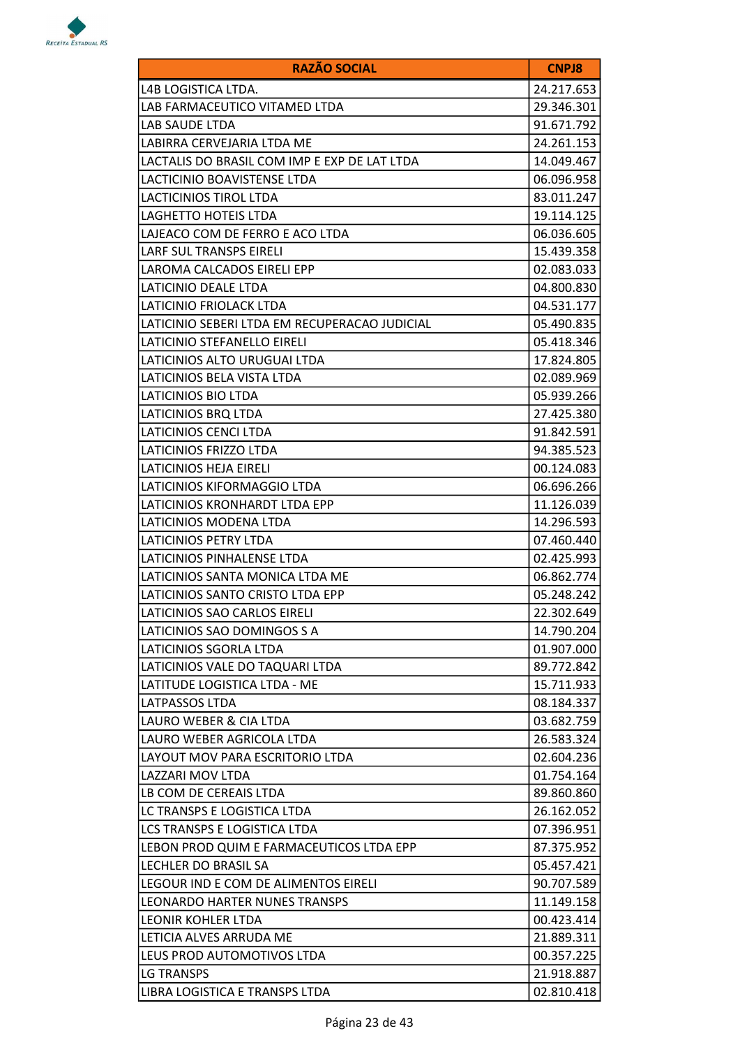

| <b>RAZÃO SOCIAL</b>                           | <b>CNPJ8</b> |
|-----------------------------------------------|--------------|
| L4B LOGISTICA LTDA.                           | 24.217.653   |
| LAB FARMACEUTICO VITAMED LTDA                 | 29.346.301   |
| LAB SAUDE LTDA                                | 91.671.792   |
| LABIRRA CERVEJARIA LTDA ME                    | 24.261.153   |
| LACTALIS DO BRASIL COM IMP E EXP DE LAT LTDA  | 14.049.467   |
| LACTICINIO BOAVISTENSE LTDA                   | 06.096.958   |
| <b>LACTICINIOS TIROL LTDA</b>                 | 83.011.247   |
| LAGHETTO HOTEIS LTDA                          | 19.114.125   |
| LAJEACO COM DE FERRO E ACO LTDA               | 06.036.605   |
| LARF SUL TRANSPS EIRELI                       | 15.439.358   |
| LAROMA CALCADOS EIRELI EPP                    | 02.083.033   |
| LATICINIO DEALE LTDA                          | 04.800.830   |
| LATICINIO FRIOLACK LTDA                       | 04.531.177   |
| LATICINIO SEBERI LTDA EM RECUPERACAO JUDICIAL | 05.490.835   |
| LATICINIO STEFANELLO EIRELI                   | 05.418.346   |
| LATICINIOS ALTO URUGUAI LTDA                  | 17.824.805   |
| LATICINIOS BELA VISTA LTDA                    | 02.089.969   |
| LATICINIOS BIO LTDA                           | 05.939.266   |
| LATICINIOS BRQ LTDA                           | 27.425.380   |
| LATICINIOS CENCI LTDA                         | 91.842.591   |
| LATICINIOS FRIZZO LTDA                        | 94.385.523   |
| LATICINIOS HEJA EIRELI                        | 00.124.083   |
| LATICINIOS KIFORMAGGIO LTDA                   | 06.696.266   |
| LATICINIOS KRONHARDT LTDA EPP                 | 11.126.039   |
| LATICINIOS MODENA LTDA                        | 14.296.593   |
| <b>LATICINIOS PETRY LTDA</b>                  | 07.460.440   |
| LATICINIOS PINHALENSE LTDA                    | 02.425.993   |
| LATICINIOS SANTA MONICA LTDA ME               | 06.862.774   |
| LATICINIOS SANTO CRISTO LTDA EPP              | 05.248.242   |
| LATICINIOS SAO CARLOS EIRELI                  | 22.302.649   |
| LATICINIOS SAO DOMINGOS S A                   | 14.790.204   |
| LATICINIOS SGORLA LTDA                        | 01.907.000   |
| LATICINIOS VALE DO TAQUARI LTDA               | 89.772.842   |
| LATITUDE LOGISTICA LTDA - ME                  | 15.711.933   |
| <b>LATPASSOS LTDA</b>                         | 08.184.337   |
| LAURO WEBER & CIA LTDA                        | 03.682.759   |
| LAURO WEBER AGRICOLA LTDA                     | 26.583.324   |
| LAYOUT MOV PARA ESCRITORIO LTDA               | 02.604.236   |
| LAZZARI MOV LTDA                              | 01.754.164   |
| LB COM DE CEREAIS LTDA                        | 89.860.860   |
| LC TRANSPS E LOGISTICA LTDA                   | 26.162.052   |
| LCS TRANSPS E LOGISTICA LTDA                  | 07.396.951   |
| LEBON PROD QUIM E FARMACEUTICOS LTDA EPP      | 87.375.952   |
| LECHLER DO BRASIL SA                          | 05.457.421   |
| LEGOUR IND E COM DE ALIMENTOS EIRELI          | 90.707.589   |
| <b>LEONARDO HARTER NUNES TRANSPS</b>          | 11.149.158   |
| LEONIR KOHLER LTDA                            | 00.423.414   |
| LETICIA ALVES ARRUDA ME                       | 21.889.311   |
| LEUS PROD AUTOMOTIVOS LTDA                    | 00.357.225   |
| LG TRANSPS                                    | 21.918.887   |
| LIBRA LOGISTICA E TRANSPS LTDA                | 02.810.418   |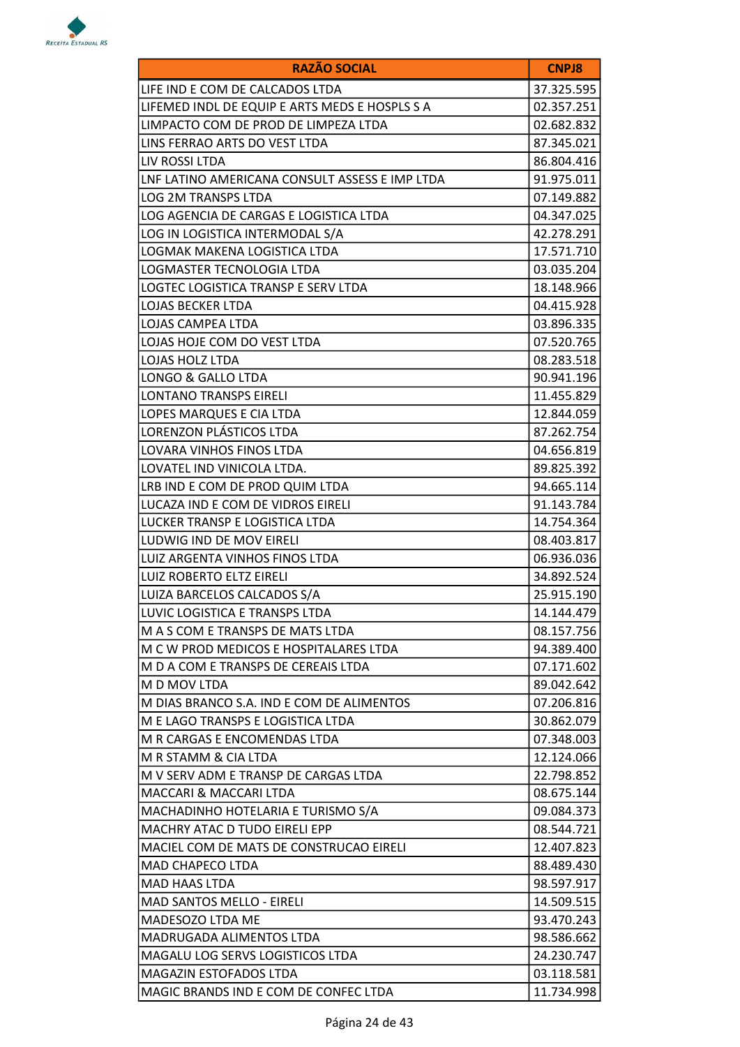

| <b>RAZÃO SOCIAL</b>                            | <b>CNPJ8</b> |
|------------------------------------------------|--------------|
| LIFE IND E COM DE CALCADOS LTDA                | 37.325.595   |
| LIFEMED INDL DE EQUIP E ARTS MEDS E HOSPLS S A | 02.357.251   |
| LIMPACTO COM DE PROD DE LIMPEZA LTDA           | 02.682.832   |
| LINS FERRAO ARTS DO VEST LTDA                  | 87.345.021   |
| LIV ROSSI LTDA                                 | 86.804.416   |
| LNF LATINO AMERICANA CONSULT ASSESS E IMP LTDA | 91.975.011   |
| <b>LOG 2M TRANSPS LTDA</b>                     | 07.149.882   |
| LOG AGENCIA DE CARGAS E LOGISTICA LTDA         | 04.347.025   |
| LOG IN LOGISTICA INTERMODAL S/A                | 42.278.291   |
| LOGMAK MAKENA LOGISTICA LTDA                   | 17.571.710   |
| LOGMASTER TECNOLOGIA LTDA                      | 03.035.204   |
| LOGTEC LOGISTICA TRANSP E SERV LTDA            | 18.148.966   |
| LOJAS BECKER LTDA                              | 04.415.928   |
| LOJAS CAMPEA LTDA                              | 03.896.335   |
| LOJAS HOJE COM DO VEST LTDA                    | 07.520.765   |
| LOJAS HOLZ LTDA                                | 08.283.518   |
| LONGO & GALLO LTDA                             | 90.941.196   |
| <b>LONTANO TRANSPS EIRELI</b>                  | 11.455.829   |
| LOPES MARQUES E CIA LTDA                       | 12.844.059   |
| LORENZON PLÁSTICOS LTDA                        | 87.262.754   |
| LOVARA VINHOS FINOS LTDA                       | 04.656.819   |
| LOVATEL IND VINICOLA LTDA.                     | 89.825.392   |
| LRB IND E COM DE PROD QUIM LTDA                | 94.665.114   |
| LUCAZA IND E COM DE VIDROS EIRELI              | 91.143.784   |
| LUCKER TRANSP E LOGISTICA LTDA                 | 14.754.364   |
| LUDWIG IND DE MOV EIRELI                       | 08.403.817   |
| LUIZ ARGENTA VINHOS FINOS LTDA                 | 06.936.036   |
| <b>LUIZ ROBERTO ELTZ EIRELI</b>                | 34.892.524   |
| LUIZA BARCELOS CALCADOS S/A                    | 25.915.190   |
| LUVIC LOGISTICA E TRANSPS LTDA                 | 14.144.479   |
| M A S COM E TRANSPS DE MATS LTDA               | 08.157.756   |
| M C W PROD MEDICOS E HOSPITALARES LTDA         | 94.389.400   |
| M D A COM E TRANSPS DE CEREAIS LTDA            | 07.171.602   |
| M D MOV LTDA                                   | 89.042.642   |
| M DIAS BRANCO S.A. IND E COM DE ALIMENTOS      | 07.206.816   |
| M E LAGO TRANSPS E LOGISTICA LTDA              | 30.862.079   |
| M R CARGAS E ENCOMENDAS LTDA                   | 07.348.003   |
| M R STAMM & CIA LTDA                           | 12.124.066   |
| M V SERV ADM E TRANSP DE CARGAS LTDA           | 22.798.852   |
| MACCARI & MACCARI LTDA                         | 08.675.144   |
| MACHADINHO HOTELARIA E TURISMO S/A             | 09.084.373   |
| MACHRY ATAC D TUDO EIRELI EPP                  | 08.544.721   |
| MACIEL COM DE MATS DE CONSTRUCAO EIRELI        | 12.407.823   |
| MAD CHAPECO LTDA                               | 88.489.430   |
| <b>MAD HAAS LTDA</b>                           | 98.597.917   |
| <b>MAD SANTOS MELLO - EIRELI</b>               | 14.509.515   |
| MADESOZO LTDA ME                               | 93.470.243   |
| MADRUGADA ALIMENTOS LTDA                       | 98.586.662   |
| MAGALU LOG SERVS LOGISTICOS LTDA               | 24.230.747   |
| MAGAZIN ESTOFADOS LTDA                         | 03.118.581   |
| MAGIC BRANDS IND E COM DE CONFEC LTDA          | 11.734.998   |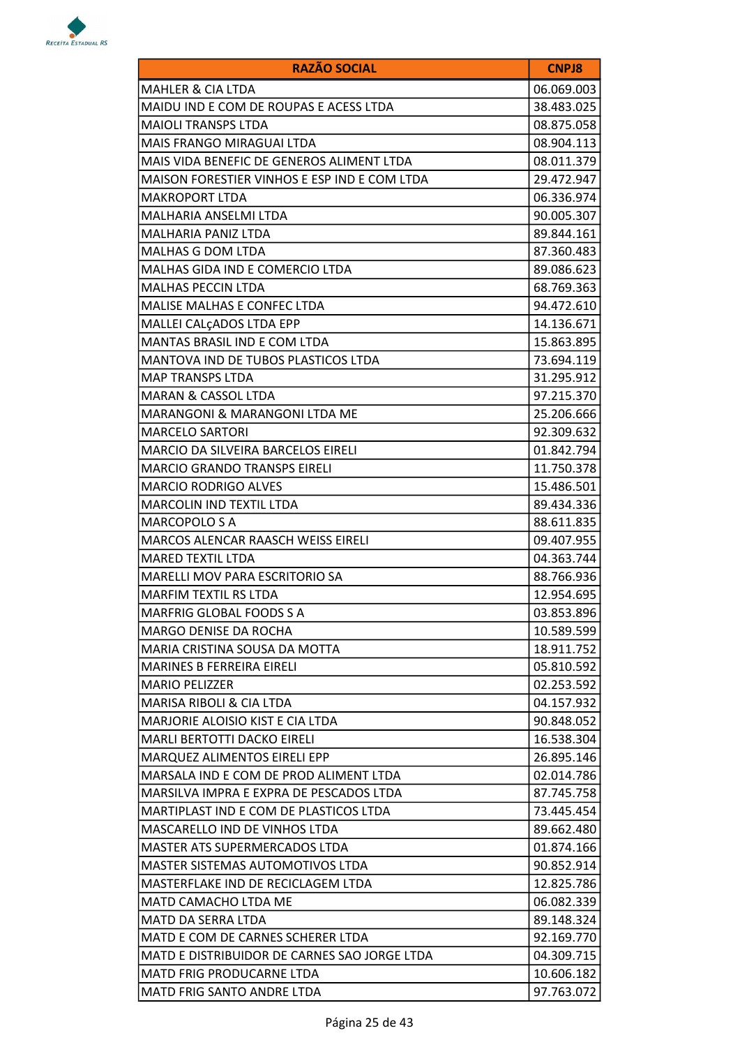

| <b>RAZÃO SOCIAL</b>                          | <b>CNPJ8</b> |
|----------------------------------------------|--------------|
| <b>MAHLER &amp; CIA LTDA</b>                 | 06.069.003   |
| MAIDU IND E COM DE ROUPAS E ACESS LTDA       | 38.483.025   |
| <b>MAIOLI TRANSPS LTDA</b>                   | 08.875.058   |
| <b>MAIS FRANGO MIRAGUAI LTDA</b>             | 08.904.113   |
| MAIS VIDA BENEFIC DE GENEROS ALIMENT LTDA    | 08.011.379   |
| MAISON FORESTIER VINHOS E ESP IND E COM LTDA | 29.472.947   |
| <b>MAKROPORT LTDA</b>                        | 06.336.974   |
| MALHARIA ANSELMI LTDA                        | 90.005.307   |
| MALHARIA PANIZ LTDA                          | 89.844.161   |
| MALHAS G DOM LTDA                            | 87.360.483   |
| MALHAS GIDA IND E COMERCIO LTDA              | 89.086.623   |
| MALHAS PECCIN LTDA                           | 68.769.363   |
| <b>MALISE MALHAS E CONFEC LTDA</b>           | 94.472.610   |
| MALLEI CALÇADOS LTDA EPP                     | 14.136.671   |
| MANTAS BRASIL IND E COM LTDA                 | 15.863.895   |
| MANTOVA IND DE TUBOS PLASTICOS LTDA          | 73.694.119   |
| <b>MAP TRANSPS LTDA</b>                      | 31.295.912   |
| <b>MARAN &amp; CASSOL LTDA</b>               | 97.215.370   |
| MARANGONI & MARANGONI LTDA ME                | 25.206.666   |
| <b>MARCELO SARTORI</b>                       | 92.309.632   |
| MARCIO DA SILVEIRA BARCELOS EIRELI           | 01.842.794   |
| <b>MARCIO GRANDO TRANSPS EIRELI</b>          | 11.750.378   |
| <b>MARCIO RODRIGO ALVES</b>                  | 15.486.501   |
| <b>MARCOLIN IND TEXTIL LTDA</b>              | 89.434.336   |
| MARCOPOLO S A                                | 88.611.835   |
| MARCOS ALENCAR RAASCH WEISS EIRELI           | 09.407.955   |
| <b>MARED TEXTIL LTDA</b>                     | 04.363.744   |
| MARELLI MOV PARA ESCRITORIO SA               | 88.766.936   |
| MARFIM TEXTIL RS LTDA                        | 12.954.695   |
| MARFRIG GLOBAL FOODS S A                     | 03.853.896   |
| MARGO DENISE DA ROCHA                        | 10.589.599   |
| MARIA CRISTINA SOUSA DA MOTTA                | 18.911.752   |
| MARINES B FERREIRA EIRELI                    | 05.810.592   |
| <b>MARIO PELIZZER</b>                        | 02.253.592   |
| MARISA RIBOLI & CIA LTDA                     | 04.157.932   |
| MARJORIE ALOISIO KIST E CIA LTDA             | 90.848.052   |
| <b>MARLI BERTOTTI DACKO EIRELI</b>           | 16.538.304   |
| MARQUEZ ALIMENTOS EIRELI EPP                 | 26.895.146   |
| MARSALA IND E COM DE PROD ALIMENT LTDA       | 02.014.786   |
| MARSILVA IMPRA E EXPRA DE PESCADOS LTDA      | 87.745.758   |
| MARTIPLAST IND E COM DE PLASTICOS LTDA       | 73.445.454   |
| MASCARELLO IND DE VINHOS LTDA                | 89.662.480   |
| <b>MASTER ATS SUPERMERCADOS LTDA</b>         | 01.874.166   |
| MASTER SISTEMAS AUTOMOTIVOS LTDA             | 90.852.914   |
| MASTERFLAKE IND DE RECICLAGEM LTDA           | 12.825.786   |
| MATD CAMACHO LTDA ME                         | 06.082.339   |
| <b>MATD DA SERRA LTDA</b>                    | 89.148.324   |
| MATD E COM DE CARNES SCHERER LTDA            | 92.169.770   |
| MATD E DISTRIBUIDOR DE CARNES SAO JORGE LTDA | 04.309.715   |
| <b>MATD FRIG PRODUCARNE LTDA</b>             | 10.606.182   |
| MATD FRIG SANTO ANDRE LTDA                   | 97.763.072   |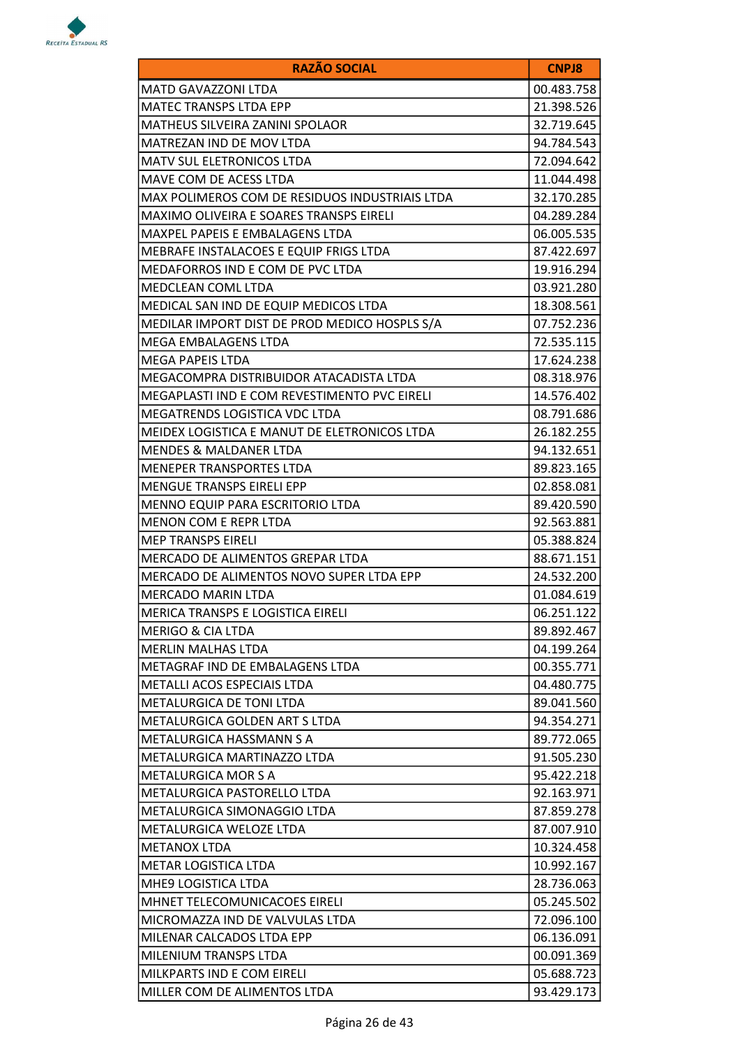

| <b>RAZÃO SOCIAL</b>                            | <b>CNPJ8</b> |
|------------------------------------------------|--------------|
| MATD GAVAZZONI LTDA                            | 00.483.758   |
| <b>MATEC TRANSPS LTDA EPP</b>                  | 21.398.526   |
| MATHEUS SILVEIRA ZANINI SPOLAOR                | 32.719.645   |
| MATREZAN IND DE MOV LTDA                       | 94.784.543   |
| MATV SUL ELETRONICOS LTDA                      | 72.094.642   |
| MAVE COM DE ACESS LTDA                         | 11.044.498   |
| MAX POLIMEROS COM DE RESIDUOS INDUSTRIAIS LTDA | 32.170.285   |
| <b>MAXIMO OLIVEIRA E SOARES TRANSPS EIRELI</b> | 04.289.284   |
| <b>MAXPEL PAPEIS E EMBALAGENS LTDA</b>         | 06.005.535   |
| MEBRAFE INSTALACOES E EQUIP FRIGS LTDA         | 87.422.697   |
| MEDAFORROS IND E COM DE PVC LTDA               | 19.916.294   |
| MEDCLEAN COML LTDA                             | 03.921.280   |
| MEDICAL SAN IND DE EQUIP MEDICOS LTDA          | 18.308.561   |
| MEDILAR IMPORT DIST DE PROD MEDICO HOSPLS S/A  | 07.752.236   |
| MEGA EMBALAGENS LTDA                           | 72.535.115   |
| <b>MEGA PAPEIS LTDA</b>                        | 17.624.238   |
| MEGACOMPRA DISTRIBUIDOR ATACADISTA LTDA        | 08.318.976   |
| MEGAPLASTI IND E COM REVESTIMENTO PVC EIRELI   | 14.576.402   |
| MEGATRENDS LOGISTICA VDC LTDA                  | 08.791.686   |
| MEIDEX LOGISTICA E MANUT DE ELETRONICOS LTDA   | 26.182.255   |
| <b>MENDES &amp; MALDANER LTDA</b>              | 94.132.651   |
| MENEPER TRANSPORTES LTDA                       | 89.823.165   |
| MENGUE TRANSPS EIRELI EPP                      | 02.858.081   |
| MENNO EQUIP PARA ESCRITORIO LTDA               | 89.420.590   |
| MENON COM E REPR LTDA                          | 92.563.881   |
| <b>MEP TRANSPS EIRELI</b>                      | 05.388.824   |
| MERCADO DE ALIMENTOS GREPAR LTDA               | 88.671.151   |
| MERCADO DE ALIMENTOS NOVO SUPER LTDA EPP       | 24.532.200   |
| <b>MERCADO MARIN LTDA</b>                      | 01.084.619   |
| MERICA TRANSPS E LOGISTICA EIRELI              | 06.251.122   |
| <b>MERIGO &amp; CIA LTDA</b>                   | 89.892.467   |
| <b>MERLIN MALHAS LTDA</b>                      | 04.199.264   |
| METAGRAF IND DE EMBALAGENS LTDA                | 00.355.771   |
| <b>METALLI ACOS ESPECIAIS LTDA</b>             | 04.480.775   |
| METALURGICA DE TONI LTDA                       | 89.041.560   |
| METALURGICA GOLDEN ART S LTDA                  | 94.354.271   |
| <b>METALURGICA HASSMANN S A</b>                | 89.772.065   |
| METALURGICA MARTINAZZO LTDA                    | 91.505.230   |
| <b>METALURGICA MOR S A</b>                     | 95.422.218   |
| METALURGICA PASTORELLO LTDA                    | 92.163.971   |
| METALURGICA SIMONAGGIO LTDA                    | 87.859.278   |
| METALURGICA WELOZE LTDA                        | 87.007.910   |
| <b>METANOX LTDA</b>                            | 10.324.458   |
| METAR LOGISTICA LTDA                           | 10.992.167   |
| MHE9 LOGISTICA LTDA                            | 28.736.063   |
| MHNET TELECOMUNICACOES EIRELI                  | 05.245.502   |
| MICROMAZZA IND DE VALVULAS LTDA                | 72.096.100   |
| MILENAR CALCADOS LTDA EPP                      | 06.136.091   |
| MILENIUM TRANSPS LTDA                          | 00.091.369   |
| MILKPARTS IND E COM EIRELI                     | 05.688.723   |
| MILLER COM DE ALIMENTOS LTDA                   | 93.429.173   |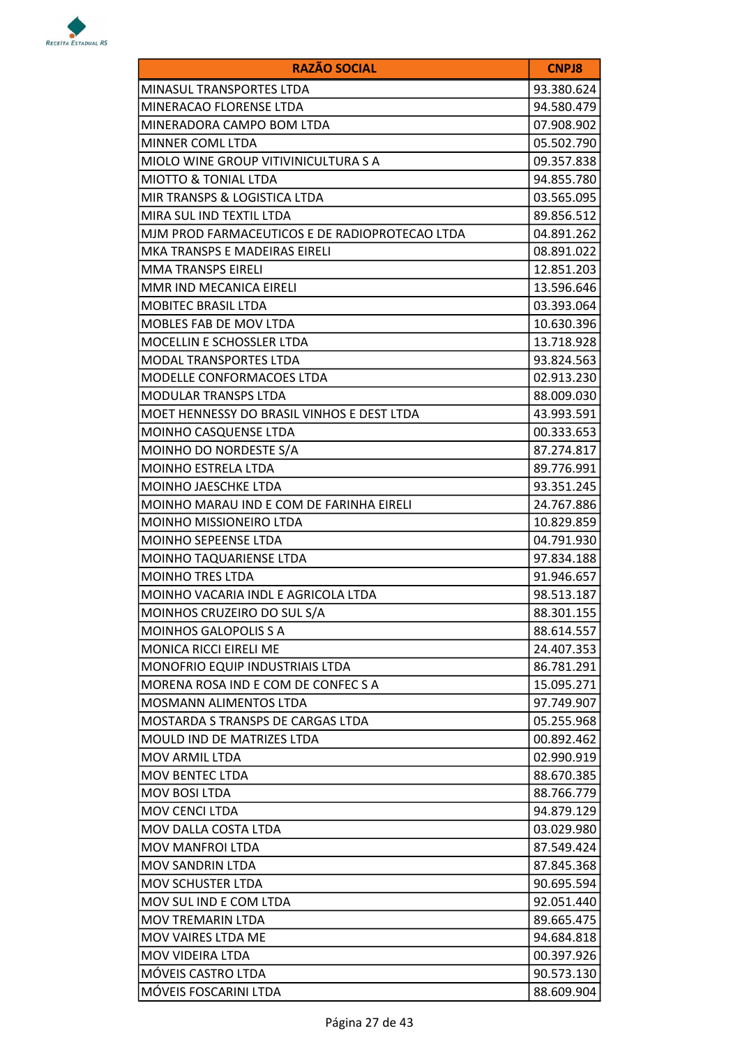

| <b>RAZÃO SOCIAL</b>                            | <b>CNPJ8</b> |
|------------------------------------------------|--------------|
| MINASUL TRANSPORTES LTDA                       | 93.380.624   |
| MINERACAO FLORENSE LTDA                        | 94.580.479   |
| MINERADORA CAMPO BOM LTDA                      | 07.908.902   |
| MINNER COML LTDA                               | 05.502.790   |
| MIOLO WINE GROUP VITIVINICULTURA S A           | 09.357.838   |
| <b>MIOTTO &amp; TONIAL LTDA</b>                | 94.855.780   |
| MIR TRANSPS & LOGISTICA LTDA                   | 03.565.095   |
| MIRA SUL IND TEXTIL LTDA                       | 89.856.512   |
| MJM PROD FARMACEUTICOS E DE RADIOPROTECAO LTDA | 04.891.262   |
| MKA TRANSPS E MADEIRAS EIRELI                  | 08.891.022   |
| <b>MMA TRANSPS EIRELI</b>                      | 12.851.203   |
| MMR IND MECANICA EIRELI                        | 13.596.646   |
| <b>MOBITEC BRASIL LTDA</b>                     | 03.393.064   |
| MOBLES FAB DE MOV LTDA                         | 10.630.396   |
| MOCELLIN E SCHOSSLER LTDA                      | 13.718.928   |
| <b>MODAL TRANSPORTES LTDA</b>                  | 93.824.563   |
| MODELLE CONFORMACOES LTDA                      | 02.913.230   |
| <b>MODULAR TRANSPS LTDA</b>                    | 88.009.030   |
| MOET HENNESSY DO BRASIL VINHOS E DEST LTDA     | 43.993.591   |
| MOINHO CASQUENSE LTDA                          | 00.333.653   |
| MOINHO DO NORDESTE S/A                         | 87.274.817   |
| MOINHO ESTRELA LTDA                            | 89.776.991   |
| <b>MOINHO JAESCHKE LTDA</b>                    | 93.351.245   |
| MOINHO MARAU IND E COM DE FARINHA EIRELI       | 24.767.886   |
| MOINHO MISSIONEIRO LTDA                        | 10.829.859   |
| <b>MOINHO SEPEENSE LTDA</b>                    | 04.791.930   |
| MOINHO TAQUARIENSE LTDA                        | 97.834.188   |
| <b>MOINHO TRES LTDA</b>                        | 91.946.657   |
| MOINHO VACARIA INDL E AGRICOLA LTDA            | 98.513.187   |
| MOINHOS CRUZEIRO DO SUL S/A                    | 88.301.155   |
| <b>MOINHOS GALOPOLIS S A</b>                   | 88.614.557   |
| <b>MONICA RICCI EIRELI ME</b>                  | 24.407.353   |
| MONOFRIO EQUIP INDUSTRIAIS LTDA                | 86.781.291   |
| MORENA ROSA IND E COM DE CONFEC S A            | 15.095.271   |
| <b>MOSMANN ALIMENTOS LTDA</b>                  | 97.749.907   |
| <b>MOSTARDA S TRANSPS DE CARGAS LTDA</b>       | 05.255.968   |
| <b>MOULD IND DE MATRIZES LTDA</b>              | 00.892.462   |
| MOV ARMIL LTDA                                 | 02.990.919   |
| MOV BENTEC LTDA                                | 88.670.385   |
| <b>MOV BOSI LTDA</b>                           | 88.766.779   |
| <b>MOV CENCI LTDA</b>                          | 94.879.129   |
| MOV DALLA COSTA LTDA                           | 03.029.980   |
| <b>MOV MANFROI LTDA</b>                        | 87.549.424   |
| <b>MOV SANDRIN LTDA</b>                        | 87.845.368   |
| <b>MOV SCHUSTER LTDA</b>                       | 90.695.594   |
| MOV SUL IND E COM LTDA                         | 92.051.440   |
| <b>MOV TREMARIN LTDA</b>                       | 89.665.475   |
| MOV VAIRES LTDA ME                             | 94.684.818   |
| <b>MOV VIDEIRA LTDA</b>                        | 00.397.926   |
| MÓVEIS CASTRO LTDA                             | 90.573.130   |
| MÓVEIS FOSCARINI LTDA                          | 88.609.904   |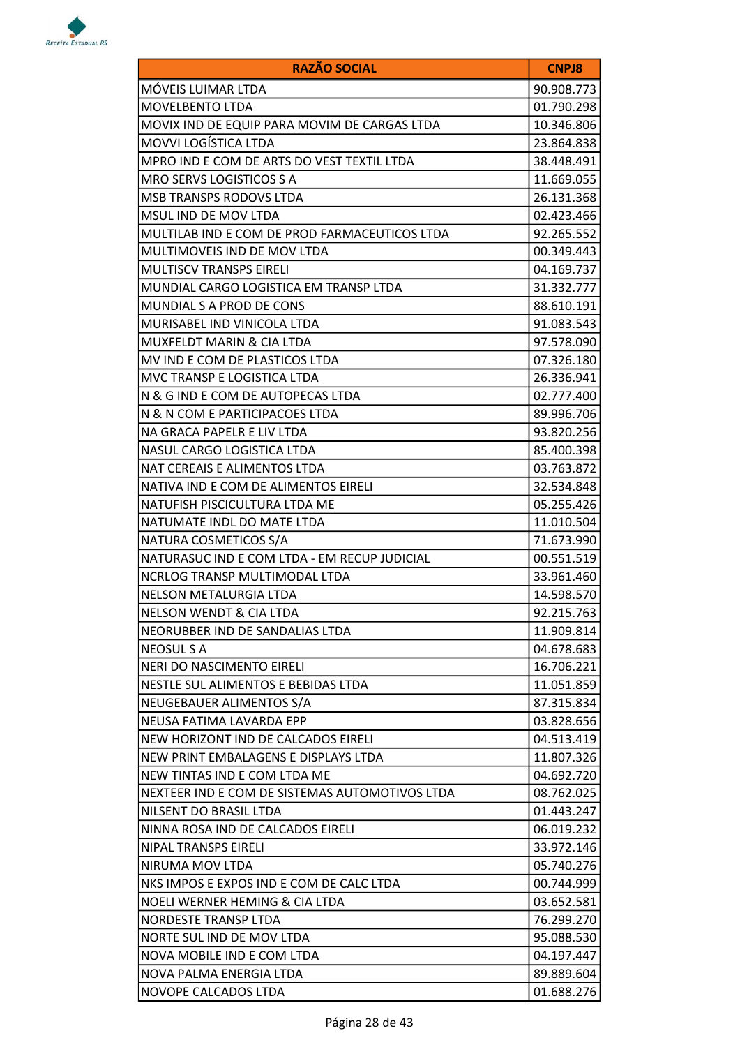

| <b>RAZÃO SOCIAL</b>                            | <b>CNPJ8</b> |
|------------------------------------------------|--------------|
| MÓVEIS LUIMAR LTDA                             | 90.908.773   |
| MOVELBENTO LTDA                                | 01.790.298   |
| MOVIX IND DE EQUIP PARA MOVIM DE CARGAS LTDA   | 10.346.806   |
| <b>MOVVI LOGÍSTICA LTDA</b>                    | 23.864.838   |
| MPRO IND E COM DE ARTS DO VEST TEXTIL LTDA     | 38.448.491   |
| MRO SERVS LOGISTICOS S A                       | 11.669.055   |
| <b>MSB TRANSPS RODOVS LTDA</b>                 | 26.131.368   |
| MSUL IND DE MOV LTDA                           | 02.423.466   |
| MULTILAB IND E COM DE PROD FARMACEUTICOS LTDA  | 92.265.552   |
| MULTIMOVEIS IND DE MOV LTDA                    | 00.349.443   |
| <b>MULTISCV TRANSPS EIRELI</b>                 | 04.169.737   |
| MUNDIAL CARGO LOGISTICA EM TRANSP LTDA         | 31.332.777   |
| MUNDIAL S A PROD DE CONS                       | 88.610.191   |
| MURISABEL IND VINICOLA LTDA                    | 91.083.543   |
| <b>MUXFELDT MARIN &amp; CIA LTDA</b>           | 97.578.090   |
| MV IND E COM DE PLASTICOS LTDA                 | 07.326.180   |
| MVC TRANSP E LOGISTICA LTDA                    | 26.336.941   |
| N & G IND E COM DE AUTOPECAS LTDA              | 02.777.400   |
| N & N COM E PARTICIPACOES LTDA                 | 89.996.706   |
| NA GRACA PAPELR E LIV LTDA                     | 93.820.256   |
| NASUL CARGO LOGISTICA LTDA                     | 85.400.398   |
| NAT CEREAIS E ALIMENTOS LTDA                   | 03.763.872   |
| NATIVA IND E COM DE ALIMENTOS EIRELI           | 32.534.848   |
| NATUFISH PISCICULTURA LTDA ME                  | 05.255.426   |
| NATUMATE INDL DO MATE LTDA                     | 11.010.504   |
| NATURA COSMETICOS S/A                          | 71.673.990   |
| NATURASUC IND E COM LTDA - EM RECUP JUDICIAL   | 00.551.519   |
| NCRLOG TRANSP MULTIMODAL LTDA                  | 33.961.460   |
| NELSON METALURGIA LTDA                         | 14.598.570   |
| <b>NELSON WENDT &amp; CIA LTDA</b>             | 92.215.763   |
| NEORUBBER IND DE SANDALIAS LTDA                | 11.909.814   |
| <b>NEOSUL S A</b>                              | 04.678.683   |
| NERI DO NASCIMENTO EIRELI                      | 16.706.221   |
| NESTLE SUL ALIMENTOS E BEBIDAS LTDA            | 11.051.859   |
| NEUGEBAUER ALIMENTOS S/A                       | 87.315.834   |
| NEUSA FATIMA LAVARDA EPP                       | 03.828.656   |
| NEW HORIZONT IND DE CALCADOS EIRELI            | 04.513.419   |
| NEW PRINT EMBALAGENS E DISPLAYS LTDA           | 11.807.326   |
| NEW TINTAS IND E COM LTDA ME                   | 04.692.720   |
| NEXTEER IND E COM DE SISTEMAS AUTOMOTIVOS LTDA | 08.762.025   |
| NILSENT DO BRASIL LTDA                         | 01.443.247   |
| NINNA ROSA IND DE CALCADOS EIRELI              | 06.019.232   |
| NIPAL TRANSPS EIRELI                           | 33.972.146   |
| NIRUMA MOV LTDA                                | 05.740.276   |
| NKS IMPOS E EXPOS IND E COM DE CALC LTDA       | 00.744.999   |
| NOELI WERNER HEMING & CIA LTDA                 | 03.652.581   |
| NORDESTE TRANSP LTDA                           | 76.299.270   |
| NORTE SUL IND DE MOV LTDA                      | 95.088.530   |
| NOVA MOBILE IND E COM LTDA                     | 04.197.447   |
| NOVA PALMA ENERGIA LTDA                        | 89.889.604   |
| NOVOPE CALCADOS LTDA                           | 01.688.276   |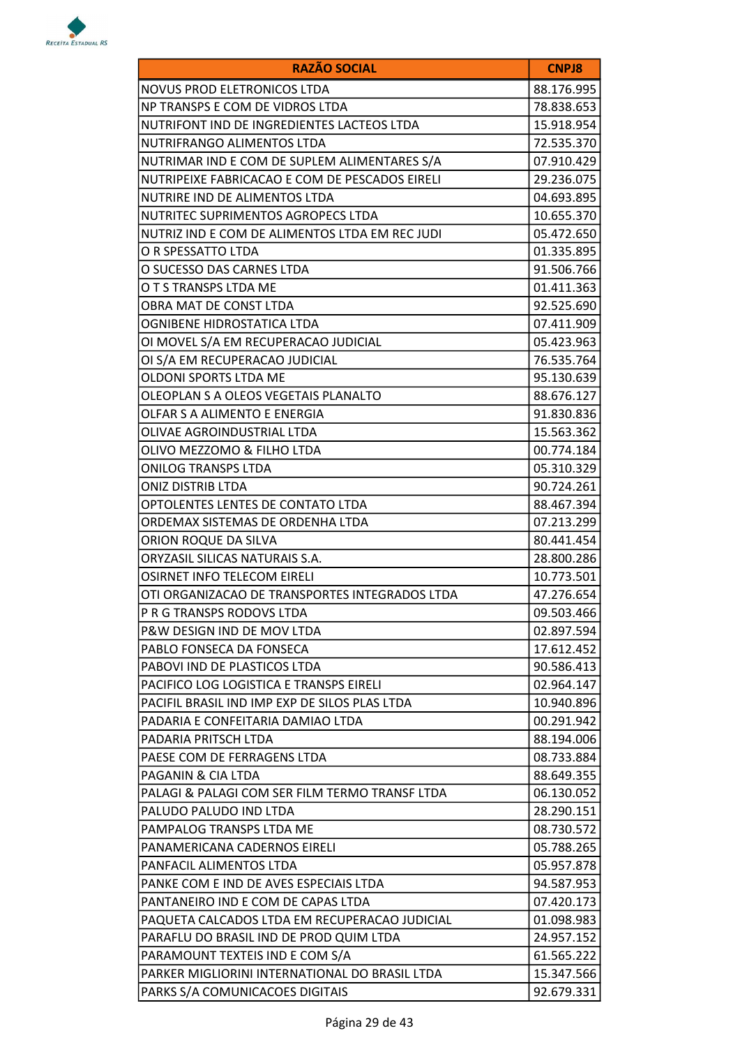

| <b>RAZÃO SOCIAL</b>                            | <b>CNPJ8</b> |
|------------------------------------------------|--------------|
| <b>NOVUS PROD ELETRONICOS LTDA</b>             | 88.176.995   |
| NP TRANSPS E COM DE VIDROS LTDA                | 78.838.653   |
| NUTRIFONT IND DE INGREDIENTES LACTEOS LTDA     | 15.918.954   |
| NUTRIFRANGO ALIMENTOS LTDA                     | 72.535.370   |
| NUTRIMAR IND E COM DE SUPLEM ALIMENTARES S/A   | 07.910.429   |
| NUTRIPEIXE FABRICACAO E COM DE PESCADOS EIRELI | 29.236.075   |
| NUTRIRE IND DE ALIMENTOS LTDA                  | 04.693.895   |
| NUTRITEC SUPRIMENTOS AGROPECS LTDA             | 10.655.370   |
| NUTRIZ IND E COM DE ALIMENTOS LTDA EM REC JUDI | 05.472.650   |
| O R SPESSATTO LTDA                             | 01.335.895   |
| O SUCESSO DAS CARNES LTDA                      | 91.506.766   |
| O T S TRANSPS LTDA ME                          | 01.411.363   |
| OBRA MAT DE CONST LTDA                         | 92.525.690   |
| OGNIBENE HIDROSTATICA LTDA                     | 07.411.909   |
| OI MOVEL S/A EM RECUPERACAO JUDICIAL           | 05.423.963   |
| OI S/A EM RECUPERACAO JUDICIAL                 | 76.535.764   |
| OLDONI SPORTS LTDA ME                          | 95.130.639   |
| OLEOPLAN S A OLEOS VEGETAIS PLANALTO           | 88.676.127   |
| OLFAR S A ALIMENTO E ENERGIA                   | 91.830.836   |
| OLIVAE AGROINDUSTRIAL LTDA                     | 15.563.362   |
| OLIVO MEZZOMO & FILHO LTDA                     | 00.774.184   |
| <b>ONILOG TRANSPS LTDA</b>                     | 05.310.329   |
| <b>ONIZ DISTRIB LTDA</b>                       | 90.724.261   |
| OPTOLENTES LENTES DE CONTATO LTDA              | 88.467.394   |
| ORDEMAX SISTEMAS DE ORDENHA LTDA               | 07.213.299   |
| ORION ROQUE DA SILVA                           | 80.441.454   |
| ORYZASIL SILICAS NATURAIS S.A.                 | 28.800.286   |
| <b>OSIRNET INFO TELECOM EIRELI</b>             | 10.773.501   |
| OTI ORGANIZACAO DE TRANSPORTES INTEGRADOS LTDA | 47.276.654   |
| P R G TRANSPS RODOVS LTDA                      | 09.503.466   |
| P&W DESIGN IND DE MOV LTDA                     | 02.897.594   |
| PABLO FONSECA DA FONSECA                       | 17.612.452   |
| PABOVI IND DE PLASTICOS LTDA                   | 90.586.413   |
| PACIFICO LOG LOGISTICA E TRANSPS EIRELI        | 02.964.147   |
| PACIFIL BRASIL IND IMP EXP DE SILOS PLAS LTDA  | 10.940.896   |
| PADARIA E CONFEITARIA DAMIAO LTDA              | 00.291.942   |
| PADARIA PRITSCH LTDA                           | 88.194.006   |
| PAESE COM DE FERRAGENS LTDA                    | 08.733.884   |
| PAGANIN & CIA LTDA                             | 88.649.355   |
| PALAGI & PALAGI COM SER FILM TERMO TRANSF LTDA | 06.130.052   |
| PALUDO PALUDO IND LTDA                         | 28.290.151   |
| PAMPALOG TRANSPS LTDA ME                       | 08.730.572   |
| PANAMERICANA CADERNOS EIRELI                   | 05.788.265   |
| PANFACIL ALIMENTOS LTDA                        | 05.957.878   |
| PANKE COM E IND DE AVES ESPECIAIS LTDA         | 94.587.953   |
| PANTANEIRO IND E COM DE CAPAS LTDA             | 07.420.173   |
| PAQUETA CALCADOS LTDA EM RECUPERACAO JUDICIAL  | 01.098.983   |
| PARAFLU DO BRASIL IND DE PROD QUIM LTDA        | 24.957.152   |
| PARAMOUNT TEXTEIS IND E COM S/A                | 61.565.222   |
| PARKER MIGLIORINI INTERNATIONAL DO BRASIL LTDA | 15.347.566   |
| PARKS S/A COMUNICACOES DIGITAIS                | 92.679.331   |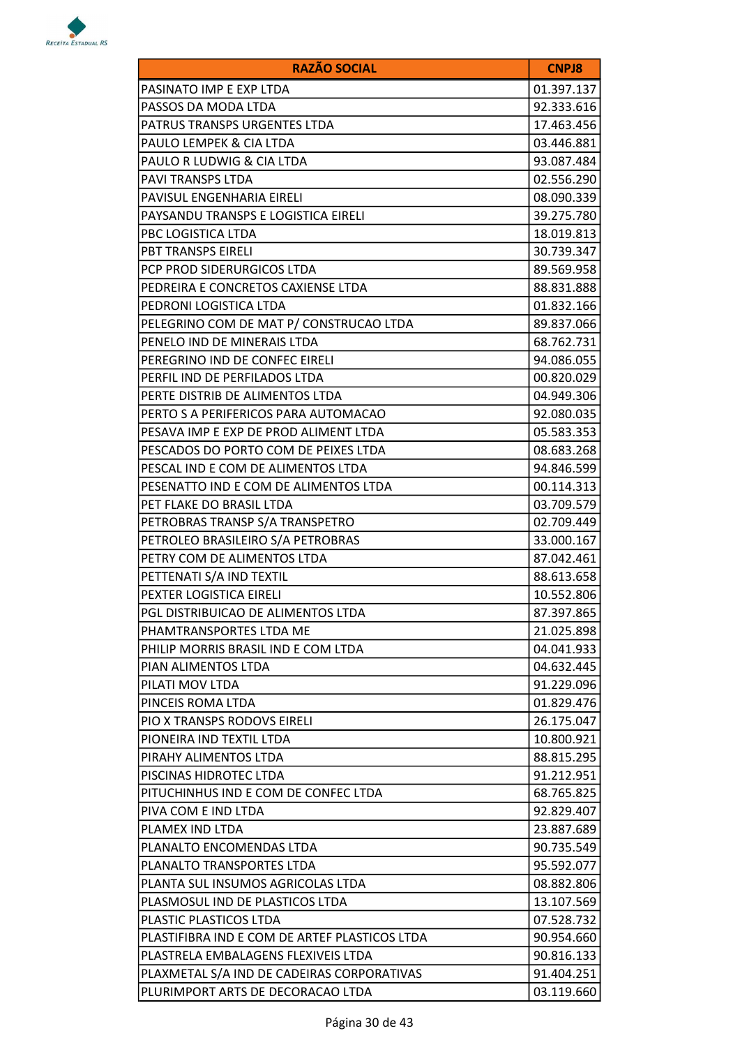

| <b>RAZÃO SOCIAL</b>                           | <b>CNPJ8</b> |
|-----------------------------------------------|--------------|
| PASINATO IMP E EXP LTDA                       | 01.397.137   |
| PASSOS DA MODA LTDA                           | 92.333.616   |
| PATRUS TRANSPS URGENTES LTDA                  | 17.463.456   |
| PAULO LEMPEK & CIA LTDA                       | 03.446.881   |
| PAULO R LUDWIG & CIA LTDA                     | 93.087.484   |
| PAVI TRANSPS LTDA                             | 02.556.290   |
| PAVISUL ENGENHARIA EIRELI                     | 08.090.339   |
| PAYSANDU TRANSPS E LOGISTICA EIRELI           | 39.275.780   |
| PBC LOGISTICA LTDA                            | 18.019.813   |
| PBT TRANSPS EIRELI                            | 30.739.347   |
| PCP PROD SIDERURGICOS LTDA                    | 89.569.958   |
| PEDREIRA E CONCRETOS CAXIENSE LTDA            | 88.831.888   |
| PEDRONI LOGISTICA LTDA                        | 01.832.166   |
| PELEGRINO COM DE MAT P/ CONSTRUCAO LTDA       | 89.837.066   |
| PENELO IND DE MINERAIS LTDA                   | 68.762.731   |
| PEREGRINO IND DE CONFEC EIRELI                | 94.086.055   |
| PERFIL IND DE PERFILADOS LTDA                 | 00.820.029   |
| PERTE DISTRIB DE ALIMENTOS LTDA               | 04.949.306   |
| PERTO S A PERIFERICOS PARA AUTOMACAO          | 92.080.035   |
| PESAVA IMP E EXP DE PROD ALIMENT LTDA         | 05.583.353   |
| PESCADOS DO PORTO COM DE PEIXES LTDA          | 08.683.268   |
| PESCAL IND E COM DE ALIMENTOS LTDA            | 94.846.599   |
| PESENATTO IND E COM DE ALIMENTOS LTDA         | 00.114.313   |
| PET FLAKE DO BRASIL LTDA                      | 03.709.579   |
| PETROBRAS TRANSP S/A TRANSPETRO               | 02.709.449   |
| PETROLEO BRASILEIRO S/A PETROBRAS             | 33.000.167   |
| PETRY COM DE ALIMENTOS LTDA                   | 87.042.461   |
| PETTENATI S/A IND TEXTIL                      | 88.613.658   |
| PEXTER LOGISTICA EIRELI                       | 10.552.806   |
| PGL DISTRIBUICAO DE ALIMENTOS LTDA            | 87.397.865   |
| PHAMTRANSPORTES LTDA ME                       | 21.025.898   |
| PHILIP MORRIS BRASIL IND E COM LTDA           | 04.041.933   |
| PIAN ALIMENTOS LTDA                           | 04.632.445   |
| PILATI MOV LTDA                               | 91.229.096   |
| PINCEIS ROMA LTDA                             | 01.829.476   |
| PIO X TRANSPS RODOVS EIRELI                   | 26.175.047   |
| PIONEIRA IND TEXTIL LTDA                      | 10.800.921   |
| PIRAHY ALIMENTOS LTDA                         | 88.815.295   |
| PISCINAS HIDROTEC LTDA                        | 91.212.951   |
| PITUCHINHUS IND E COM DE CONFEC LTDA          | 68.765.825   |
| PIVA COM E IND LTDA                           | 92.829.407   |
| PLAMEX IND LTDA                               | 23.887.689   |
| PLANALTO ENCOMENDAS LTDA                      | 90.735.549   |
| PLANALTO TRANSPORTES LTDA                     | 95.592.077   |
| PLANTA SUL INSUMOS AGRICOLAS LTDA             | 08.882.806   |
| PLASMOSUL IND DE PLASTICOS LTDA               | 13.107.569   |
| PLASTIC PLASTICOS LTDA                        | 07.528.732   |
| PLASTIFIBRA IND E COM DE ARTEF PLASTICOS LTDA | 90.954.660   |
| PLASTRELA EMBALAGENS FLEXIVEIS LTDA           | 90.816.133   |
| PLAXMETAL S/A IND DE CADEIRAS CORPORATIVAS    | 91.404.251   |
| PLURIMPORT ARTS DE DECORACAO LTDA             | 03.119.660   |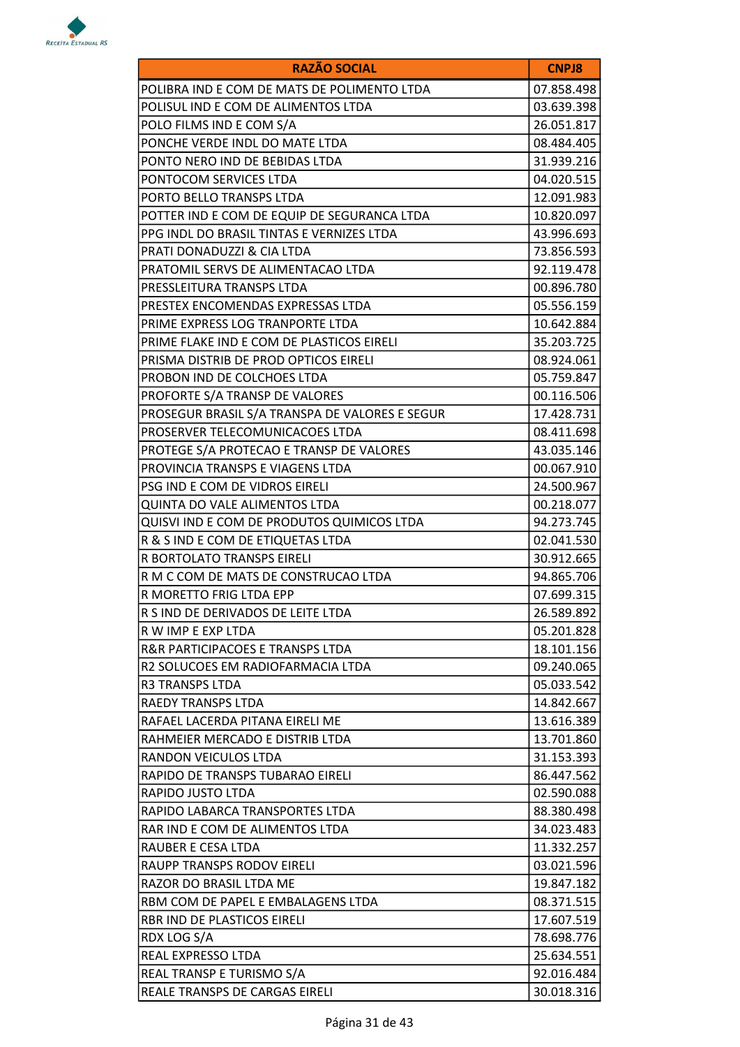

| <b>RAZÃO SOCIAL</b>                            | <b>CNPJ8</b> |
|------------------------------------------------|--------------|
| POLIBRA IND E COM DE MATS DE POLIMENTO LTDA    | 07.858.498   |
| POLISUL IND E COM DE ALIMENTOS LTDA            | 03.639.398   |
| POLO FILMS IND E COM S/A                       | 26.051.817   |
| PONCHE VERDE INDL DO MATE LTDA                 | 08.484.405   |
| PONTO NERO IND DE BEBIDAS LTDA                 | 31.939.216   |
| PONTOCOM SERVICES LTDA                         | 04.020.515   |
| PORTO BELLO TRANSPS LTDA                       | 12.091.983   |
| POTTER IND E COM DE EQUIP DE SEGURANCA LTDA    | 10.820.097   |
| PPG INDL DO BRASIL TINTAS E VERNIZES LTDA      | 43.996.693   |
| PRATI DONADUZZI & CIA LTDA                     | 73.856.593   |
| PRATOMIL SERVS DE ALIMENTACAO LTDA             | 92.119.478   |
| PRESSLEITURA TRANSPS LTDA                      | 00.896.780   |
| PRESTEX ENCOMENDAS EXPRESSAS LTDA              | 05.556.159   |
| PRIME EXPRESS LOG TRANPORTE LTDA               | 10.642.884   |
| PRIME FLAKE IND E COM DE PLASTICOS EIRELI      | 35.203.725   |
| PRISMA DISTRIB DE PROD OPTICOS EIRELI          | 08.924.061   |
| PROBON IND DE COLCHOES LTDA                    | 05.759.847   |
| PROFORTE S/A TRANSP DE VALORES                 | 00.116.506   |
| PROSEGUR BRASIL S/A TRANSPA DE VALORES E SEGUR | 17.428.731   |
| PROSERVER TELECOMUNICACOES LTDA                | 08.411.698   |
| PROTEGE S/A PROTECAO E TRANSP DE VALORES       | 43.035.146   |
| PROVINCIA TRANSPS E VIAGENS LTDA               | 00.067.910   |
| PSG IND E COM DE VIDROS EIRELI                 | 24.500.967   |
| QUINTA DO VALE ALIMENTOS LTDA                  | 00.218.077   |
| QUISVI IND E COM DE PRODUTOS QUIMICOS LTDA     | 94.273.745   |
| R & S IND E COM DE ETIQUETAS LTDA              | 02.041.530   |
| R BORTOLATO TRANSPS EIRELI                     | 30.912.665   |
| R M C COM DE MATS DE CONSTRUCAO LTDA           | 94.865.706   |
| R MORETTO FRIG LTDA EPP                        | 07.699.315   |
| R S IND DE DERIVADOS DE LEITE LTDA             | 26.589.892   |
| R W IMP E EXP LTDA                             | 05.201.828   |
| <b>R&amp;R PARTICIPACOES E TRANSPS LTDA</b>    | 18.101.156   |
| R2 SOLUCOES EM RADIOFARMACIA LTDA              | 09.240.065   |
| <b>R3 TRANSPS LTDA</b>                         | 05.033.542   |
| <b>RAEDY TRANSPS LTDA</b>                      | 14.842.667   |
| RAFAEL LACERDA PITANA EIRELI ME                | 13.616.389   |
| RAHMEIER MERCADO E DISTRIB LTDA                | 13.701.860   |
| <b>RANDON VEICULOS LTDA</b>                    | 31.153.393   |
| RAPIDO DE TRANSPS TUBARAO EIRELI               | 86.447.562   |
| RAPIDO JUSTO LTDA                              | 02.590.088   |
| RAPIDO LABARCA TRANSPORTES LTDA                | 88.380.498   |
| RAR IND E COM DE ALIMENTOS LTDA                | 34.023.483   |
| RAUBER E CESA LTDA                             | 11.332.257   |
| RAUPP TRANSPS RODOV EIRELI                     | 03.021.596   |
| RAZOR DO BRASIL LTDA ME                        | 19.847.182   |
| RBM COM DE PAPEL E EMBALAGENS LTDA             | 08.371.515   |
| RBR IND DE PLASTICOS EIRELI                    | 17.607.519   |
| RDX LOG S/A                                    | 78.698.776   |
| REAL EXPRESSO LTDA                             | 25.634.551   |
| REAL TRANSP E TURISMO S/A                      | 92.016.484   |
| REALE TRANSPS DE CARGAS EIRELI                 | 30.018.316   |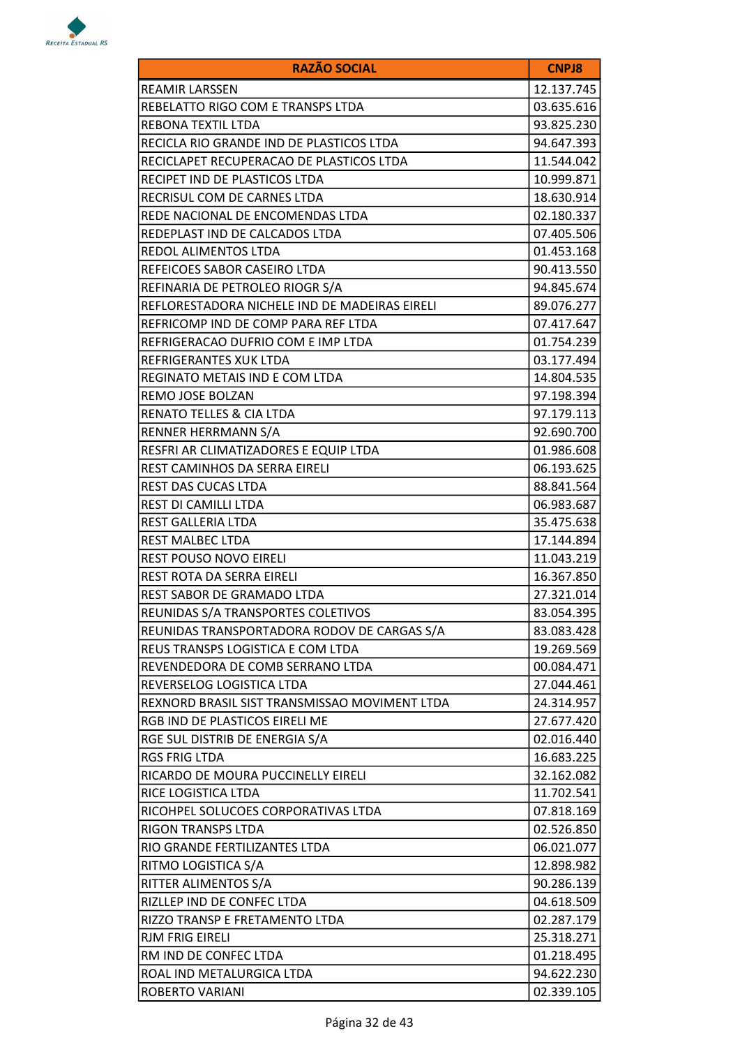

| <b>RAZÃO SOCIAL</b>                           | <b>CNPJ8</b> |
|-----------------------------------------------|--------------|
| <b>REAMIR LARSSEN</b>                         | 12.137.745   |
| REBELATTO RIGO COM E TRANSPS LTDA             | 03.635.616   |
| REBONA TEXTIL LTDA                            | 93.825.230   |
| RECICLA RIO GRANDE IND DE PLASTICOS LTDA      | 94.647.393   |
| RECICLAPET RECUPERACAO DE PLASTICOS LTDA      | 11.544.042   |
| RECIPET IND DE PLASTICOS LTDA                 | 10.999.871   |
| RECRISUL COM DE CARNES LTDA                   | 18.630.914   |
| REDE NACIONAL DE ENCOMENDAS LTDA              | 02.180.337   |
| REDEPLAST IND DE CALCADOS LTDA                | 07.405.506   |
| REDOL ALIMENTOS LTDA                          | 01.453.168   |
| REFEICOES SABOR CASEIRO LTDA                  | 90.413.550   |
| REFINARIA DE PETROLEO RIOGR S/A               | 94.845.674   |
| REFLORESTADORA NICHELE IND DE MADEIRAS EIRELI | 89.076.277   |
| REFRICOMP IND DE COMP PARA REF LTDA           | 07.417.647   |
| REFRIGERACAO DUFRIO COM E IMP LTDA            | 01.754.239   |
| REFRIGERANTES XUK LTDA                        | 03.177.494   |
| REGINATO METAIS IND E COM LTDA                | 14.804.535   |
| REMO JOSE BOLZAN                              | 97.198.394   |
| RENATO TELLES & CIA LTDA                      | 97.179.113   |
| RENNER HERRMANN S/A                           | 92.690.700   |
| RESFRI AR CLIMATIZADORES E EQUIP LTDA         | 01.986.608   |
| REST CAMINHOS DA SERRA EIRELI                 | 06.193.625   |
| REST DAS CUCAS LTDA                           | 88.841.564   |
| REST DI CAMILLI LTDA                          | 06.983.687   |
| REST GALLERIA LTDA                            | 35.475.638   |
| REST MALBEC LTDA                              | 17.144.894   |
| REST POUSO NOVO EIRELI                        | 11.043.219   |
| REST ROTA DA SERRA EIRELI                     | 16.367.850   |
| REST SABOR DE GRAMADO LTDA                    | 27.321.014   |
| REUNIDAS S/A TRANSPORTES COLETIVOS            | 83.054.395   |
| REUNIDAS TRANSPORTADORA RODOV DE CARGAS S/A   | 83.083.428   |
| REUS TRANSPS LOGISTICA E COM LTDA             | 19.269.569   |
| REVENDEDORA DE COMB SERRANO LTDA              | 00.084.471   |
| REVERSELOG LOGISTICA LTDA                     | 27.044.461   |
| REXNORD BRASIL SIST TRANSMISSAO MOVIMENT LTDA | 24.314.957   |
| RGB IND DE PLASTICOS EIRELI ME                | 27.677.420   |
| RGE SUL DISTRIB DE ENERGIA S/A                | 02.016.440   |
| <b>RGS FRIG LTDA</b>                          | 16.683.225   |
| RICARDO DE MOURA PUCCINELLY EIRELI            | 32.162.082   |
| RICE LOGISTICA LTDA                           | 11.702.541   |
| RICOHPEL SOLUCOES CORPORATIVAS LTDA           | 07.818.169   |
| <b>RIGON TRANSPS LTDA</b>                     | 02.526.850   |
| RIO GRANDE FERTILIZANTES LTDA                 | 06.021.077   |
| RITMO LOGISTICA S/A                           | 12.898.982   |
| RITTER ALIMENTOS S/A                          | 90.286.139   |
| RIZLLEP IND DE CONFEC LTDA                    | 04.618.509   |
| RIZZO TRANSP E FRETAMENTO LTDA                | 02.287.179   |
| RJM FRIG EIRELI                               | 25.318.271   |
| RM IND DE CONFEC LTDA                         | 01.218.495   |
| ROAL IND METALURGICA LTDA                     | 94.622.230   |
| ROBERTO VARIANI                               | 02.339.105   |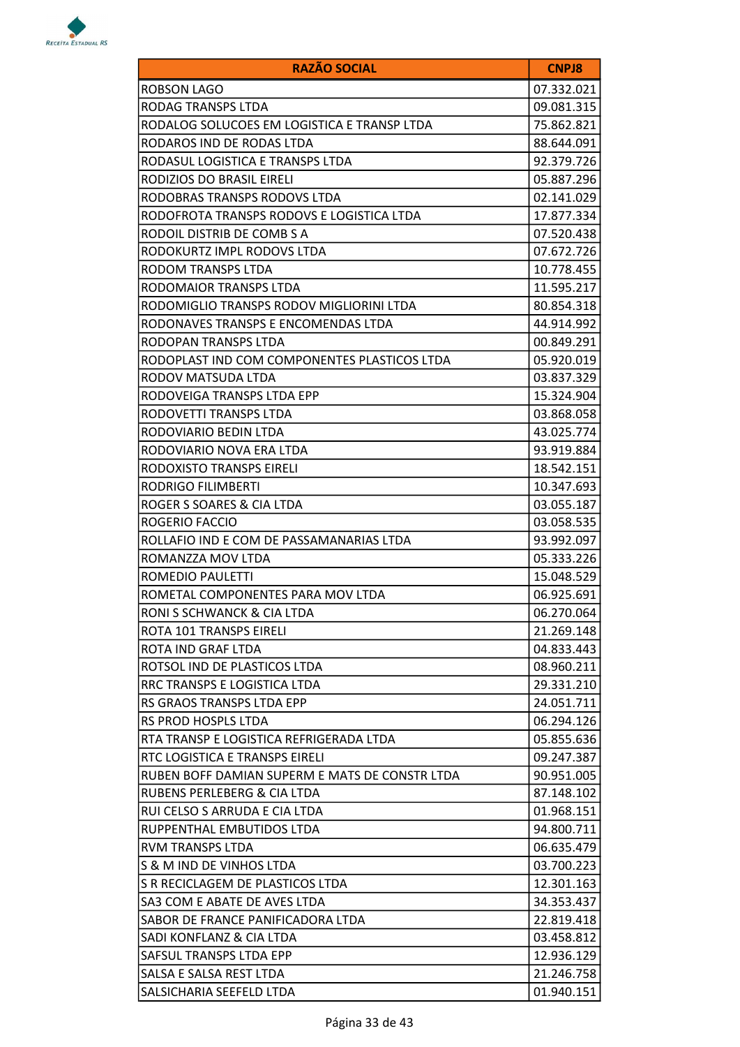

| <b>RAZÃO SOCIAL</b>                            | <b>CNPJ8</b> |
|------------------------------------------------|--------------|
| ROBSON LAGO                                    | 07.332.021   |
| RODAG TRANSPS LTDA                             | 09.081.315   |
| RODALOG SOLUCOES EM LOGISTICA E TRANSP LTDA    | 75.862.821   |
| RODAROS IND DE RODAS LTDA                      | 88.644.091   |
| RODASUL LOGISTICA E TRANSPS LTDA               | 92.379.726   |
| RODIZIOS DO BRASIL EIRELI                      | 05.887.296   |
| RODOBRAS TRANSPS RODOVS LTDA                   | 02.141.029   |
| RODOFROTA TRANSPS RODOVS E LOGISTICA LTDA      | 17.877.334   |
| RODOIL DISTRIB DE COMB S A                     | 07.520.438   |
| RODOKURTZ IMPL RODOVS LTDA                     | 07.672.726   |
| RODOM TRANSPS LTDA                             | 10.778.455   |
| RODOMAIOR TRANSPS LTDA                         | 11.595.217   |
| RODOMIGLIO TRANSPS RODOV MIGLIORINI LTDA       | 80.854.318   |
| RODONAVES TRANSPS E ENCOMENDAS LTDA            | 44.914.992   |
| RODOPAN TRANSPS LTDA                           | 00.849.291   |
| RODOPLAST IND COM COMPONENTES PLASTICOS LTDA   | 05.920.019   |
| RODOV MATSUDA LTDA                             | 03.837.329   |
| RODOVEIGA TRANSPS LTDA EPP                     | 15.324.904   |
| RODOVETTI TRANSPS LTDA                         | 03.868.058   |
| RODOVIARIO BEDIN LTDA                          | 43.025.774   |
| RODOVIARIO NOVA ERA LTDA                       | 93.919.884   |
| RODOXISTO TRANSPS EIRELI                       | 18.542.151   |
| RODRIGO FILIMBERTI                             | 10.347.693   |
| ROGER S SOARES & CIA LTDA                      | 03.055.187   |
| ROGERIO FACCIO                                 | 03.058.535   |
| ROLLAFIO IND E COM DE PASSAMANARIAS LTDA       | 93.992.097   |
| ROMANZZA MOV LTDA                              | 05.333.226   |
| <b>ROMEDIO PAULETTI</b>                        | 15.048.529   |
| ROMETAL COMPONENTES PARA MOV LTDA              | 06.925.691   |
| RONI S SCHWANCK & CIA LTDA                     | 06.270.064   |
| ROTA 101 TRANSPS EIRELI                        | 21.269.148   |
| ROTA IND GRAF LTDA                             | 04.833.443   |
| ROTSOL IND DE PLASTICOS LTDA                   | 08.960.211   |
| RRC TRANSPS E LOGISTICA LTDA                   | 29.331.210   |
| <b>RS GRAOS TRANSPS LTDA EPP</b>               | 24.051.711   |
| RS PROD HOSPLS LTDA                            | 06.294.126   |
| RTA TRANSP E LOGISTICA REFRIGERADA LTDA        | 05.855.636   |
| RTC LOGISTICA E TRANSPS EIRELI                 | 09.247.387   |
| RUBEN BOFF DAMIAN SUPERM E MATS DE CONSTR LTDA | 90.951.005   |
| RUBENS PERLEBERG & CIA LTDA                    | 87.148.102   |
| RUI CELSO S ARRUDA E CIA LTDA                  | 01.968.151   |
| RUPPENTHAL EMBUTIDOS LTDA                      | 94.800.711   |
| <b>RVM TRANSPS LTDA</b>                        | 06.635.479   |
| S & M IND DE VINHOS LTDA                       | 03.700.223   |
| S R RECICLAGEM DE PLASTICOS LTDA               | 12.301.163   |
| SA3 COM E ABATE DE AVES LTDA                   | 34.353.437   |
| SABOR DE FRANCE PANIFICADORA LTDA              | 22.819.418   |
| SADI KONFLANZ & CIA LTDA                       | 03.458.812   |
| SAFSUL TRANSPS LTDA EPP                        | 12.936.129   |
| SALSA E SALSA REST LTDA                        | 21.246.758   |
| SALSICHARIA SEEFELD LTDA                       | 01.940.151   |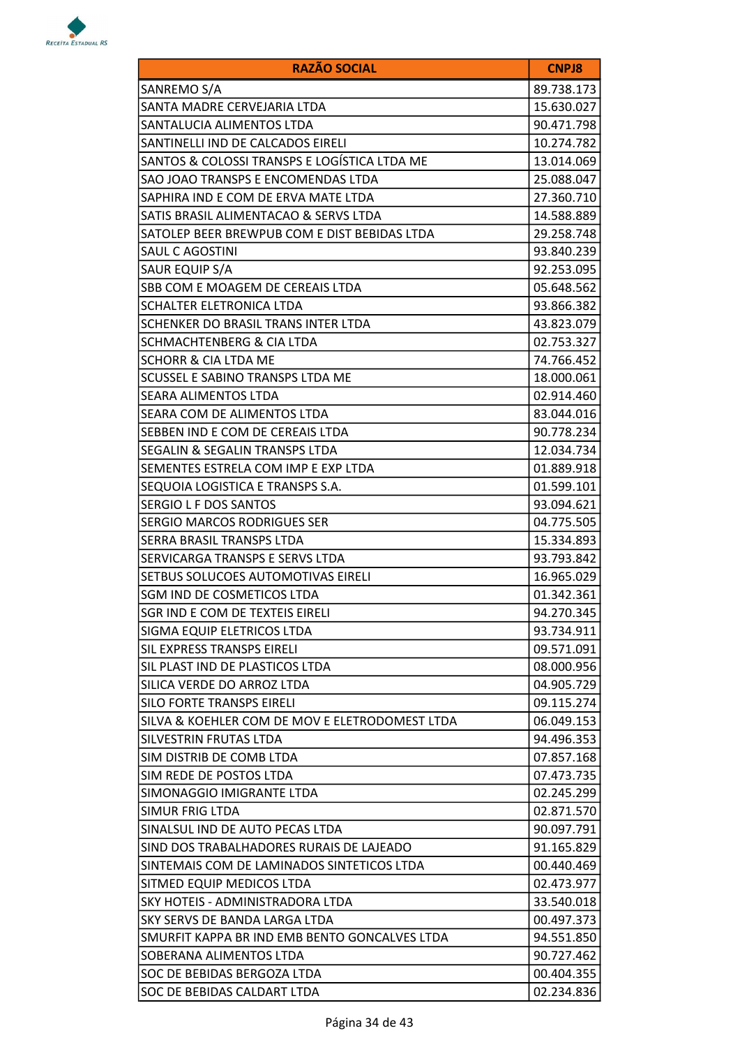

| <b>RAZÃO SOCIAL</b>                            | <b>CNPJ8</b> |
|------------------------------------------------|--------------|
| SANREMO S/A                                    | 89.738.173   |
| SANTA MADRE CERVEJARIA LTDA                    | 15.630.027   |
| SANTALUCIA ALIMENTOS LTDA                      | 90.471.798   |
| SANTINELLI IND DE CALCADOS EIRELI              | 10.274.782   |
| SANTOS & COLOSSI TRANSPS E LOGÍSTICA LTDA ME   | 13.014.069   |
| SAO JOAO TRANSPS E ENCOMENDAS LTDA             | 25.088.047   |
| SAPHIRA IND E COM DE ERVA MATE LTDA            | 27.360.710   |
| SATIS BRASIL ALIMENTACAO & SERVS LTDA          | 14.588.889   |
| SATOLEP BEER BREWPUB COM E DIST BEBIDAS LTDA   | 29.258.748   |
| SAUL C AGOSTINI                                | 93.840.239   |
| SAUR EQUIP S/A                                 | 92.253.095   |
| SBB COM E MOAGEM DE CEREAIS LTDA               | 05.648.562   |
| SCHALTER ELETRONICA LTDA                       | 93.866.382   |
| SCHENKER DO BRASIL TRANS INTER LTDA            | 43.823.079   |
| <b>SCHMACHTENBERG &amp; CIA LTDA</b>           | 02.753.327   |
| <b>SCHORR &amp; CIA LTDA ME</b>                | 74.766.452   |
| SCUSSEL E SABINO TRANSPS LTDA ME               | 18.000.061   |
| <b>SEARA ALIMENTOS LTDA</b>                    | 02.914.460   |
| SEARA COM DE ALIMENTOS LTDA                    | 83.044.016   |
| SEBBEN IND E COM DE CEREAIS LTDA               | 90.778.234   |
| SEGALIN & SEGALIN TRANSPS LTDA                 | 12.034.734   |
| SEMENTES ESTRELA COM IMP E EXP LTDA            | 01.889.918   |
| SEQUOIA LOGISTICA E TRANSPS S.A.               | 01.599.101   |
| SERGIO L F DOS SANTOS                          | 93.094.621   |
| <b>SERGIO MARCOS RODRIGUES SER</b>             | 04.775.505   |
| SERRA BRASIL TRANSPS LTDA                      | 15.334.893   |
| SERVICARGA TRANSPS E SERVS LTDA                | 93.793.842   |
| SETBUS SOLUCOES AUTOMOTIVAS EIRELI             | 16.965.029   |
| SGM IND DE COSMETICOS LTDA                     | 01.342.361   |
| SGR IND E COM DE TEXTEIS EIRELI                | 94.270.345   |
| SIGMA EQUIP ELETRICOS LTDA                     | 93.734.911   |
| <b>SIL EXPRESS TRANSPS EIRELI</b>              | 09.571.091   |
| SIL PLAST IND DE PLASTICOS LTDA                | 08.000.956   |
| SILICA VERDE DO ARROZ LTDA                     | 04.905.729   |
| SILO FORTE TRANSPS EIRELI                      | 09.115.274   |
| SILVA & KOEHLER COM DE MOV E ELETRODOMEST LTDA | 06.049.153   |
| SILVESTRIN FRUTAS LTDA                         | 94.496.353   |
| SIM DISTRIB DE COMB LTDA                       | 07.857.168   |
| SIM REDE DE POSTOS LTDA                        | 07.473.735   |
| SIMONAGGIO IMIGRANTE LTDA                      | 02.245.299   |
| SIMUR FRIG LTDA                                | 02.871.570   |
| SINALSUL IND DE AUTO PECAS LTDA                | 90.097.791   |
| SIND DOS TRABALHADORES RURAIS DE LAJEADO       | 91.165.829   |
| SINTEMAIS COM DE LAMINADOS SINTETICOS LTDA     | 00.440.469   |
| SITMED EQUIP MEDICOS LTDA                      | 02.473.977   |
| SKY HOTEIS - ADMINISTRADORA LTDA               | 33.540.018   |
| SKY SERVS DE BANDA LARGA LTDA                  | 00.497.373   |
| SMURFIT KAPPA BR IND EMB BENTO GONCALVES LTDA  | 94.551.850   |
| SOBERANA ALIMENTOS LTDA                        | 90.727.462   |
| SOC DE BEBIDAS BERGOZA LTDA                    | 00.404.355   |
| SOC DE BEBIDAS CALDART LTDA                    | 02.234.836   |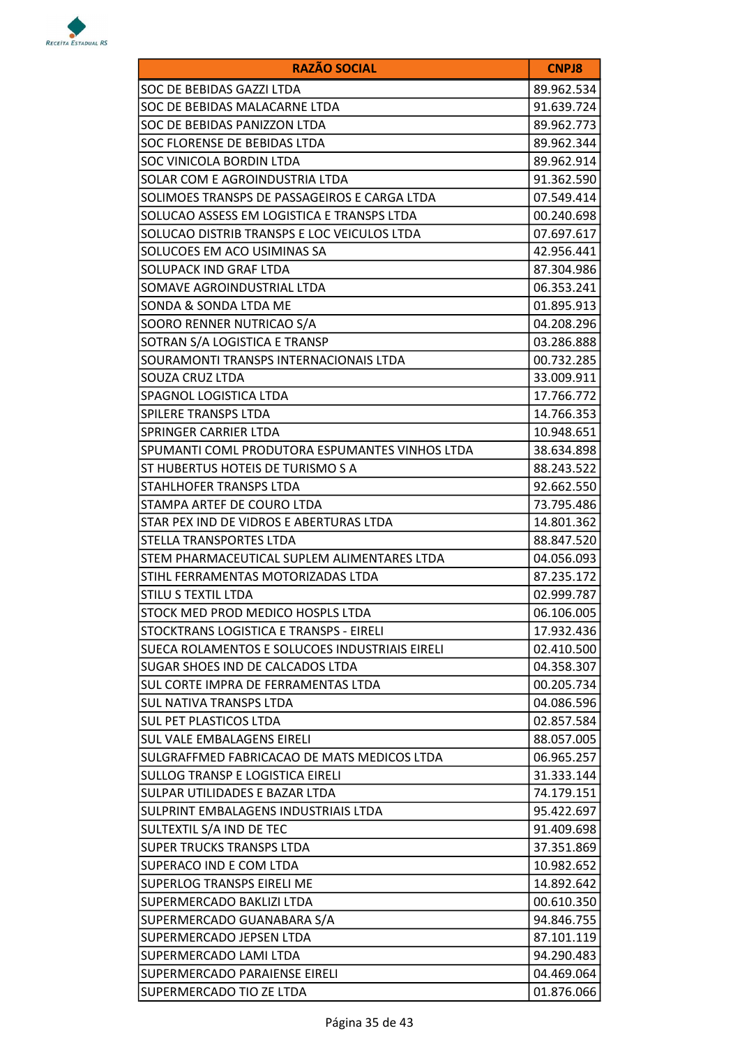

| <b>RAZÃO SOCIAL</b>                            | <b>CNPJ8</b> |
|------------------------------------------------|--------------|
| SOC DE BEBIDAS GAZZI LTDA                      | 89.962.534   |
| SOC DE BEBIDAS MALACARNE LTDA                  | 91.639.724   |
| SOC DE BEBIDAS PANIZZON LTDA                   | 89.962.773   |
| SOC FLORENSE DE BEBIDAS LTDA                   | 89.962.344   |
| SOC VINICOLA BORDIN LTDA                       | 89.962.914   |
| SOLAR COM E AGROINDUSTRIA LTDA                 | 91.362.590   |
| SOLIMOES TRANSPS DE PASSAGEIROS E CARGA LTDA   | 07.549.414   |
| SOLUCAO ASSESS EM LOGISTICA E TRANSPS LTDA     | 00.240.698   |
| SOLUCAO DISTRIB TRANSPS E LOC VEICULOS LTDA    | 07.697.617   |
| SOLUCOES EM ACO USIMINAS SA                    | 42.956.441   |
| SOLUPACK IND GRAF LTDA                         | 87.304.986   |
| SOMAVE AGROINDUSTRIAL LTDA                     | 06.353.241   |
| SONDA & SONDA LTDA ME                          | 01.895.913   |
| SOORO RENNER NUTRICAO S/A                      | 04.208.296   |
| SOTRAN S/A LOGISTICA E TRANSP                  | 03.286.888   |
| SOURAMONTI TRANSPS INTERNACIONAIS LTDA         | 00.732.285   |
| SOUZA CRUZ LTDA                                | 33.009.911   |
| SPAGNOL LOGISTICA LTDA                         | 17.766.772   |
| SPILERE TRANSPS LTDA                           | 14.766.353   |
| SPRINGER CARRIER LTDA                          | 10.948.651   |
| SPUMANTI COML PRODUTORA ESPUMANTES VINHOS LTDA | 38.634.898   |
| ST HUBERTUS HOTEIS DE TURISMO S A              | 88.243.522   |
| STAHLHOFER TRANSPS LTDA                        | 92.662.550   |
| STAMPA ARTEF DE COURO LTDA                     | 73.795.486   |
| STAR PEX IND DE VIDROS E ABERTURAS LTDA        | 14.801.362   |
| <b>STELLA TRANSPORTES LTDA</b>                 | 88.847.520   |
| STEM PHARMACEUTICAL SUPLEM ALIMENTARES LTDA    | 04.056.093   |
| STIHL FERRAMENTAS MOTORIZADAS LTDA             | 87.235.172   |
| STILU S TEXTIL LTDA                            | 02.999.787   |
| STOCK MED PROD MEDICO HOSPLS LTDA              | 06.106.005   |
| STOCKTRANS LOGISTICA E TRANSPS - EIRELI        | 17.932.436   |
| SUECA ROLAMENTOS E SOLUCOES INDUSTRIAIS EIRELI | 02.410.500   |
| SUGAR SHOES IND DE CALCADOS LTDA               | 04.358.307   |
| SUL CORTE IMPRA DE FERRAMENTAS LTDA            | 00.205.734   |
| <b>SUL NATIVA TRANSPS LTDA</b>                 | 04.086.596   |
| SUL PET PLASTICOS LTDA                         | 02.857.584   |
| <b>SUL VALE EMBALAGENS EIRELI</b>              | 88.057.005   |
| SULGRAFFMED FABRICACAO DE MATS MEDICOS LTDA    | 06.965.257   |
| SULLOG TRANSP E LOGISTICA EIRELI               | 31.333.144   |
| SULPAR UTILIDADES E BAZAR LTDA                 | 74.179.151   |
| SULPRINT EMBALAGENS INDUSTRIAIS LTDA           | 95.422.697   |
| SULTEXTIL S/A IND DE TEC                       | 91.409.698   |
| <b>SUPER TRUCKS TRANSPS LTDA</b>               | 37.351.869   |
| SUPERACO IND E COM LTDA                        | 10.982.652   |
| SUPERLOG TRANSPS EIRELI ME                     | 14.892.642   |
| SUPERMERCADO BAKLIZI LTDA                      | 00.610.350   |
| SUPERMERCADO GUANABARA S/A                     | 94.846.755   |
| SUPERMERCADO JEPSEN LTDA                       | 87.101.119   |
| SUPERMERCADO LAMI LTDA                         | 94.290.483   |
| SUPERMERCADO PARAIENSE EIRELI                  | 04.469.064   |
| SUPERMERCADO TIO ZE LTDA                       | 01.876.066   |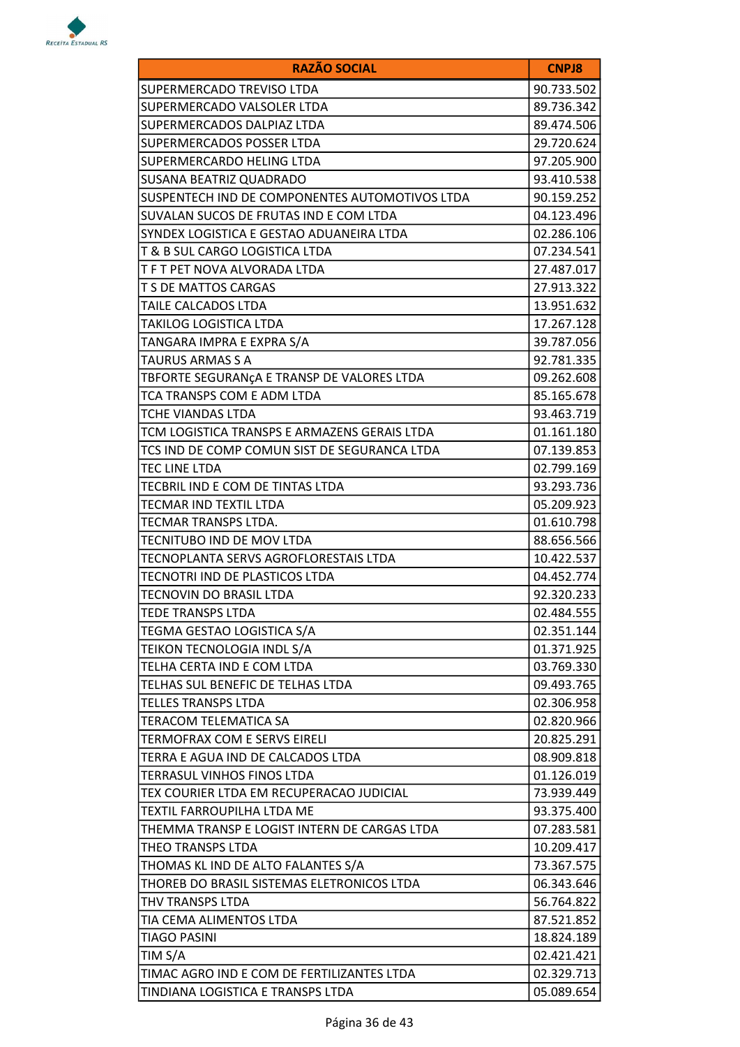

| <b>RAZÃO SOCIAL</b>                            | <b>CNPJ8</b> |
|------------------------------------------------|--------------|
| SUPERMERCADO TREVISO LTDA                      | 90.733.502   |
| SUPERMERCADO VALSOLER LTDA                     | 89.736.342   |
| SUPERMERCADOS DALPIAZ LTDA                     | 89.474.506   |
| SUPERMERCADOS POSSER LTDA                      | 29.720.624   |
| SUPERMERCARDO HELING LTDA                      | 97.205.900   |
| SUSANA BEATRIZ QUADRADO                        | 93.410.538   |
| SUSPENTECH IND DE COMPONENTES AUTOMOTIVOS LTDA | 90.159.252   |
| SUVALAN SUCOS DE FRUTAS IND E COM LTDA         | 04.123.496   |
| SYNDEX LOGISTICA E GESTAO ADUANEIRA LTDA       | 02.286.106   |
| T & B SUL CARGO LOGISTICA LTDA                 | 07.234.541   |
| T F T PET NOVA ALVORADA LTDA                   | 27.487.017   |
| T S DE MATTOS CARGAS                           | 27.913.322   |
| TAILE CALCADOS LTDA                            | 13.951.632   |
| <b>TAKILOG LOGISTICA LTDA</b>                  | 17.267.128   |
| TANGARA IMPRA E EXPRA S/A                      | 39.787.056   |
| <b>TAURUS ARMAS S A</b>                        | 92.781.335   |
| TBFORTE SEGURANÇA E TRANSP DE VALORES LTDA     | 09.262.608   |
| TCA TRANSPS COM E ADM LTDA                     | 85.165.678   |
| TCHE VIANDAS LTDA                              | 93.463.719   |
| TCM LOGISTICA TRANSPS E ARMAZENS GERAIS LTDA   | 01.161.180   |
| TCS IND DE COMP COMUN SIST DE SEGURANCA LTDA   | 07.139.853   |
| TEC LINE LTDA                                  | 02.799.169   |
| TECBRIL IND E COM DE TINTAS LTDA               | 93.293.736   |
| TECMAR IND TEXTIL LTDA                         | 05.209.923   |
| TECMAR TRANSPS LTDA.                           | 01.610.798   |
| TECNITUBO IND DE MOV LTDA                      | 88.656.566   |
| TECNOPLANTA SERVS AGROFLORESTAIS LTDA          | 10.422.537   |
| TECNOTRI IND DE PLASTICOS LTDA                 | 04.452.774   |
| <b>TECNOVIN DO BRASIL LTDA</b>                 | 92.320.233   |
| <b>TEDE TRANSPS LTDA</b>                       | 02.484.555   |
| TEGMA GESTAO LOGISTICA S/A                     | 02.351.144   |
| TEIKON TECNOLOGIA INDL S/A                     | 01.371.925   |
| TELHA CERTA IND E COM LTDA                     | 03.769.330   |
| TELHAS SUL BENEFIC DE TELHAS LTDA              | 09.493.765   |
| <b>TELLES TRANSPS LTDA</b>                     | 02.306.958   |
| <b>TERACOM TELEMATICA SA</b>                   | 02.820.966   |
| TERMOFRAX COM E SERVS EIRELI                   | 20.825.291   |
| TERRA E AGUA IND DE CALCADOS LTDA              | 08.909.818   |
| TERRASUL VINHOS FINOS LTDA                     | 01.126.019   |
| TEX COURIER LTDA EM RECUPERACAO JUDICIAL       | 73.939.449   |
| TEXTIL FARROUPILHA LTDA ME                     | 93.375.400   |
| THEMMA TRANSP E LOGIST INTERN DE CARGAS LTDA   | 07.283.581   |
| THEO TRANSPS LTDA                              | 10.209.417   |
| THOMAS KL IND DE ALTO FALANTES S/A             | 73.367.575   |
| THOREB DO BRASIL SISTEMAS ELETRONICOS LTDA     | 06.343.646   |
| THV TRANSPS LTDA                               | 56.764.822   |
| TIA CEMA ALIMENTOS LTDA                        | 87.521.852   |
| <b>TIAGO PASINI</b>                            | 18.824.189   |
| TIM S/A                                        | 02.421.421   |
| TIMAC AGRO IND E COM DE FERTILIZANTES LTDA     | 02.329.713   |
| TINDIANA LOGISTICA E TRANSPS LTDA              | 05.089.654   |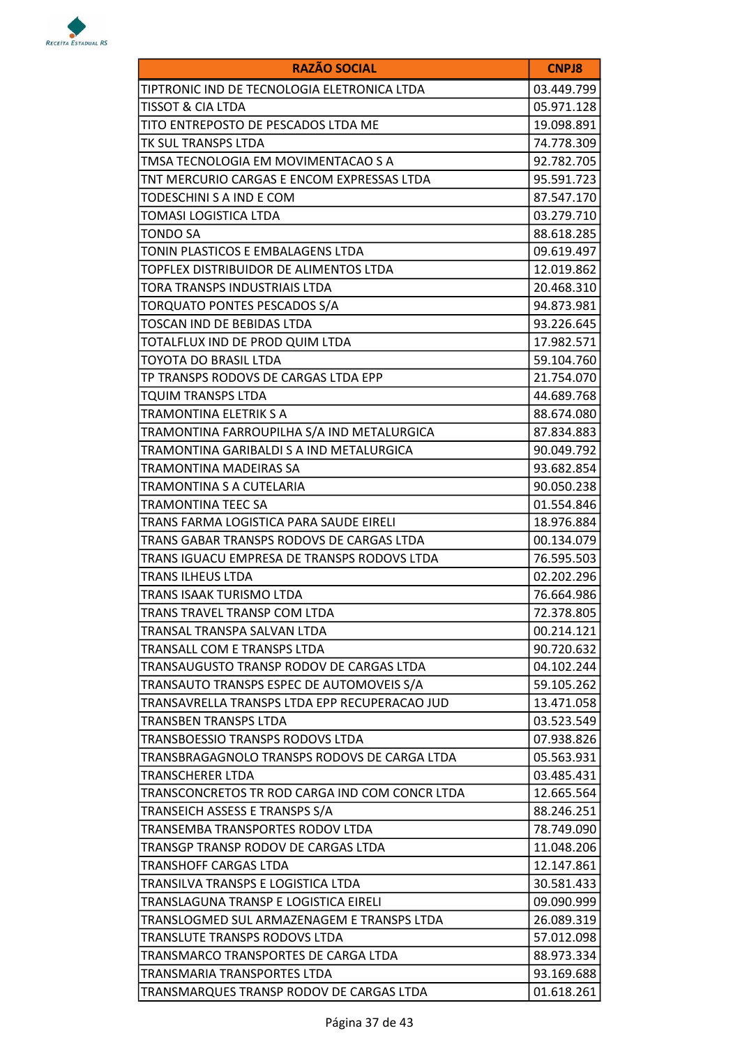

| <b>RAZÃO SOCIAL</b>                            | <b>CNPJ8</b> |
|------------------------------------------------|--------------|
| TIPTRONIC IND DE TECNOLOGIA ELETRONICA LTDA    | 03.449.799   |
| <b>TISSOT &amp; CIA LTDA</b>                   | 05.971.128   |
| TITO ENTREPOSTO DE PESCADOS LTDA ME            | 19.098.891   |
| TK SUL TRANSPS LTDA                            | 74.778.309   |
| TMSA TECNOLOGIA EM MOVIMENTACAO S A            | 92.782.705   |
| TNT MERCURIO CARGAS E ENCOM EXPRESSAS LTDA     | 95.591.723   |
| TODESCHINI S A IND E COM                       | 87.547.170   |
| TOMASI LOGISTICA LTDA                          | 03.279.710   |
| TONDO SA                                       | 88.618.285   |
| TONIN PLASTICOS E EMBALAGENS LTDA              | 09.619.497   |
| TOPFLEX DISTRIBUIDOR DE ALIMENTOS LTDA         | 12.019.862   |
| TORA TRANSPS INDUSTRIAIS LTDA                  | 20.468.310   |
| TORQUATO PONTES PESCADOS S/A                   | 94.873.981   |
| TOSCAN IND DE BEBIDAS LTDA                     | 93.226.645   |
| TOTALFLUX IND DE PROD QUIM LTDA                | 17.982.571   |
| TOYOTA DO BRASIL LTDA                          | 59.104.760   |
| TP TRANSPS RODOVS DE CARGAS LTDA EPP           | 21.754.070   |
| TQUIM TRANSPS LTDA                             | 44.689.768   |
| TRAMONTINA ELETRIK S A                         | 88.674.080   |
| TRAMONTINA FARROUPILHA S/A IND METALURGICA     | 87.834.883   |
| TRAMONTINA GARIBALDI S A IND METALURGICA       | 90.049.792   |
| TRAMONTINA MADEIRAS SA                         | 93.682.854   |
| TRAMONTINA S A CUTELARIA                       | 90.050.238   |
| TRAMONTINA TEEC SA                             | 01.554.846   |
| TRANS FARMA LOGISTICA PARA SAUDE EIRELI        | 18.976.884   |
| TRANS GABAR TRANSPS RODOVS DE CARGAS LTDA      | 00.134.079   |
| TRANS IGUACU EMPRESA DE TRANSPS RODOVS LTDA    | 76.595.503   |
| TRANS ILHEUS LTDA                              | 02.202.296   |
| TRANS ISAAK TURISMO LTDA                       | 76.664.986   |
| TRANS TRAVEL TRANSP COM LTDA                   | 72.378.805   |
| TRANSAL TRANSPA SALVAN LTDA                    | 00.214.121   |
| TRANSALL COM E TRANSPS LTDA                    | 90.720.632   |
| TRANSAUGUSTO TRANSP RODOV DE CARGAS LTDA       | 04.102.244   |
| TRANSAUTO TRANSPS ESPEC DE AUTOMOVEIS S/A      | 59.105.262   |
| TRANSAVRELLA TRANSPS LTDA EPP RECUPERACAO JUD  | 13.471.058   |
| TRANSBEN TRANSPS LTDA                          | 03.523.549   |
| TRANSBOESSIO TRANSPS RODOVS LTDA               | 07.938.826   |
| TRANSBRAGAGNOLO TRANSPS RODOVS DE CARGA LTDA   | 05.563.931   |
| TRANSCHERER LTDA                               | 03.485.431   |
| TRANSCONCRETOS TR ROD CARGA IND COM CONCR LTDA | 12.665.564   |
| TRANSEICH ASSESS E TRANSPS S/A                 | 88.246.251   |
| TRANSEMBA TRANSPORTES RODOV LTDA               | 78.749.090   |
| TRANSGP TRANSP RODOV DE CARGAS LTDA            | 11.048.206   |
| TRANSHOFF CARGAS LTDA                          | 12.147.861   |
| TRANSILVA TRANSPS E LOGISTICA LTDA             | 30.581.433   |
| TRANSLAGUNA TRANSP E LOGISTICA EIRELI          | 09.090.999   |
| TRANSLOGMED SUL ARMAZENAGEM E TRANSPS LTDA     | 26.089.319   |
| TRANSLUTE TRANSPS RODOVS LTDA                  | 57.012.098   |
| TRANSMARCO TRANSPORTES DE CARGA LTDA           | 88.973.334   |
| TRANSMARIA TRANSPORTES LTDA                    | 93.169.688   |
| TRANSMARQUES TRANSP RODOV DE CARGAS LTDA       | 01.618.261   |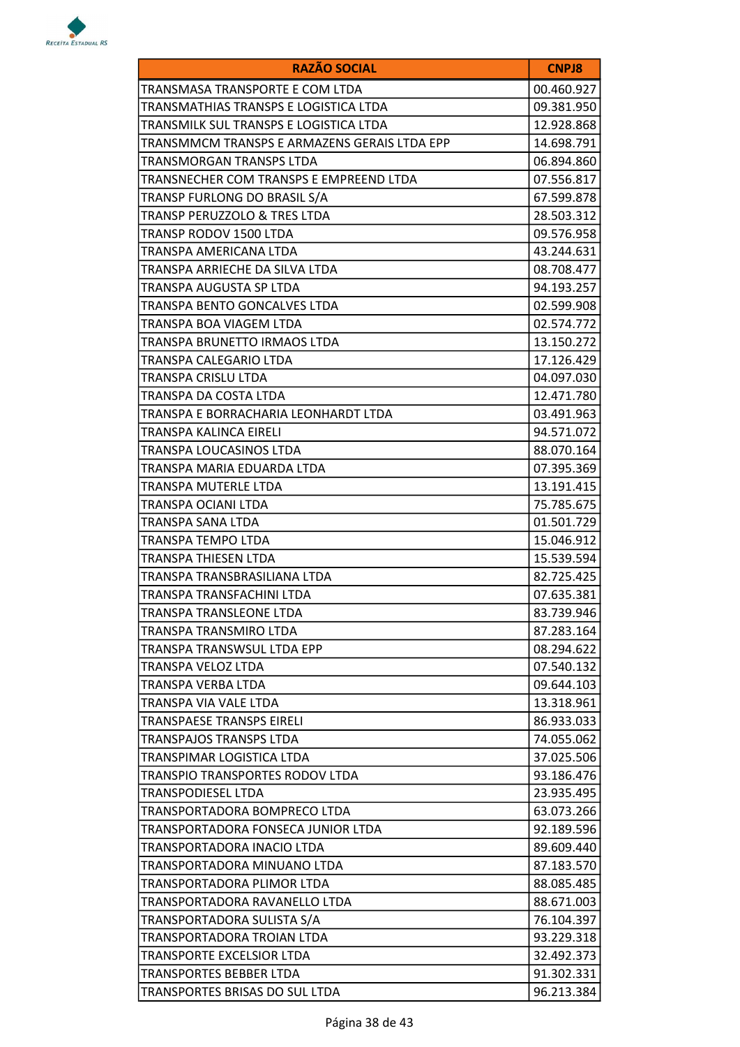

| <b>RAZÃO SOCIAL</b>                          | <b>CNPJ8</b> |
|----------------------------------------------|--------------|
| TRANSMASA TRANSPORTE E COM LTDA              | 00.460.927   |
| TRANSMATHIAS TRANSPS E LOGISTICA LTDA        | 09.381.950   |
| TRANSMILK SUL TRANSPS E LOGISTICA LTDA       | 12.928.868   |
| TRANSMMCM TRANSPS E ARMAZENS GERAIS LTDA EPP | 14.698.791   |
| TRANSMORGAN TRANSPS LTDA                     | 06.894.860   |
| TRANSNECHER COM TRANSPS E EMPREEND LTDA      | 07.556.817   |
| TRANSP FURLONG DO BRASIL S/A                 | 67.599.878   |
| TRANSP PERUZZOLO & TRES LTDA                 | 28.503.312   |
| TRANSP RODOV 1500 LTDA                       | 09.576.958   |
| TRANSPA AMERICANA LTDA                       | 43.244.631   |
| TRANSPA ARRIECHE DA SILVA LTDA               | 08.708.477   |
| TRANSPA AUGUSTA SP LTDA                      | 94.193.257   |
| TRANSPA BENTO GONCALVES LTDA                 | 02.599.908   |
| TRANSPA BOA VIAGEM LTDA                      | 02.574.772   |
| TRANSPA BRUNETTO IRMAOS LTDA                 | 13.150.272   |
| TRANSPA CALEGARIO LTDA                       | 17.126.429   |
| TRANSPA CRISLU LTDA                          | 04.097.030   |
| TRANSPA DA COSTA LTDA                        | 12.471.780   |
| TRANSPA E BORRACHARIA LEONHARDT LTDA         | 03.491.963   |
| TRANSPA KALINCA EIRELI                       | 94.571.072   |
| TRANSPA LOUCASINOS LTDA                      | 88.070.164   |
| TRANSPA MARIA EDUARDA LTDA                   | 07.395.369   |
| TRANSPA MUTERLE LTDA                         | 13.191.415   |
| TRANSPA OCIANI LTDA                          | 75.785.675   |
| TRANSPA SANA LTDA                            | 01.501.729   |
| TRANSPA TEMPO LTDA                           | 15.046.912   |
| TRANSPA THIESEN LTDA                         | 15.539.594   |
| TRANSPA TRANSBRASILIANA LTDA                 | 82.725.425   |
| TRANSPA TRANSFACHINI LTDA                    | 07.635.381   |
| TRANSPA TRANSLEONE LTDA                      | 83.739.946   |
| TRANSPA TRANSMIRO LTDA                       | 87.283.164   |
| <b>TRANSPA TRANSWSUL LTDA EPP</b>            | 08.294.622   |
| TRANSPA VELOZ LTDA                           | 07.540.132   |
| TRANSPA VERBA LTDA                           | 09.644.103   |
| TRANSPA VIA VALE LTDA                        | 13.318.961   |
| TRANSPAESE TRANSPS EIRELI                    | 86.933.033   |
| TRANSPAJOS TRANSPS LTDA                      | 74.055.062   |
| TRANSPIMAR LOGISTICA LTDA                    | 37.025.506   |
| TRANSPIO TRANSPORTES RODOV LTDA              | 93.186.476   |
| TRANSPODIESEL LTDA                           | 23.935.495   |
| TRANSPORTADORA BOMPRECO LTDA                 | 63.073.266   |
| TRANSPORTADORA FONSECA JUNIOR LTDA           | 92.189.596   |
| TRANSPORTADORA INACIO LTDA                   | 89.609.440   |
| TRANSPORTADORA MINUANO LTDA                  | 87.183.570   |
| TRANSPORTADORA PLIMOR LTDA                   | 88.085.485   |
| TRANSPORTADORA RAVANELLO LTDA                | 88.671.003   |
| TRANSPORTADORA SULISTA S/A                   | 76.104.397   |
| TRANSPORTADORA TROIAN LTDA                   | 93.229.318   |
| TRANSPORTE EXCELSIOR LTDA                    | 32.492.373   |
| TRANSPORTES BEBBER LTDA                      | 91.302.331   |
| TRANSPORTES BRISAS DO SUL LTDA               | 96.213.384   |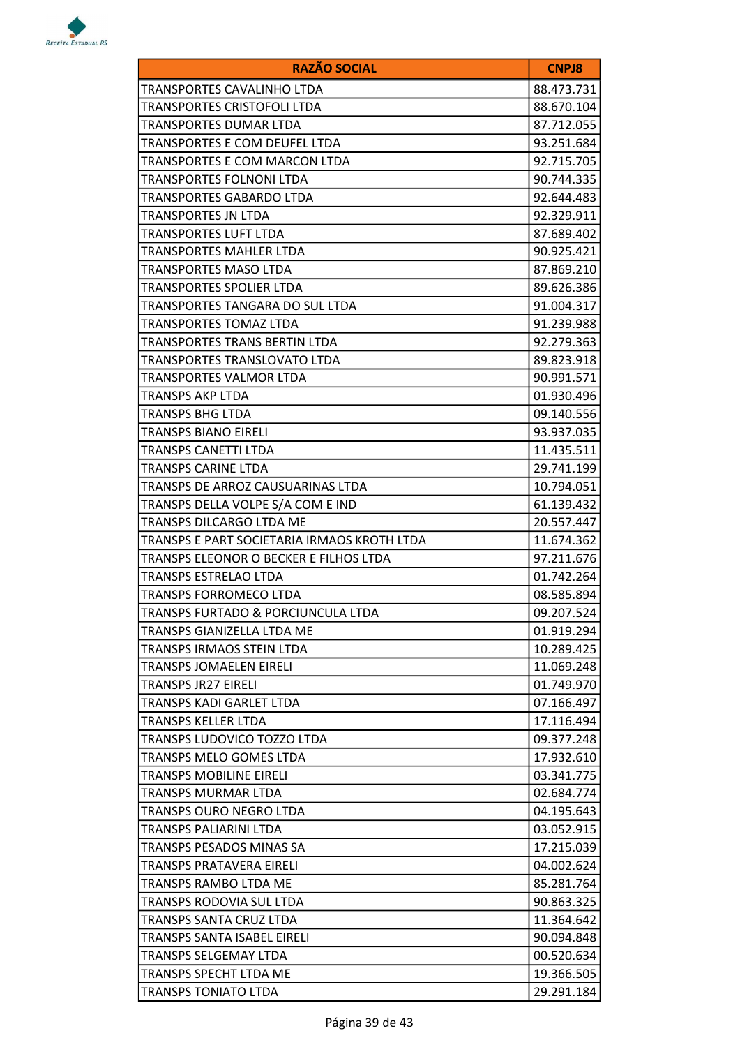

| <b>RAZÃO SOCIAL</b>                         | <b>CNPJ8</b> |
|---------------------------------------------|--------------|
| TRANSPORTES CAVALINHO LTDA                  | 88.473.731   |
| TRANSPORTES CRISTOFOLI LTDA                 | 88.670.104   |
| TRANSPORTES DUMAR LTDA                      | 87.712.055   |
| TRANSPORTES E COM DEUFEL LTDA               | 93.251.684   |
| TRANSPORTES E COM MARCON LTDA               | 92.715.705   |
| TRANSPORTES FOLNONI LTDA                    | 90.744.335   |
| TRANSPORTES GABARDO LTDA                    | 92.644.483   |
| TRANSPORTES JN LTDA                         | 92.329.911   |
| <b>TRANSPORTES LUFT LTDA</b>                | 87.689.402   |
| <b>TRANSPORTES MAHLER LTDA</b>              | 90.925.421   |
| TRANSPORTES MASO LTDA                       | 87.869.210   |
| <b>TRANSPORTES SPOLIER LTDA</b>             | 89.626.386   |
| TRANSPORTES TANGARA DO SUL LTDA             | 91.004.317   |
| TRANSPORTES TOMAZ LTDA                      | 91.239.988   |
| TRANSPORTES TRANS BERTIN LTDA               | 92.279.363   |
| TRANSPORTES TRANSLOVATO LTDA                | 89.823.918   |
| TRANSPORTES VALMOR LTDA                     | 90.991.571   |
| TRANSPS AKP LTDA                            | 01.930.496   |
| <b>TRANSPS BHG LTDA</b>                     | 09.140.556   |
| <b>TRANSPS BIANO EIRELI</b>                 | 93.937.035   |
| <b>TRANSPS CANETTI LTDA</b>                 | 11.435.511   |
| TRANSPS CARINE LTDA                         | 29.741.199   |
| TRANSPS DE ARROZ CAUSUARINAS LTDA           | 10.794.051   |
| TRANSPS DELLA VOLPE S/A COM E IND           | 61.139.432   |
| TRANSPS DILCARGO LTDA ME                    | 20.557.447   |
| TRANSPS E PART SOCIETARIA IRMAOS KROTH LTDA | 11.674.362   |
| TRANSPS ELEONOR O BECKER E FILHOS LTDA      | 97.211.676   |
| TRANSPS ESTRELAO LTDA                       | 01.742.264   |
| <b>TRANSPS FORROMECO LTDA</b>               | 08.585.894   |
| TRANSPS FURTADO & PORCIUNCULA LTDA          | 09.207.524   |
| TRANSPS GIANIZELLA LTDA ME                  | 01.919.294   |
| TRANSPS IRMAOS STEIN LTDA                   | 10.289.425   |
| <b>TRANSPS JOMAELEN EIRELI</b>              | 11.069.248   |
| <b>TRANSPS JR27 EIRELI</b>                  | 01.749.970   |
| TRANSPS KADI GARLET LTDA                    | 07.166.497   |
| TRANSPS KELLER LTDA                         | 17.116.494   |
| TRANSPS LUDOVICO TOZZO LTDA                 | 09.377.248   |
| <b>TRANSPS MELO GOMES LTDA</b>              | 17.932.610   |
| TRANSPS MOBILINE EIRELI                     | 03.341.775   |
| TRANSPS MURMAR LTDA                         | 02.684.774   |
| TRANSPS OURO NEGRO LTDA                     | 04.195.643   |
| TRANSPS PALIARINI LTDA                      | 03.052.915   |
| TRANSPS PESADOS MINAS SA                    | 17.215.039   |
| TRANSPS PRATAVERA EIRELI                    | 04.002.624   |
| <b>TRANSPS RAMBO LTDA ME</b>                | 85.281.764   |
| TRANSPS RODOVIA SUL LTDA                    | 90.863.325   |
| TRANSPS SANTA CRUZ LTDA                     | 11.364.642   |
| TRANSPS SANTA ISABEL EIRELI                 | 90.094.848   |
| TRANSPS SELGEMAY LTDA                       | 00.520.634   |
| <b>TRANSPS SPECHT LTDA ME</b>               | 19.366.505   |
| <b>TRANSPS TONIATO LTDA</b>                 | 29.291.184   |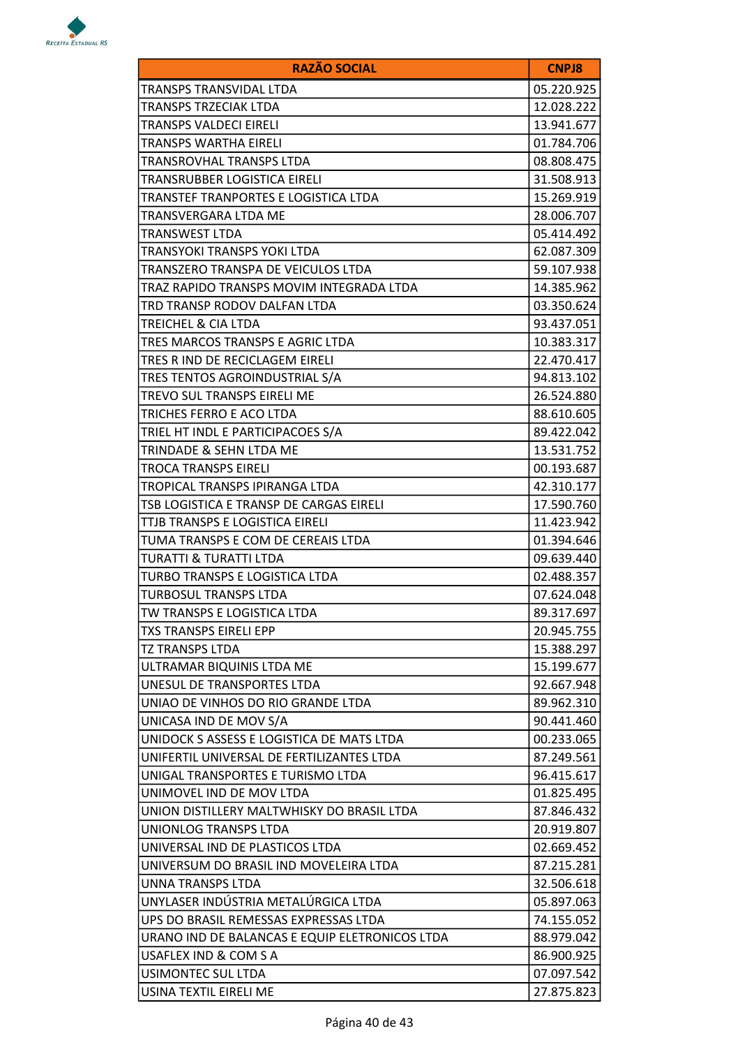

| <b>RAZÃO SOCIAL</b>                            | <b>CNPJ8</b> |
|------------------------------------------------|--------------|
| TRANSPS TRANSVIDAL LTDA                        | 05.220.925   |
| <b>TRANSPS TRZECIAK LTDA</b>                   | 12.028.222   |
| TRANSPS VALDECI EIRELI                         | 13.941.677   |
| <b>TRANSPS WARTHA EIRELI</b>                   | 01.784.706   |
| TRANSROVHAL TRANSPS LTDA                       | 08.808.475   |
| TRANSRUBBER LOGISTICA EIRELI                   | 31.508.913   |
| TRANSTEF TRANPORTES E LOGISTICA LTDA           | 15.269.919   |
| TRANSVERGARA LTDA ME                           | 28.006.707   |
| <b>TRANSWEST LTDA</b>                          | 05.414.492   |
| TRANSYOKI TRANSPS YOKI LTDA                    | 62.087.309   |
| TRANSZERO TRANSPA DE VEICULOS LTDA             | 59.107.938   |
| TRAZ RAPIDO TRANSPS MOVIM INTEGRADA LTDA       | 14.385.962   |
| TRD TRANSP RODOV DALFAN LTDA                   | 03.350.624   |
| TREICHEL & CIA LTDA                            | 93.437.051   |
| TRES MARCOS TRANSPS E AGRIC LTDA               | 10.383.317   |
| TRES R IND DE RECICLAGEM EIRELI                | 22.470.417   |
| TRES TENTOS AGROINDUSTRIAL S/A                 | 94.813.102   |
| <b>TREVO SUL TRANSPS EIRELI ME</b>             | 26.524.880   |
| TRICHES FERRO E ACO LTDA                       | 88.610.605   |
| TRIEL HT INDL E PARTICIPACOES S/A              | 89.422.042   |
| TRINDADE & SEHN LTDA ME                        | 13.531.752   |
| <b>TROCA TRANSPS EIRELI</b>                    | 00.193.687   |
| TROPICAL TRANSPS IPIRANGA LTDA                 | 42.310.177   |
| TSB LOGISTICA E TRANSP DE CARGAS EIRELI        | 17.590.760   |
| TTJB TRANSPS E LOGISTICA EIRELI                | 11.423.942   |
| TUMA TRANSPS E COM DE CEREAIS LTDA             | 01.394.646   |
| TURATTI & TURATTI LTDA                         | 09.639.440   |
| TURBO TRANSPS E LOGISTICA LTDA                 | 02.488.357   |
| <b>TURBOSUL TRANSPS LTDA</b>                   | 07.624.048   |
| TW TRANSPS E LOGISTICA LTDA                    | 89.317.697   |
| TXS TRANSPS EIRELI EPP                         | 20.945.755   |
| <b>TZ TRANSPS LTDA</b>                         | 15.388.297   |
| ULTRAMAR BIQUINIS LTDA ME                      | 15.199.677   |
| UNESUL DE TRANSPORTES LTDA                     | 92.667.948   |
| UNIAO DE VINHOS DO RIO GRANDE LTDA             | 89.962.310   |
| UNICASA IND DE MOV S/A                         | 90.441.460   |
| UNIDOCK S ASSESS E LOGISTICA DE MATS LTDA      | 00.233.065   |
| UNIFERTIL UNIVERSAL DE FERTILIZANTES LTDA      | 87.249.561   |
| UNIGAL TRANSPORTES E TURISMO LTDA              | 96.415.617   |
| UNIMOVEL IND DE MOV LTDA                       | 01.825.495   |
| UNION DISTILLERY MALTWHISKY DO BRASIL LTDA     | 87.846.432   |
| UNIONLOG TRANSPS LTDA                          | 20.919.807   |
| UNIVERSAL IND DE PLASTICOS LTDA                | 02.669.452   |
| UNIVERSUM DO BRASIL IND MOVELEIRA LTDA         | 87.215.281   |
| UNNA TRANSPS LTDA                              | 32.506.618   |
| UNYLASER INDÚSTRIA METALÚRGICA LTDA            | 05.897.063   |
| UPS DO BRASIL REMESSAS EXPRESSAS LTDA          | 74.155.052   |
| URANO IND DE BALANCAS E EQUIP ELETRONICOS LTDA | 88.979.042   |
| USAFLEX IND & COM S A                          | 86.900.925   |
| <b>USIMONTEC SUL LTDA</b>                      | 07.097.542   |
| USINA TEXTIL EIRELI ME                         | 27.875.823   |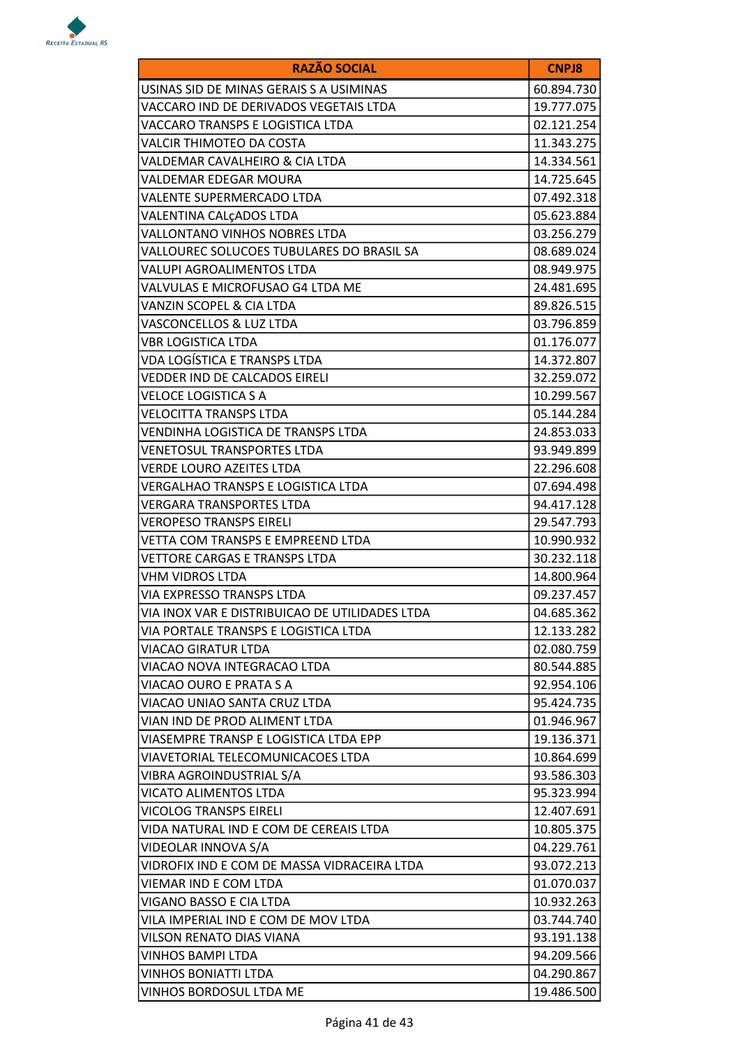

| <b>RAZÃO SOCIAL</b>                            | <b>CNPJ8</b> |
|------------------------------------------------|--------------|
| USINAS SID DE MINAS GERAIS S A USIMINAS        | 60.894.730   |
| VACCARO IND DE DERIVADOS VEGETAIS LTDA         | 19.777.075   |
| VACCARO TRANSPS E LOGISTICA LTDA               | 02.121.254   |
| VALCIR THIMOTEO DA COSTA                       | 11.343.275   |
| VALDEMAR CAVALHEIRO & CIA LTDA                 | 14.334.561   |
| VALDEMAR EDEGAR MOURA                          | 14.725.645   |
| VALENTE SUPERMERCADO LTDA                      | 07.492.318   |
| VALENTINA CALÇADOS LTDA                        | 05.623.884   |
| VALLONTANO VINHOS NOBRES LTDA                  | 03.256.279   |
| VALLOUREC SOLUCOES TUBULARES DO BRASIL SA      | 08.689.024   |
| VALUPI AGROALIMENTOS LTDA                      | 08.949.975   |
| VALVULAS E MICROFUSAO G4 LTDA ME               | 24.481.695   |
| VANZIN SCOPEL & CIA LTDA                       | 89.826.515   |
| VASCONCELLOS & LUZ LTDA                        | 03.796.859   |
| <b>VBR LOGISTICA LTDA</b>                      | 01.176.077   |
| VDA LOGÍSTICA E TRANSPS LTDA                   | 14.372.807   |
| VEDDER IND DE CALCADOS EIRELI                  | 32.259.072   |
| <b>VELOCE LOGISTICA S A</b>                    | 10.299.567   |
| <b>VELOCITTA TRANSPS LTDA</b>                  | 05.144.284   |
| VENDINHA LOGISTICA DE TRANSPS LTDA             | 24.853.033   |
| <b>VENETOSUL TRANSPORTES LTDA</b>              | 93.949.899   |
| VERDE LOURO AZEITES LTDA                       | 22.296.608   |
| VERGALHAO TRANSPS E LOGISTICA LTDA             | 07.694.498   |
| VERGARA TRANSPORTES LTDA                       | 94.417.128   |
| <b>VEROPESO TRANSPS EIRELI</b>                 | 29.547.793   |
| VETTA COM TRANSPS E EMPREEND LTDA              | 10.990.932   |
| VETTORE CARGAS E TRANSPS LTDA                  | 30.232.118   |
| <b>VHM VIDROS LTDA</b>                         | 14.800.964   |
| VIA EXPRESSO TRANSPS LTDA                      | 09.237.457   |
| VIA INOX VAR E DISTRIBUICAO DE UTILIDADES LTDA | 04.685.362   |
| VIA PORTALE TRANSPS E LOGISTICA LTDA           | 12.133.282   |
| VIACAO GIRATUR LTDA                            | 02.080.759   |
| VIACAO NOVA INTEGRACAO LTDA                    | 80.544.885   |
| VIACAO OURO E PRATA S A                        | 92.954.106   |
| VIACAO UNIAO SANTA CRUZ LTDA                   | 95.424.735   |
| VIAN IND DE PROD ALIMENT LTDA                  | 01.946.967   |
| VIASEMPRE TRANSP E LOGISTICA LTDA EPP          | 19.136.371   |
| VIAVETORIAL TELECOMUNICACOES LTDA              | 10.864.699   |
| VIBRA AGROINDUSTRIAL S/A                       | 93.586.303   |
| VICATO ALIMENTOS LTDA                          | 95.323.994   |
| <b>VICOLOG TRANSPS EIRELI</b>                  | 12.407.691   |
| VIDA NATURAL IND E COM DE CEREAIS LTDA         | 10.805.375   |
| VIDEOLAR INNOVA S/A                            | 04.229.761   |
| VIDROFIX IND E COM DE MASSA VIDRACEIRA LTDA    | 93.072.213   |
| <b>VIEMAR IND E COM LTDA</b>                   | 01.070.037   |
| VIGANO BASSO E CIA LTDA                        | 10.932.263   |
| VILA IMPERIAL IND E COM DE MOV LTDA            | 03.744.740   |
| VILSON RENATO DIAS VIANA                       | 93.191.138   |
| <b>VINHOS BAMPI LTDA</b>                       | 94.209.566   |
| <b>VINHOS BONIATTI LTDA</b>                    | 04.290.867   |
| VINHOS BORDOSUL LTDA ME                        | 19.486.500   |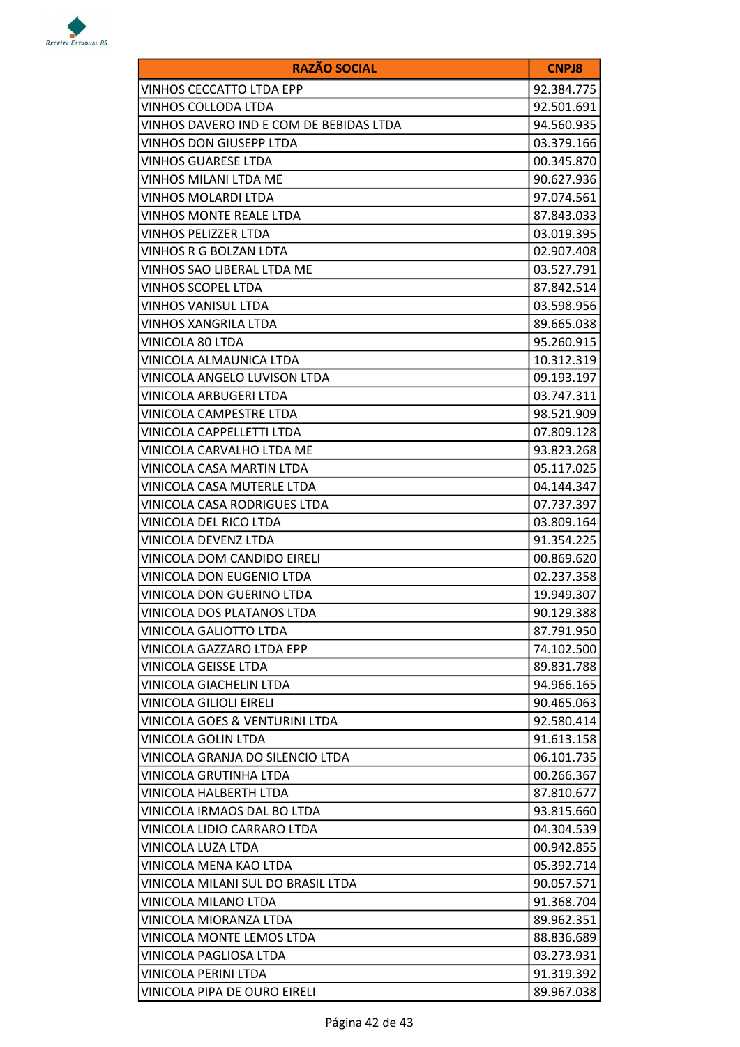

| <b>RAZÃO SOCIAL</b>                     | <b>CNPJ8</b> |
|-----------------------------------------|--------------|
| VINHOS CECCATTO LTDA EPP                | 92.384.775   |
| VINHOS COLLODA LTDA                     | 92.501.691   |
| VINHOS DAVERO IND E COM DE BEBIDAS LTDA | 94.560.935   |
| VINHOS DON GIUSEPP LTDA                 | 03.379.166   |
| VINHOS GUARESE LTDA                     | 00.345.870   |
| VINHOS MILANI LTDA ME                   | 90.627.936   |
| <b>VINHOS MOLARDI LTDA</b>              | 97.074.561   |
| VINHOS MONTE REALE LTDA                 | 87.843.033   |
| VINHOS PELIZZER LTDA                    | 03.019.395   |
| VINHOS R G BOLZAN LDTA                  | 02.907.408   |
| VINHOS SAO LIBERAL LTDA ME              | 03.527.791   |
| VINHOS SCOPEL LTDA                      | 87.842.514   |
| VINHOS VANISUL LTDA                     | 03.598.956   |
| VINHOS XANGRILA LTDA                    | 89.665.038   |
| VINICOLA 80 LTDA                        | 95.260.915   |
| VINICOLA ALMAUNICA LTDA                 | 10.312.319   |
| VINICOLA ANGELO LUVISON LTDA            | 09.193.197   |
| VINICOLA ARBUGERI LTDA                  | 03.747.311   |
| VINICOLA CAMPESTRE LTDA                 | 98.521.909   |
| VINICOLA CAPPELLETTI LTDA               | 07.809.128   |
| VINICOLA CARVALHO LTDA ME               | 93.823.268   |
| VINICOLA CASA MARTIN LTDA               | 05.117.025   |
| VINICOLA CASA MUTERLE LTDA              | 04.144.347   |
| VINICOLA CASA RODRIGUES LTDA            | 07.737.397   |
| VINICOLA DEL RICO LTDA                  | 03.809.164   |
| VINICOLA DEVENZ LTDA                    | 91.354.225   |
| VINICOLA DOM CANDIDO EIRELI             | 00.869.620   |
| VINICOLA DON EUGENIO LTDA               | 02.237.358   |
| VINICOLA DON GUERINO LTDA               | 19.949.307   |
| VINICOLA DOS PLATANOS LTDA              | 90.129.388   |
| VINICOLA GALIOTTO LTDA                  | 87.791.950   |
| VINICOLA GAZZARO LTDA EPP               | 74.102.500   |
| VINICOLA GEISSE LTDA                    | 89.831.788   |
| <b>VINICOLA GIACHELIN LTDA</b>          | 94.966.165   |
| VINICOLA GILIOLI EIRELI                 | 90.465.063   |
| VINICOLA GOES & VENTURINI LTDA          | 92.580.414   |
| <b>VINICOLA GOLIN LTDA</b>              | 91.613.158   |
| VINICOLA GRANJA DO SILENCIO LTDA        | 06.101.735   |
| VINICOLA GRUTINHA LTDA                  | 00.266.367   |
| VINICOLA HALBERTH LTDA                  | 87.810.677   |
| VINICOLA IRMAOS DAL BO LTDA             | 93.815.660   |
| VINICOLA LIDIO CARRARO LTDA             | 04.304.539   |
| VINICOLA LUZA LTDA                      | 00.942.855   |
| VINICOLA MENA KAO LTDA                  | 05.392.714   |
| VINICOLA MILANI SUL DO BRASIL LTDA      | 90.057.571   |
| VINICOLA MILANO LTDA                    | 91.368.704   |
| VINICOLA MIORANZA LTDA                  | 89.962.351   |
| VINICOLA MONTE LEMOS LTDA               | 88.836.689   |
| VINICOLA PAGLIOSA LTDA                  | 03.273.931   |
| VINICOLA PERINI LTDA                    | 91.319.392   |
| VINICOLA PIPA DE OURO EIRELI            | 89.967.038   |